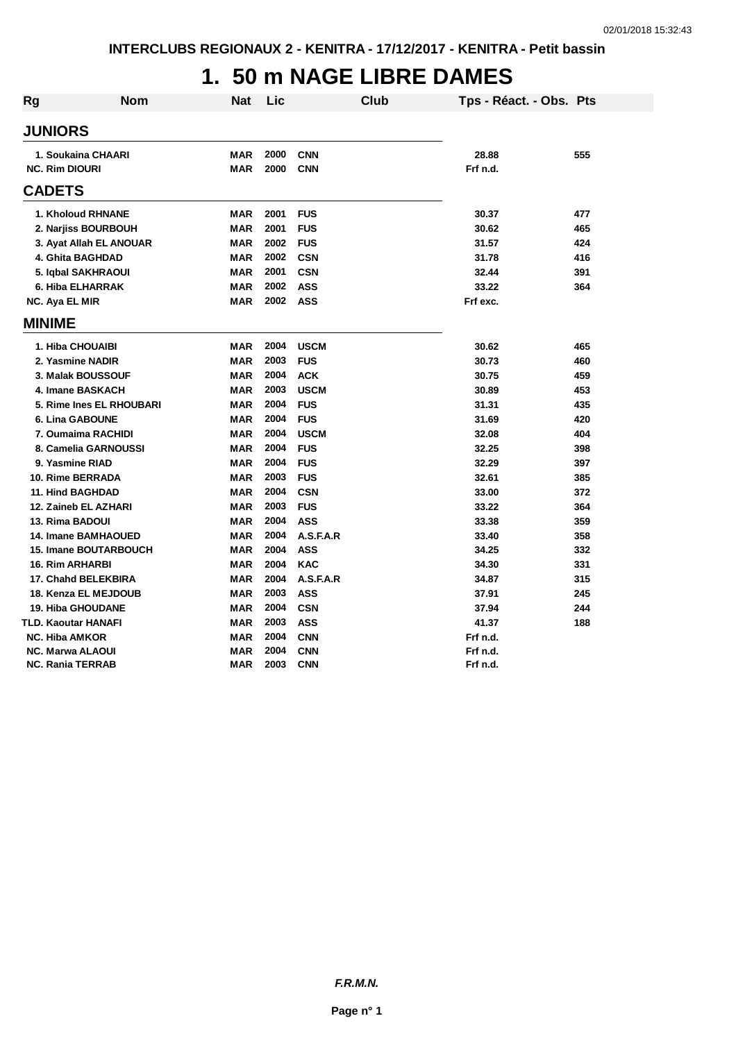## **1. 50 m NAGE LIBRE DAMES**

| <b>Rg</b> | <b>Nom</b>                   | Nat        | Lic  | Club        | Tps - Réact. - Obs. Pts |     |
|-----------|------------------------------|------------|------|-------------|-------------------------|-----|
|           | <b>JUNIORS</b>               |            |      |             |                         |     |
|           | 1. Soukaina CHAARI           | <b>MAR</b> | 2000 | <b>CNN</b>  | 28.88                   | 555 |
|           | <b>NC. Rim DIOURI</b>        | <b>MAR</b> | 2000 | <b>CNN</b>  | Frf n.d.                |     |
|           |                              |            |      |             |                         |     |
|           | <b>CADETS</b>                |            |      |             |                         |     |
|           | 1. Kholoud RHNANE            | <b>MAR</b> | 2001 | <b>FUS</b>  | 30.37                   | 477 |
|           | 2. Narjiss BOURBOUH          | <b>MAR</b> | 2001 | <b>FUS</b>  | 30.62                   | 465 |
|           | 3. Ayat Allah EL ANOUAR      | <b>MAR</b> | 2002 | <b>FUS</b>  | 31.57                   | 424 |
|           | 4. Ghita BAGHDAD             | <b>MAR</b> | 2002 | <b>CSN</b>  | 31.78                   | 416 |
|           | 5. Igbal SAKHRAOUI           | <b>MAR</b> | 2001 | <b>CSN</b>  | 32.44                   | 391 |
|           | 6. Hiba ELHARRAK             | <b>MAR</b> | 2002 | <b>ASS</b>  | 33.22                   | 364 |
|           | NC. Aya EL MIR               | <b>MAR</b> | 2002 | <b>ASS</b>  | Frf exc.                |     |
|           | <b>MINIME</b>                |            |      |             |                         |     |
|           | 1. Hiba CHOUAIBI             | <b>MAR</b> | 2004 | <b>USCM</b> | 30.62                   | 465 |
|           | 2. Yasmine NADIR             | <b>MAR</b> | 2003 | <b>FUS</b>  | 30.73                   | 460 |
|           | 3. Malak BOUSSOUF            | <b>MAR</b> | 2004 | <b>ACK</b>  | 30.75                   | 459 |
|           | 4. Imane BASKACH             | <b>MAR</b> | 2003 | <b>USCM</b> | 30.89                   | 453 |
|           | 5. Rime Ines EL RHOUBARI     | <b>MAR</b> | 2004 | <b>FUS</b>  | 31.31                   | 435 |
|           | <b>6. Lina GABOUNE</b>       | <b>MAR</b> | 2004 | <b>FUS</b>  | 31.69                   | 420 |
|           | 7. Oumaima RACHIDI           | <b>MAR</b> | 2004 | <b>USCM</b> | 32.08                   | 404 |
|           | 8. Camelia GARNOUSSI         | <b>MAR</b> | 2004 | <b>FUS</b>  | 32.25                   | 398 |
|           | 9. Yasmine RIAD              | <b>MAR</b> | 2004 | <b>FUS</b>  | 32.29                   | 397 |
|           | 10. Rime BERRADA             | <b>MAR</b> | 2003 | <b>FUS</b>  | 32.61                   | 385 |
|           | <b>11. Hind BAGHDAD</b>      | <b>MAR</b> | 2004 | <b>CSN</b>  | 33.00                   | 372 |
|           | 12. Zaineb EL AZHARI         | <b>MAR</b> | 2003 | <b>FUS</b>  | 33.22                   | 364 |
|           | 13. Rima BADOUI              | <b>MAR</b> | 2004 | <b>ASS</b>  | 33.38                   | 359 |
|           | <b>14. Imane BAMHAOUED</b>   | <b>MAR</b> | 2004 | A.S.F.A.R   | 33.40                   | 358 |
|           | <b>15. Imane BOUTARBOUCH</b> | <b>MAR</b> | 2004 | <b>ASS</b>  | 34.25                   | 332 |
|           | <b>16. Rim ARHARBI</b>       | <b>MAR</b> | 2004 | <b>KAC</b>  | 34.30                   | 331 |
|           | 17. Chahd BELEKBIRA          | <b>MAR</b> | 2004 | A.S.F.A.R   | 34.87                   | 315 |
|           | 18. Kenza EL MEJDOUB         | <b>MAR</b> | 2003 | <b>ASS</b>  | 37.91                   | 245 |
|           | <b>19. Hiba GHOUDANE</b>     | <b>MAR</b> | 2004 | <b>CSN</b>  | 37.94                   | 244 |
|           | TLD. Kaoutar HANAFI          | <b>MAR</b> | 2003 | <b>ASS</b>  | 41.37                   | 188 |
|           | <b>NC. Hiba AMKOR</b>        | <b>MAR</b> | 2004 | <b>CNN</b>  | Frf n.d.                |     |
|           | <b>NC. Marwa ALAOUI</b>      | <b>MAR</b> | 2004 | <b>CNN</b>  | Frf n.d.                |     |
|           | <b>NC. Rania TERRAB</b>      | <b>MAR</b> | 2003 | <b>CNN</b>  | Frf n.d.                |     |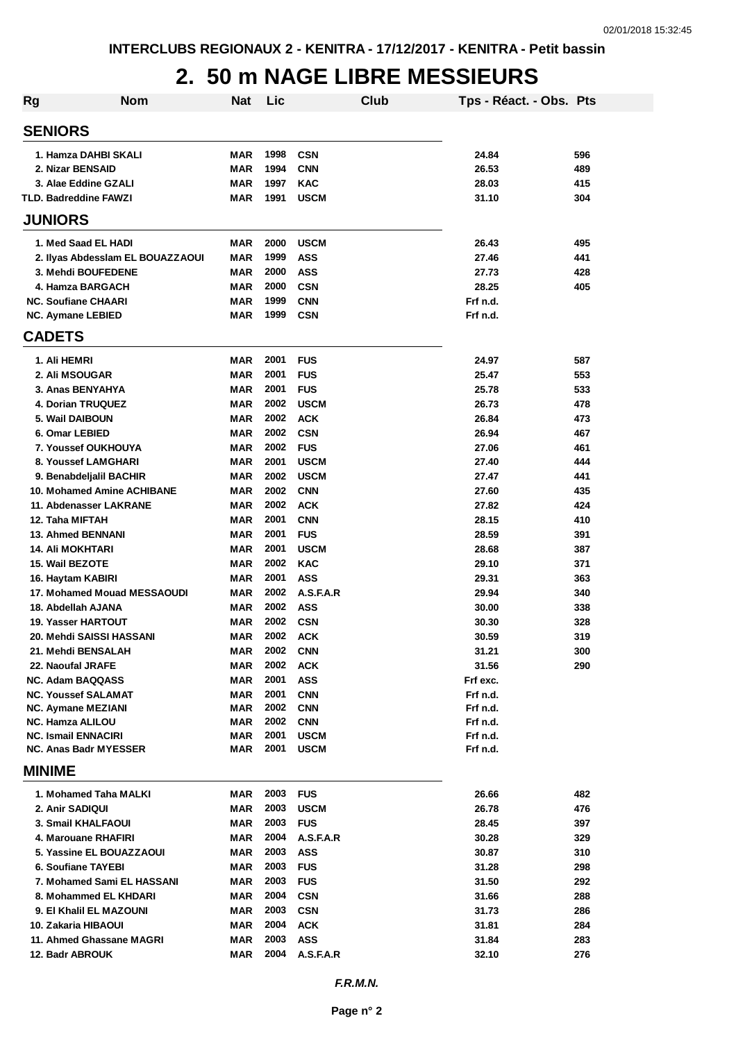#### **2. 50 m NAGE LIBRE MESSIEURS**

| Rg                                               | <b>Nom</b>                       | <b>Nat</b>               | Lic          |                         | Club | Tps - Réact. - Obs. Pts |            |
|--------------------------------------------------|----------------------------------|--------------------------|--------------|-------------------------|------|-------------------------|------------|
| <b>SENIORS</b>                                   |                                  |                          |              |                         |      |                         |            |
| 1. Hamza DAHBI SKALI                             |                                  | MAR                      | 1998         | <b>CSN</b>              |      | 24.84                   | 596        |
| 2. Nizar BENSAID                                 |                                  | <b>MAR</b>               | 1994         | <b>CNN</b>              |      | 26.53                   | 489        |
| 3. Alae Eddine GZALI                             |                                  | MAR                      | 1997         | <b>KAC</b>              |      | 28.03                   | 415        |
| TLD. Badreddine FAWZI                            |                                  | MAR                      | 1991         | <b>USCM</b>             |      | 31.10                   | 304        |
| <b>JUNIORS</b>                                   |                                  |                          |              |                         |      |                         |            |
| 1. Med Saad EL HADI                              |                                  | <b>MAR</b>               | 2000         | <b>USCM</b>             |      | 26.43                   | 495        |
|                                                  | 2. Ilyas Abdesslam EL BOUAZZAOUI | MAR                      | 1999         | <b>ASS</b>              |      | 27.46                   | 441        |
| 3. Mehdi BOUFEDENE                               |                                  | <b>MAR</b>               | 2000         | <b>ASS</b>              |      | 27.73                   | 428        |
| 4. Hamza BARGACH                                 |                                  | MAR                      | 2000         | <b>CSN</b>              |      | 28.25                   | 405        |
| <b>NC. Soufiane CHAARI</b>                       |                                  | MAR                      | 1999         | <b>CNN</b>              |      | Frf n.d.                |            |
| <b>NC. Aymane LEBIED</b>                         |                                  | MAR                      | 1999         | <b>CSN</b>              |      | Frf n.d.                |            |
| <b>CADETS</b>                                    |                                  |                          |              |                         |      |                         |            |
| 1. Ali HEMRI                                     |                                  | MAR                      | 2001         | <b>FUS</b>              |      | 24.97                   | 587        |
| <b>2. Ali MSOUGAR</b>                            |                                  | <b>MAR</b>               | 2001         | <b>FUS</b>              |      | 25.47                   | 553        |
| 3. Anas BENYAHYA                                 |                                  | MAR                      | 2001         | <b>FUS</b>              |      | 25.78                   | 533        |
| 4. Dorian TRUQUEZ                                |                                  | MAR                      | 2002         | <b>USCM</b>             |      | 26.73                   | 478        |
| 5. Wail DAIBOUN                                  |                                  | MAR                      | 2002         | <b>ACK</b>              |      | 26.84                   | 473        |
| 6. Omar LEBIED                                   |                                  | <b>MAR</b>               | 2002         | <b>CSN</b>              |      | 26.94                   | 467        |
| 7. Youssef OUKHOUYA                              |                                  | <b>MAR</b>               | 2002         | <b>FUS</b>              |      | 27.06                   | 461        |
| 8. Youssef LAMGHARI                              |                                  | <b>MAR</b>               | 2001         | <b>USCM</b>             |      | 27.40                   | 444        |
| 9. Benabdeljalil BACHIR                          |                                  | <b>MAR</b>               | 2002         | <b>USCM</b>             |      | 27.47                   | 441        |
| 10. Mohamed Amine ACHIBANE                       |                                  | MAR                      | 2002         | <b>CNN</b>              |      | 27.60                   | 435        |
| 11. Abdenasser LAKRANE                           |                                  | MAR                      | 2002         | <b>ACK</b>              |      | 27.82                   | 424        |
| 12. Taha MIFTAH                                  |                                  | <b>MAR</b>               | 2001         | <b>CNN</b>              |      | 28.15                   | 410        |
| <b>13. Ahmed BENNANI</b>                         |                                  | MAR                      | 2001         | <b>FUS</b>              |      | 28.59                   | 391        |
| <b>14. Ali MOKHTARI</b>                          |                                  | MAR                      | 2001         | <b>USCM</b>             |      | 28.68                   | 387        |
| <b>15. Wail BEZOTE</b>                           |                                  | <b>MAR</b><br><b>MAR</b> | 2002<br>2001 | <b>KAC</b>              |      | 29.10                   | 371        |
| 16. Haytam KABIRI<br>17. Mohamed Mouad MESSAOUDI |                                  | MAR                      | 2002         | <b>ASS</b><br>A.S.F.A.R |      | 29.31<br>29.94          | 363<br>340 |
| 18. Abdellah AJANA                               |                                  | <b>MAR</b>               | 2002         | <b>ASS</b>              |      | 30.00                   | 338        |
| <b>19. Yasser HARTOUT</b>                        |                                  | <b>MAR</b>               | 2002         | <b>CSN</b>              |      | 30.30                   | 328        |
| 20. Mehdi SAISSI HASSANI                         |                                  | MAR                      | 2002         | <b>ACK</b>              |      | 30.59                   | 319        |
| 21. Mehdi BENSALAH                               |                                  | <b>MAR</b>               | 2002         | <b>CNN</b>              |      | 31.21                   | 300        |
| 22. Naoufal JRAFE                                |                                  | MAR                      | 2002         | <b>ACK</b>              |      | 31.56                   | 290        |
| <b>NC. Adam BAQQASS</b>                          |                                  | MAR                      | 2001         | <b>ASS</b>              |      | Frf exc.                |            |
| <b>NC. Youssef SALAMAT</b>                       |                                  | MAR                      | 2001         | <b>CNN</b>              |      | Frf n.d.                |            |
| <b>NC. Aymane MEZIANI</b>                        |                                  | MAR                      | 2002         | <b>CNN</b>              |      | Frf n.d.                |            |
| <b>NC. Hamza ALILOU</b>                          |                                  | MAR                      | 2002         | <b>CNN</b>              |      | Frf n.d.                |            |
| <b>NC. Ismail ENNACIRI</b>                       |                                  | MAR                      | 2001         | <b>USCM</b>             |      | Frf n.d.                |            |
| <b>NC. Anas Badr MYESSER</b>                     |                                  | MAR                      | 2001         | <b>USCM</b>             |      | Frf n.d.                |            |
| <b>MINIME</b>                                    |                                  |                          |              |                         |      |                         |            |
| 1. Mohamed Taha MALKI                            |                                  | MAR                      | 2003         | <b>FUS</b>              |      | 26.66                   | 482        |
| 2. Anir SADIQUI                                  |                                  | MAR                      | 2003         | <b>USCM</b>             |      | 26.78                   | 476        |
| <b>3. Smail KHALFAOUI</b>                        |                                  | MAR                      | 2003         | <b>FUS</b>              |      | 28.45                   | 397        |
| 4. Marouane RHAFIRI                              |                                  | MAR                      | 2004         | A.S.F.A.R               |      | 30.28                   | 329        |
| 5. Yassine EL BOUAZZAOUI                         |                                  | MAR                      | 2003         | <b>ASS</b>              |      | 30.87                   | 310        |
| 6. Soufiane TAYEBI                               |                                  | MAR                      | 2003         | <b>FUS</b>              |      | 31.28                   | 298        |
| 7. Mohamed Sami EL HASSANI                       |                                  | MAR                      | 2003         | <b>FUS</b>              |      | 31.50                   | 292        |
| 8. Mohammed EL KHDARI                            |                                  | MAR                      | 2004         | <b>CSN</b>              |      | 31.66                   | 288        |
| 9. El Khalil EL MAZOUNI                          |                                  | MAR                      | 2003         | <b>CSN</b>              |      | 31.73                   | 286        |
| 10. Zakaria HIBAOUI                              |                                  | MAR                      | 2004         | <b>ACK</b>              |      | 31.81                   | 284        |
| 11. Ahmed Ghassane MAGRI                         |                                  | MAR                      | 2003         | <b>ASS</b>              |      | 31.84                   | 283        |
| 12. Badr ABROUK                                  |                                  | MAR                      | 2004         | A.S.F.A.R               |      | 32.10                   | 276        |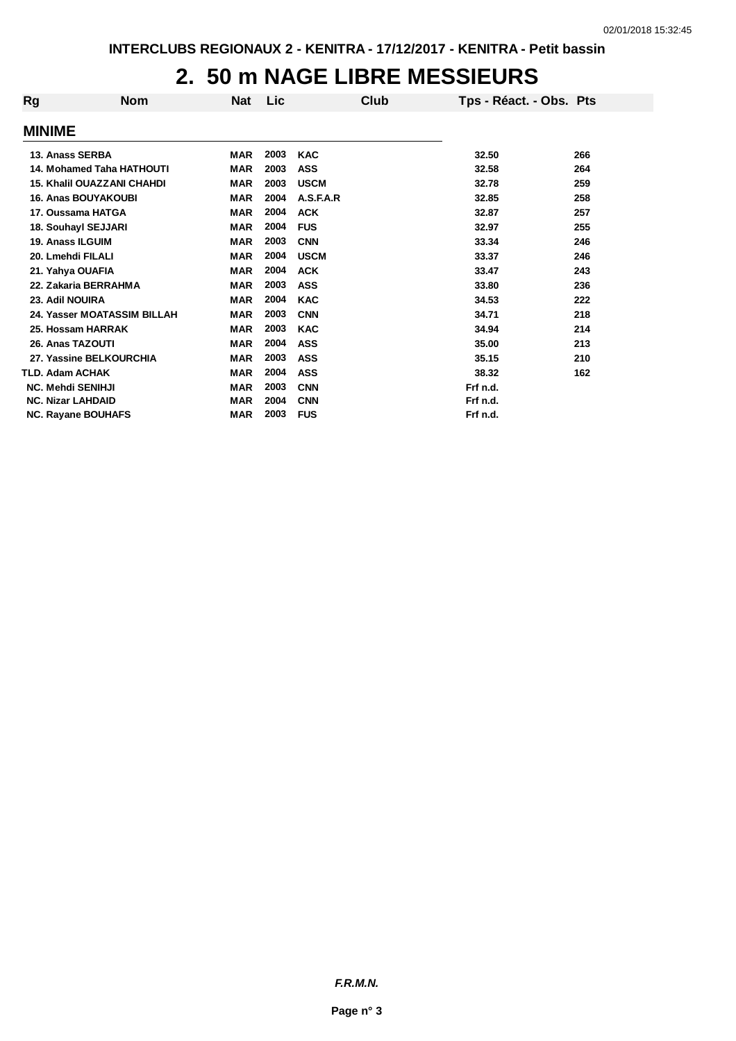#### **2. 50 m NAGE LIBRE MESSIEURS**

| Rg            | <b>Nom</b>                        | <b>Nat</b> | <b>Lic</b> | Club        | Tps - Réact. - Obs. Pts |     |
|---------------|-----------------------------------|------------|------------|-------------|-------------------------|-----|
| <b>MINIME</b> |                                   |            |            |             |                         |     |
|               | 13. Anass SERBA                   | MAR        | 2003       | <b>KAC</b>  | 32.50                   | 266 |
|               | <b>14. Mohamed Taha HATHOUTI</b>  | <b>MAR</b> | 2003       | <b>ASS</b>  | 32.58                   | 264 |
|               | <b>15. Khalil OUAZZANI CHAHDI</b> | MAR        | 2003       | <b>USCM</b> | 32.78                   | 259 |
|               | <b>16. Anas BOUYAKOUBI</b>        | <b>MAR</b> | 2004       | A.S.F.A.R   | 32.85                   | 258 |
|               | 17. Oussama HATGA                 | <b>MAR</b> | 2004       | <b>ACK</b>  | 32.87                   | 257 |
|               | 18. Souhayl SEJJARI               | <b>MAR</b> | 2004       | <b>FUS</b>  | 32.97                   | 255 |
|               | 19. Anass ILGUIM                  | <b>MAR</b> | 2003       | <b>CNN</b>  | 33.34                   | 246 |
|               | 20. Lmehdi FILALI                 | <b>MAR</b> | 2004       | <b>USCM</b> | 33.37                   | 246 |
|               | 21. Yahya OUAFIA                  | <b>MAR</b> | 2004       | <b>ACK</b>  | 33.47                   | 243 |
|               | 22. Zakaria BERRAHMA              | <b>MAR</b> | 2003       | <b>ASS</b>  | 33.80                   | 236 |
|               | 23. Adil NOUIRA                   | <b>MAR</b> | 2004       | <b>KAC</b>  | 34.53                   | 222 |
|               | 24. Yasser MOATASSIM BILLAH       | <b>MAR</b> | 2003       | <b>CNN</b>  | 34.71                   | 218 |
|               | 25. Hossam HARRAK                 | <b>MAR</b> | 2003       | <b>KAC</b>  | 34.94                   | 214 |
|               | 26. Anas TAZOUTI                  | <b>MAR</b> | 2004       | <b>ASS</b>  | 35.00                   | 213 |
|               | 27. Yassine BELKOURCHIA           | <b>MAR</b> | 2003       | <b>ASS</b>  | 35.15                   | 210 |
|               | TLD. Adam ACHAK                   | <b>MAR</b> | 2004       | <b>ASS</b>  | 38.32                   | 162 |
|               | <b>NC. Mehdi SENIHJI</b>          | <b>MAR</b> | 2003       | <b>CNN</b>  | Frf n.d.                |     |
|               | <b>NC. Nizar LAHDAID</b>          | <b>MAR</b> | 2004       | <b>CNN</b>  | Frf n.d.                |     |
|               | <b>NC. Rayane BOUHAFS</b>         | <b>MAR</b> | 2003       | <b>FUS</b>  | Frf n.d.                |     |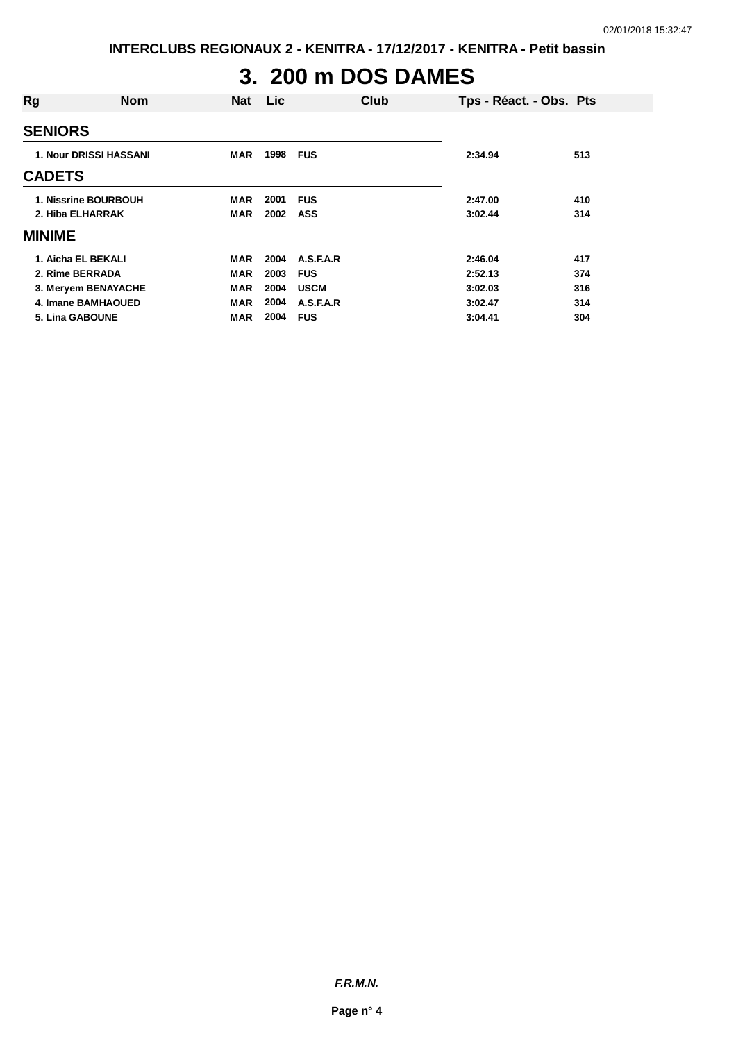# **3. 200 m DOS DAMES**

| Rg                   | <b>Nom</b>                    | <b>Nat</b> | <b>Lic</b> | Club        |         | Tps - Réact. - Obs. Pts |
|----------------------|-------------------------------|------------|------------|-------------|---------|-------------------------|
| <b>SENIORS</b>       |                               |            |            |             |         |                         |
|                      | <b>1. Nour DRISSI HASSANI</b> | <b>MAR</b> | 1998       | <b>FUS</b>  | 2:34.94 | 513                     |
| <b>CADETS</b>        |                               |            |            |             |         |                         |
| 1. Nissrine BOURBOUH |                               | <b>MAR</b> | 2001       | <b>FUS</b>  | 2:47.00 | 410                     |
| 2. Hiba ELHARRAK     |                               | <b>MAR</b> | 2002       | ASS         | 3:02.44 | 314                     |
| <b>MINIME</b>        |                               |            |            |             |         |                         |
| 1. Aicha EL BEKALI   |                               | <b>MAR</b> | 2004       | A.S.F.A.R   | 2:46.04 | 417                     |
| 2. Rime BERRADA      |                               | <b>MAR</b> | 2003       | <b>FUS</b>  | 2:52.13 | 374                     |
| 3. Meryem BENAYACHE  |                               | <b>MAR</b> | 2004       | <b>USCM</b> | 3:02.03 | 316                     |
| 4. Imane BAMHAOUED   |                               | <b>MAR</b> | 2004       | A.S.F.A.R   | 3:02.47 | 314                     |
| 5. Lina GABOUNE      |                               | <b>MAR</b> | 2004       | <b>FUS</b>  | 3:04.41 | 304                     |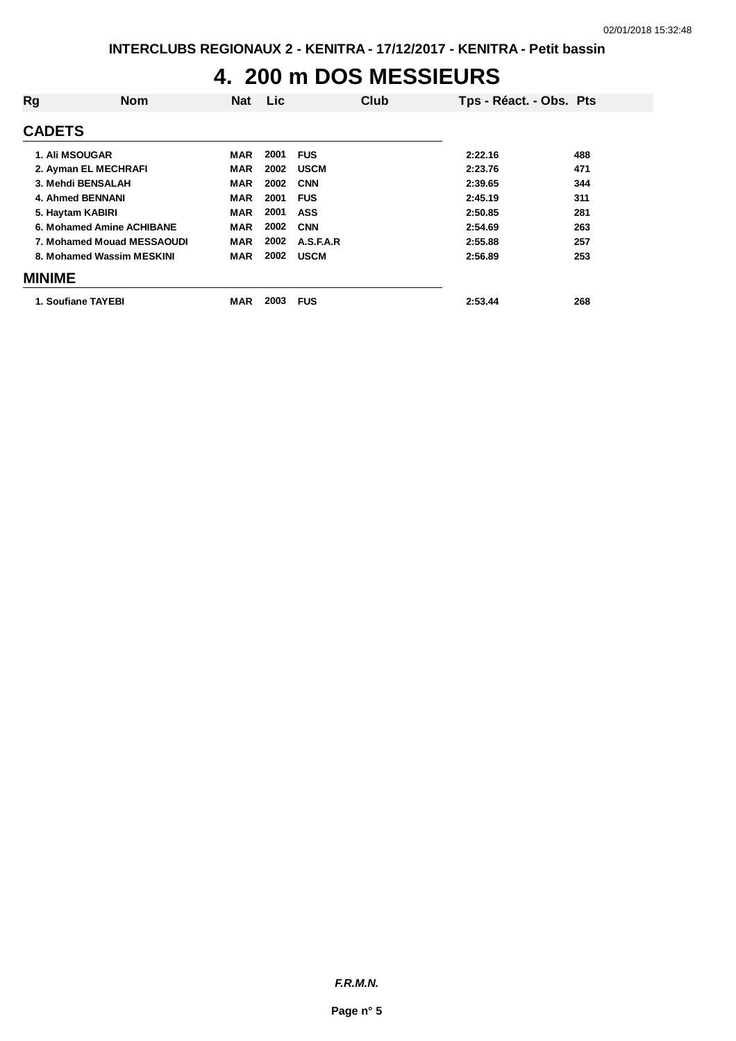### **4. 200 m DOS MESSIEURS**

| Rg                      | <b>Nom</b>                 | Nat        | <b>Lic</b> |             | Club | Tps - Réact. - Obs. Pts |     |
|-------------------------|----------------------------|------------|------------|-------------|------|-------------------------|-----|
| <b>CADETS</b>           |                            |            |            |             |      |                         |     |
| <b>1. Ali MSOUGAR</b>   |                            | MAR        | 2001       | <b>FUS</b>  |      | 2:22.16                 | 488 |
| 2. Ayman EL MECHRAFI    |                            | <b>MAR</b> | 2002       | <b>USCM</b> |      | 2:23.76                 | 471 |
| 3. Mehdi BENSALAH       |                            | <b>MAR</b> | 2002       | <b>CNN</b>  |      | 2:39.65                 | 344 |
| <b>4. Ahmed BENNANI</b> |                            | <b>MAR</b> | 2001       | <b>FUS</b>  |      | 2:45.19                 | 311 |
| 5. Haytam KABIRI        |                            | <b>MAR</b> | 2001       | <b>ASS</b>  |      | 2:50.85                 | 281 |
|                         | 6. Mohamed Amine ACHIBANE  | <b>MAR</b> | 2002       | <b>CNN</b>  |      | 2:54.69                 | 263 |
|                         | 7. Mohamed Mouad MESSAOUDI | <b>MAR</b> | 2002       | A.S.F.A.R   |      | 2:55.88                 | 257 |
|                         | 8. Mohamed Wassim MESKINI  | MAR        | 2002       | <b>USCM</b> |      | 2:56.89                 | 253 |
| <b>MINIME</b>           |                            |            |            |             |      |                         |     |
| 1. Soufiane TAYEBI      |                            | MAR        | 2003       | <b>FUS</b>  |      | 2:53.44                 | 268 |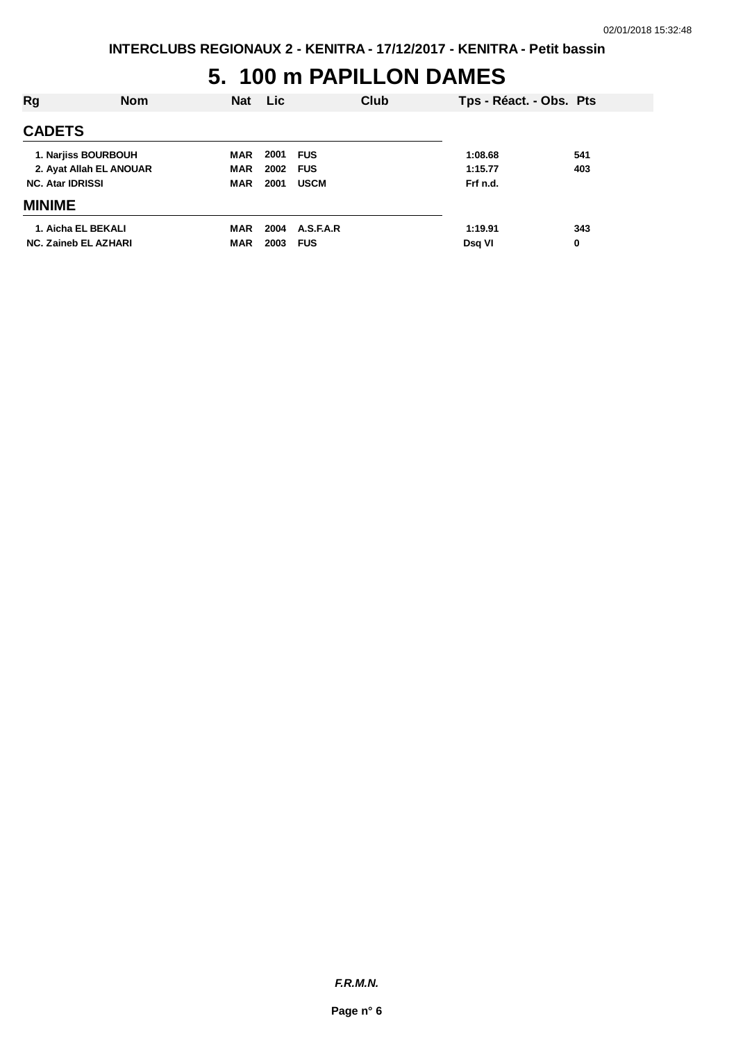#### **5. 100 m PAPILLON DAMES**

| Rg                          | <b>Nom</b> | <b>Nat</b> | Lic  | Club        | Tps - Réact. - Obs. Pts |     |
|-----------------------------|------------|------------|------|-------------|-------------------------|-----|
| <b>CADETS</b>               |            |            |      |             |                         |     |
| 1. Narjiss BOURBOUH         |            | MAR        | 2001 | <b>FUS</b>  | 1:08.68                 | 541 |
| 2. Ayat Allah EL ANOUAR     |            | <b>MAR</b> | 2002 | <b>FUS</b>  | 1:15.77                 | 403 |
| <b>NC. Atar IDRISSI</b>     |            | <b>MAR</b> | 2001 | <b>USCM</b> | Frf n.d.                |     |
| <b>MINIME</b>               |            |            |      |             |                         |     |
| 1. Aicha EL BEKALI          |            | MAR        | 2004 | A.S.F.A.R   | 1:19.91                 | 343 |
| <b>NC. Zaineb EL AZHARI</b> |            | <b>MAR</b> | 2003 | <b>FUS</b>  | Dsq VI                  | 0   |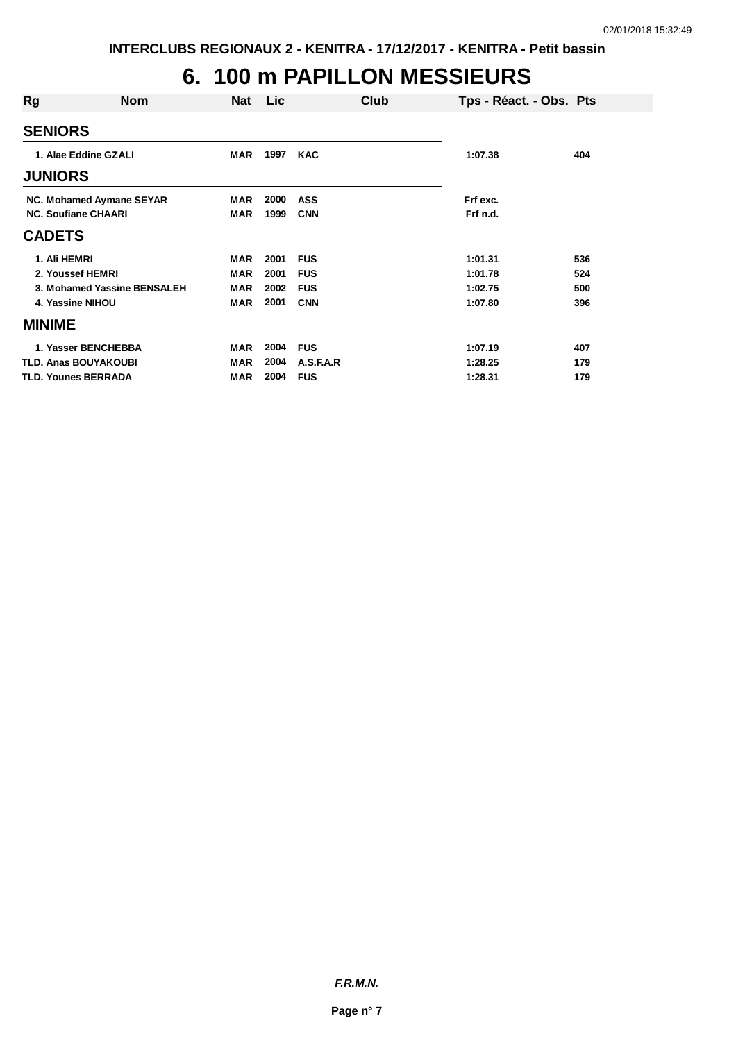## **6. 100 m PAPILLON MESSIEURS**

| Rg                         | <b>Nom</b>                  | <b>Nat</b> | Lic  | Club       | Tps - Réact. - Obs. Pts |     |
|----------------------------|-----------------------------|------------|------|------------|-------------------------|-----|
| <b>SENIORS</b>             |                             |            |      |            |                         |     |
| 1. Alae Eddine GZALI       |                             | <b>MAR</b> | 1997 | <b>KAC</b> | 1:07.38                 | 404 |
| <b>JUNIORS</b>             |                             |            |      |            |                         |     |
|                            | NC. Mohamed Aymane SEYAR    | MAR        | 2000 | <b>ASS</b> | Frf exc.                |     |
| <b>NC. Soufiane CHAARI</b> |                             | <b>MAR</b> | 1999 | <b>CNN</b> | Frf n.d.                |     |
| <b>CADETS</b>              |                             |            |      |            |                         |     |
| 1. Ali HEMRI               |                             | <b>MAR</b> | 2001 | <b>FUS</b> | 1:01.31                 | 536 |
| 2. Youssef HEMRI           |                             | <b>MAR</b> | 2001 | <b>FUS</b> | 1:01.78                 | 524 |
|                            | 3. Mohamed Yassine BENSALEH | <b>MAR</b> | 2002 | <b>FUS</b> | 1:02.75                 | 500 |
| 4. Yassine NIHOU           |                             | <b>MAR</b> | 2001 | <b>CNN</b> | 1:07.80                 | 396 |
| <b>MINIME</b>              |                             |            |      |            |                         |     |
|                            | 1. Yasser BENCHEBBA         | <b>MAR</b> | 2004 | <b>FUS</b> | 1:07.19                 | 407 |
| TLD. Anas BOUYAKOUBI       |                             | <b>MAR</b> | 2004 | A.S.F.A.R  | 1:28.25                 | 179 |
| <b>TLD. Younes BERRADA</b> |                             | MAR        | 2004 | <b>FUS</b> | 1:28.31                 | 179 |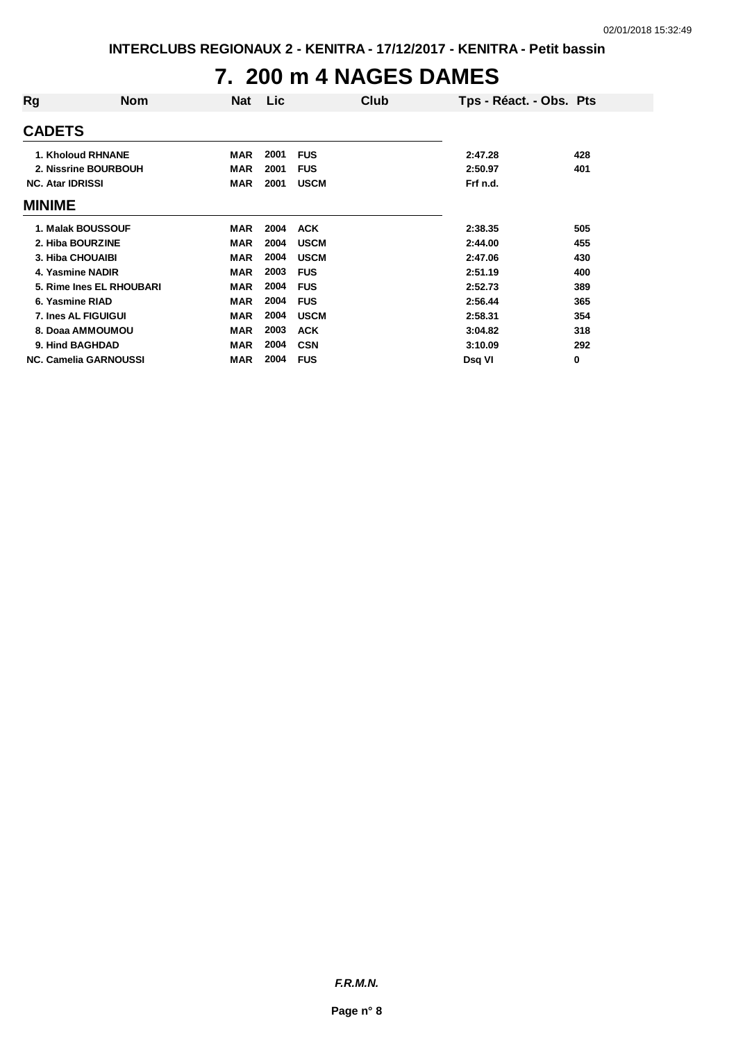#### **7. 200 m 4 NAGES DAMES**

| Rg                           | <b>Nom</b>               | <b>Nat</b> | <b>Lic</b> |             | Club | Tps - Réact. - Obs. Pts |     |
|------------------------------|--------------------------|------------|------------|-------------|------|-------------------------|-----|
| <b>CADETS</b>                |                          |            |            |             |      |                         |     |
| 1. Kholoud RHNANE            |                          | MAR        | 2001       | <b>FUS</b>  |      | 2:47.28                 | 428 |
|                              | 2. Nissrine BOURBOUH     | MAR        | 2001       | <b>FUS</b>  |      | 2:50.97                 | 401 |
| <b>NC. Atar IDRISSI</b>      |                          | <b>MAR</b> | 2001       | <b>USCM</b> |      | Frf n.d.                |     |
| <b>MINIME</b>                |                          |            |            |             |      |                         |     |
| 1. Malak BOUSSOUF            |                          | MAR        | 2004       | <b>ACK</b>  |      | 2:38.35                 | 505 |
| 2. Hiba BOURZINE             |                          | <b>MAR</b> | 2004       | <b>USCM</b> |      | 2:44.00                 | 455 |
| 3. Hiba CHOUAIBI             |                          | <b>MAR</b> | 2004       | <b>USCM</b> |      | 2:47.06                 | 430 |
| 4. Yasmine NADIR             |                          | <b>MAR</b> | 2003       | <b>FUS</b>  |      | 2:51.19                 | 400 |
|                              | 5. Rime Ines EL RHOUBARI | <b>MAR</b> | 2004       | <b>FUS</b>  |      | 2:52.73                 | 389 |
| 6. Yasmine RIAD              |                          | <b>MAR</b> | 2004       | <b>FUS</b>  |      | 2:56.44                 | 365 |
| 7. Ines AL FIGUIGUI          |                          | <b>MAR</b> | 2004       | <b>USCM</b> |      | 2:58.31                 | 354 |
| 8. Doaa AMMOUMOU             |                          | <b>MAR</b> | 2003       | <b>ACK</b>  |      | 3:04.82                 | 318 |
| 9. Hind BAGHDAD              |                          | MAR        | 2004       | <b>CSN</b>  |      | 3:10.09                 | 292 |
| <b>NC. Camelia GARNOUSSI</b> |                          | MAR        | 2004       | <b>FUS</b>  |      | Dsq VI                  | 0   |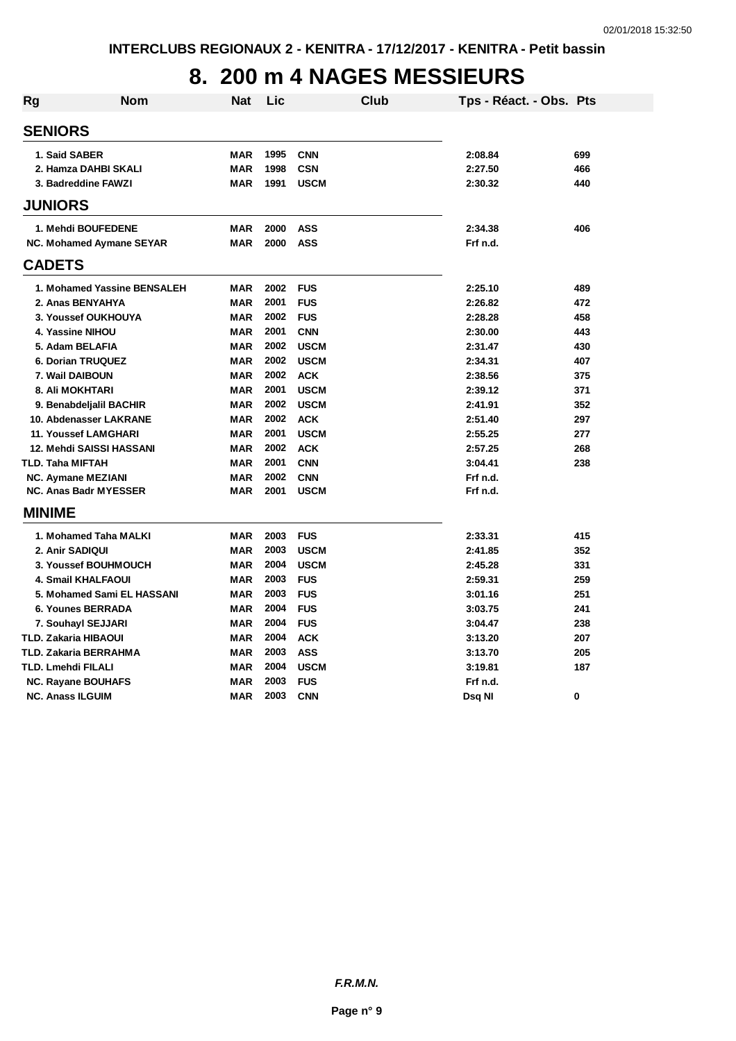## **8. 200 m 4 NAGES MESSIEURS**

| <b>Rg</b>               | <b>Nom</b>                      | <b>Nat</b> | Lic  | <b>Club</b> | Tps - Réact. - Obs. Pts |     |
|-------------------------|---------------------------------|------------|------|-------------|-------------------------|-----|
| <b>SENIORS</b>          |                                 |            |      |             |                         |     |
| 1. Said SABER           |                                 | <b>MAR</b> | 1995 | <b>CNN</b>  | 2:08.84                 | 699 |
|                         | 2. Hamza DAHBI SKALI            | <b>MAR</b> | 1998 | <b>CSN</b>  | 2:27.50                 | 466 |
|                         | 3. Badreddine FAWZI             | <b>MAR</b> | 1991 | <b>USCM</b> | 2:30.32                 | 440 |
| <b>JUNIORS</b>          |                                 |            |      |             |                         |     |
|                         | 1. Mehdi BOUFEDENE              | <b>MAR</b> | 2000 | <b>ASS</b>  | 2:34.38                 | 406 |
|                         | NC. Mohamed Aymane SEYAR        | <b>MAR</b> | 2000 | <b>ASS</b>  | Frf n.d.                |     |
| <b>CADETS</b>           |                                 |            |      |             |                         |     |
|                         | 1. Mohamed Yassine BENSALEH     | <b>MAR</b> | 2002 | <b>FUS</b>  | 2:25.10                 | 489 |
|                         | 2. Anas BENYAHYA                | <b>MAR</b> | 2001 | <b>FUS</b>  | 2:26.82                 | 472 |
|                         | 3. Youssef OUKHOUYA             | MAR        | 2002 | <b>FUS</b>  | 2:28.28                 | 458 |
|                         | 4. Yassine NIHOU                | <b>MAR</b> | 2001 | <b>CNN</b>  | 2:30.00                 | 443 |
|                         | 5. Adam BELAFIA                 | <b>MAR</b> | 2002 | <b>USCM</b> | 2:31.47                 | 430 |
|                         | <b>6. Dorian TRUQUEZ</b>        | <b>MAR</b> | 2002 | <b>USCM</b> | 2:34.31                 | 407 |
|                         | 7. Wail DAIBOUN                 | <b>MAR</b> | 2002 | <b>ACK</b>  | 2:38.56                 | 375 |
|                         | 8. Ali MOKHTARI                 | <b>MAR</b> | 2001 | <b>USCM</b> | 2:39.12                 | 371 |
|                         | 9. Benabdeljalil BACHIR         | <b>MAR</b> | 2002 | <b>USCM</b> | 2:41.91                 | 352 |
|                         | 10. Abdenasser LAKRANE          | <b>MAR</b> | 2002 | <b>ACK</b>  | 2:51.40                 | 297 |
|                         | <b>11. Youssef LAMGHARI</b>     | <b>MAR</b> | 2001 | <b>USCM</b> | 2:55.25                 | 277 |
|                         | <b>12. Mehdi SAISSI HASSANI</b> | <b>MAR</b> | 2002 | <b>ACK</b>  | 2:57.25                 | 268 |
| TLD. Taha MIFTAH        |                                 | <b>MAR</b> | 2001 | <b>CNN</b>  | 3:04.41                 | 238 |
|                         | <b>NC. Aymane MEZIANI</b>       | <b>MAR</b> | 2002 | <b>CNN</b>  | Frf n.d.                |     |
|                         | <b>NC. Anas Badr MYESSER</b>    | <b>MAR</b> | 2001 | <b>USCM</b> | Frf n.d.                |     |
| <b>MINIME</b>           |                                 |            |      |             |                         |     |
|                         | 1. Mohamed Taha MALKI           | <b>MAR</b> | 2003 | <b>FUS</b>  | 2:33.31                 | 415 |
| 2. Anir SADIQUI         |                                 | <b>MAR</b> | 2003 | <b>USCM</b> | 2:41.85                 | 352 |
|                         | 3. Youssef BOUHMOUCH            | <b>MAR</b> | 2004 | <b>USCM</b> | 2:45.28                 | 331 |
|                         | <b>4. Smail KHALFAOUI</b>       | <b>MAR</b> | 2003 | <b>FUS</b>  | 2:59.31                 | 259 |
|                         | 5. Mohamed Sami EL HASSANI      | <b>MAR</b> | 2003 | <b>FUS</b>  | 3:01.16                 | 251 |
|                         | <b>6. Younes BERRADA</b>        | <b>MAR</b> | 2004 | <b>FUS</b>  | 3:03.75                 | 241 |
|                         | 7. Souhayl SEJJARI              | <b>MAR</b> | 2004 | <b>FUS</b>  | 3:04.47                 | 238 |
|                         | TLD. Zakaria HIBAOUI            | <b>MAR</b> | 2004 | <b>ACK</b>  | 3:13.20                 | 207 |
|                         | TLD. Zakaria BERRAHMA           | <b>MAR</b> | 2003 | <b>ASS</b>  | 3:13.70                 | 205 |
| TLD. Lmehdi FILALI      |                                 | <b>MAR</b> | 2004 | <b>USCM</b> | 3:19.81                 | 187 |
|                         | NC. Rayane BOUHAFS              | <b>MAR</b> | 2003 | <b>FUS</b>  | Frf n.d.                |     |
| <b>NC. Anass ILGUIM</b> |                                 | <b>MAR</b> | 2003 | <b>CNN</b>  | Dsq NI                  | 0   |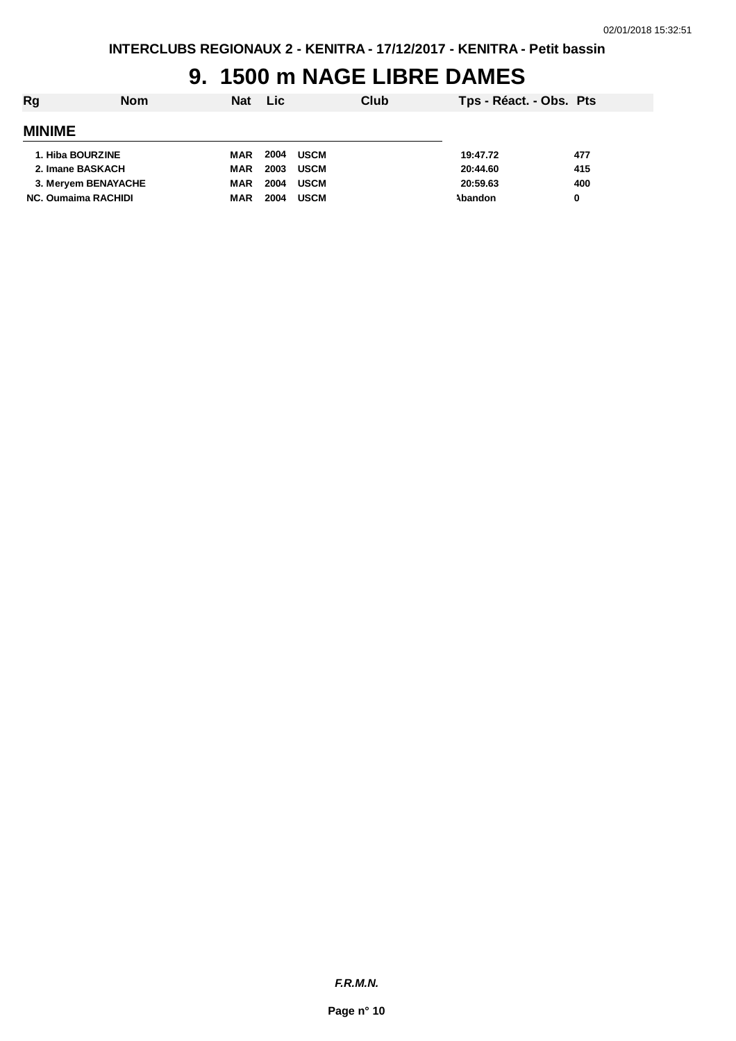## **9. 1500 m NAGE LIBRE DAMES**

| Rg                         | <b>Nom</b> | <b>Nat</b> | <b>Lic</b> |             | Club | Tps - Réact. - Obs. Pts |     |
|----------------------------|------------|------------|------------|-------------|------|-------------------------|-----|
| <b>MINIME</b>              |            |            |            |             |      |                         |     |
| 1. Hiba BOURZINE           |            | MAR        | 2004       | <b>USCM</b> |      | 19:47.72                | 477 |
| 2. Imane BASKACH           |            | <b>MAR</b> | 2003       | <b>USCM</b> |      | 20:44.60                | 415 |
| 3. Mervem BENAYACHE        |            | MAR        | 2004       | <b>USCM</b> |      | 20:59.63                | 400 |
| <b>NC. Oumaima RACHIDI</b> |            | MAR        | 2004       | <b>USCM</b> |      | Abandon                 | 0   |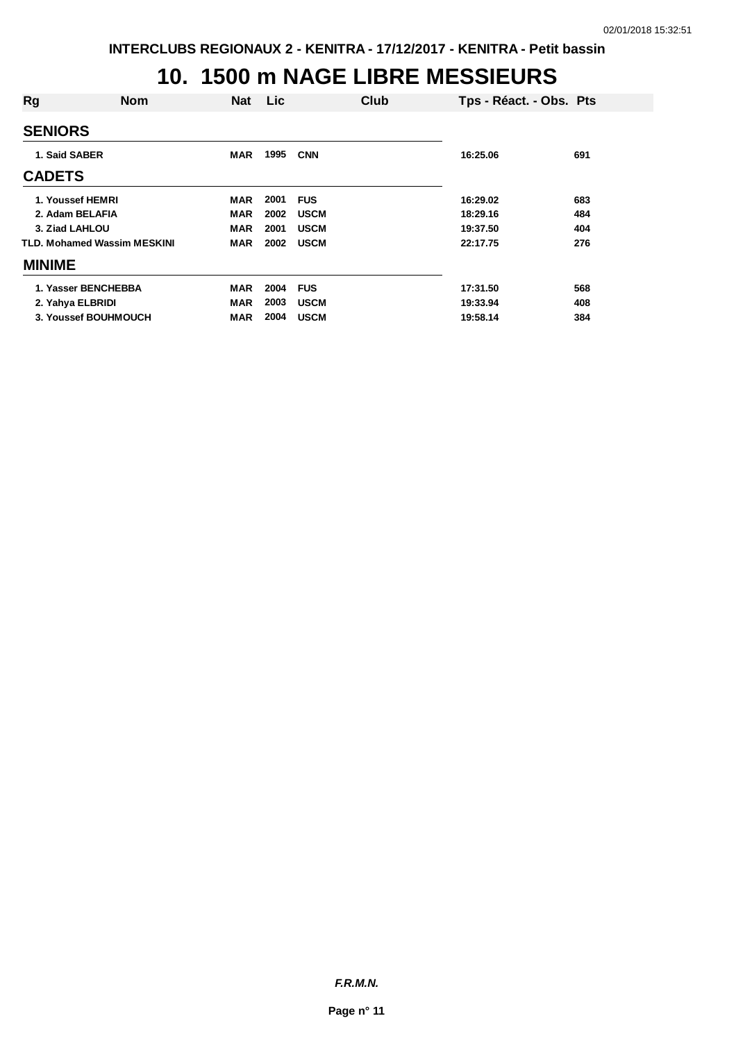#### **10. 1500 m NAGE LIBRE MESSIEURS**

| Rg             | <b>Nom</b>                  | <b>Nat</b> | Lic  |             | Club | Tps - Réact. - Obs. Pts |     |
|----------------|-----------------------------|------------|------|-------------|------|-------------------------|-----|
| <b>SENIORS</b> |                             |            |      |             |      |                         |     |
| 1. Said SABER  |                             | <b>MAR</b> | 1995 | <b>CNN</b>  |      | 16:25.06                | 691 |
| <b>CADETS</b>  |                             |            |      |             |      |                         |     |
|                | 1. Youssef HEMRI            | <b>MAR</b> | 2001 | <b>FUS</b>  |      | 16:29.02                | 683 |
|                | 2. Adam BELAFIA             | MAR        | 2002 | <b>USCM</b> |      | 18:29.16                | 484 |
| 3. Ziad LAHLOU |                             | <b>MAR</b> | 2001 | <b>USCM</b> |      | 19:37.50                | 404 |
|                | TLD. Mohamed Wassim MESKINI | <b>MAR</b> | 2002 | <b>USCM</b> |      | 22:17.75                | 276 |
| <b>MINIME</b>  |                             |            |      |             |      |                         |     |
|                | 1. Yasser BENCHEBBA         | MAR        | 2004 | <b>FUS</b>  |      | 17:31.50                | 568 |
|                | 2. Yahya ELBRIDI            | <b>MAR</b> | 2003 | <b>USCM</b> |      | 19:33.94                | 408 |
|                | 3. Youssef BOUHMOUCH        | MAR        | 2004 | <b>USCM</b> |      | 19:58.14                | 384 |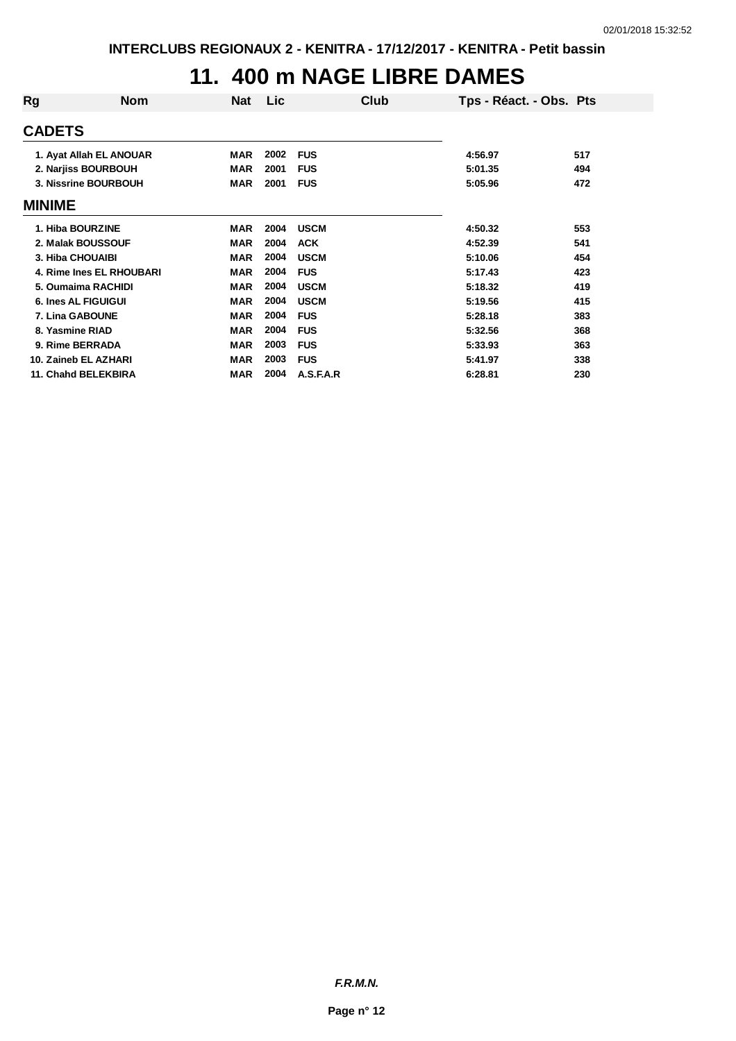### **11. 400 m NAGE LIBRE DAMES**

| Rg                         | <b>Nom</b>               | Nat        | Lic  | Club        | Tps - Réact. - Obs. Pts |     |
|----------------------------|--------------------------|------------|------|-------------|-------------------------|-----|
| <b>CADETS</b>              |                          |            |      |             |                         |     |
|                            | 1. Ayat Allah EL ANOUAR  | <b>MAR</b> | 2002 | <b>FUS</b>  | 4:56.97                 | 517 |
|                            | 2. Narjiss BOURBOUH      | <b>MAR</b> | 2001 | <b>FUS</b>  | 5:01.35                 | 494 |
|                            | 3. Nissrine BOURBOUH     | <b>MAR</b> | 2001 | <b>FUS</b>  | 5:05.96                 | 472 |
| MINIME                     |                          |            |      |             |                         |     |
| 1. Hiba BOURZINE           |                          | <b>MAR</b> | 2004 | <b>USCM</b> | 4:50.32                 | 553 |
|                            | 2. Malak BOUSSOUF        | <b>MAR</b> | 2004 | <b>ACK</b>  | 4:52.39                 | 541 |
| 3. Hiba CHOUAIBI           |                          | <b>MAR</b> | 2004 | <b>USCM</b> | 5:10.06                 | 454 |
|                            | 4. Rime Ines EL RHOUBARI | <b>MAR</b> | 2004 | <b>FUS</b>  | 5:17.43                 | 423 |
|                            | 5. Oumaima RACHIDI       | <b>MAR</b> | 2004 | <b>USCM</b> | 5:18.32                 | 419 |
| <b>6. Ines AL FIGUIGUI</b> |                          | <b>MAR</b> | 2004 | <b>USCM</b> | 5:19.56                 | 415 |
| 7. Lina GABOUNE            |                          | <b>MAR</b> | 2004 | <b>FUS</b>  | 5:28.18                 | 383 |
| 8. Yasmine RIAD            |                          | <b>MAR</b> | 2004 | <b>FUS</b>  | 5:32.56                 | 368 |
| 9. Rime BERRADA            |                          | <b>MAR</b> | 2003 | <b>FUS</b>  | 5:33.93                 | 363 |
|                            | 10. Zaineb EL AZHARI     | <b>MAR</b> | 2003 | <b>FUS</b>  | 5:41.97                 | 338 |
|                            | 11. Chahd BELEKBIRA      | <b>MAR</b> | 2004 | A.S.F.A.R   | 6:28.81                 | 230 |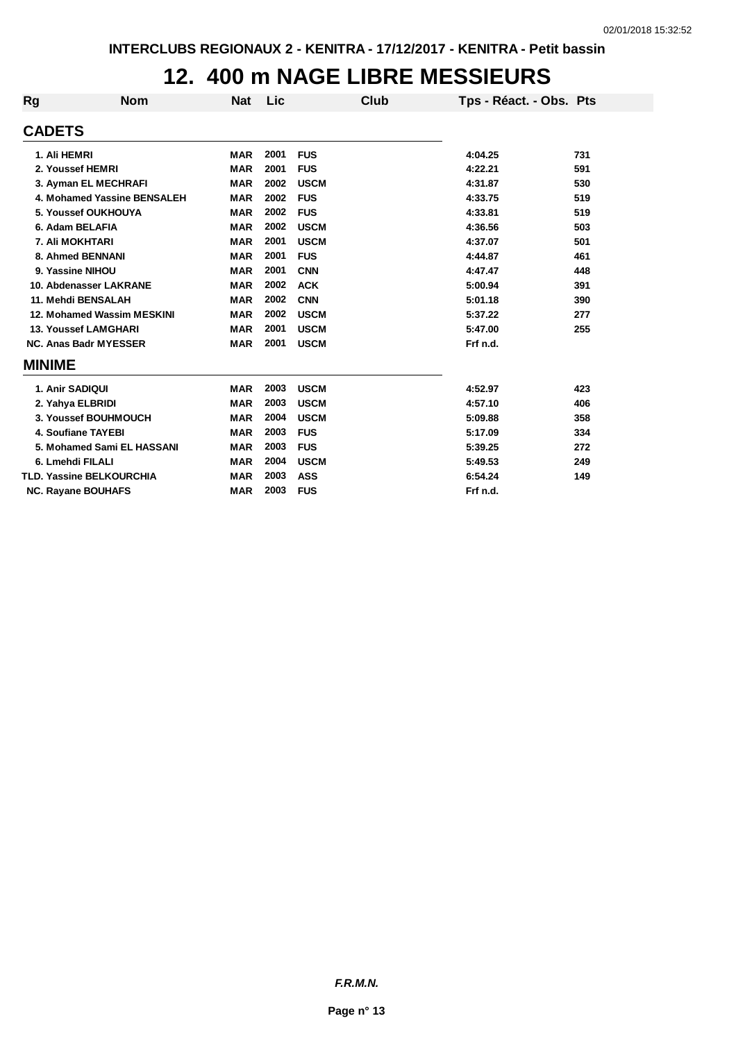## **12. 400 m NAGE LIBRE MESSIEURS**

| <b>Rg</b>       | <b>Nom</b>                      | <b>Nat</b> | Lic  |             | Club | Tps - Réact. - Obs. Pts |     |
|-----------------|---------------------------------|------------|------|-------------|------|-------------------------|-----|
| <b>CADETS</b>   |                                 |            |      |             |      |                         |     |
| 1. Ali HEMRI    |                                 | <b>MAR</b> | 2001 | <b>FUS</b>  |      | 4:04.25                 | 731 |
|                 | 2. Youssef HEMRI                | <b>MAR</b> | 2001 | <b>FUS</b>  |      | 4:22.21                 | 591 |
|                 | 3. Ayman EL MECHRAFI            | <b>MAR</b> | 2002 | <b>USCM</b> |      | 4:31.87                 | 530 |
|                 | 4. Mohamed Yassine BENSALEH     | <b>MAR</b> | 2002 | <b>FUS</b>  |      | 4:33.75                 | 519 |
|                 | 5. Youssef OUKHOUYA             | <b>MAR</b> | 2002 | <b>FUS</b>  |      | 4:33.81                 | 519 |
|                 | 6. Adam BELAFIA                 | <b>MAR</b> | 2002 | <b>USCM</b> |      | 4:36.56                 | 503 |
|                 | 7. Ali MOKHTARI                 | <b>MAR</b> | 2001 | <b>USCM</b> |      | 4:37.07                 | 501 |
|                 | 8. Ahmed BENNANI                | <b>MAR</b> | 2001 | <b>FUS</b>  |      | 4:44.87                 | 461 |
|                 | 9. Yassine NIHOU                | <b>MAR</b> | 2001 | <b>CNN</b>  |      | 4:47.47                 | 448 |
|                 | 10. Abdenasser LAKRANE          | <b>MAR</b> | 2002 | <b>ACK</b>  |      | 5:00.94                 | 391 |
|                 | 11. Mehdi BENSALAH              | <b>MAR</b> | 2002 | <b>CNN</b>  |      | 5:01.18                 | 390 |
|                 | 12. Mohamed Wassim MESKINI      | <b>MAR</b> | 2002 | <b>USCM</b> |      | 5:37.22                 | 277 |
|                 | <b>13. Youssef LAMGHARI</b>     | <b>MAR</b> | 2001 | <b>USCM</b> |      | 5:47.00                 | 255 |
|                 | <b>NC. Anas Badr MYESSER</b>    | <b>MAR</b> | 2001 | <b>USCM</b> |      | Frf n.d.                |     |
| <b>MINIME</b>   |                                 |            |      |             |      |                         |     |
| 1. Anir SADIQUI |                                 | <b>MAR</b> | 2003 | <b>USCM</b> |      | 4:52.97                 | 423 |
|                 | 2. Yahya ELBRIDI                | <b>MAR</b> | 2003 | <b>USCM</b> |      | 4:57.10                 | 406 |
|                 | 3. Youssef BOUHMOUCH            | <b>MAR</b> | 2004 | <b>USCM</b> |      | 5:09.88                 | 358 |
|                 | 4. Soufiane TAYEBI              | <b>MAR</b> | 2003 | <b>FUS</b>  |      | 5:17.09                 | 334 |
|                 | 5. Mohamed Sami EL HASSANI      | <b>MAR</b> | 2003 | <b>FUS</b>  |      | 5:39.25                 | 272 |
|                 | 6. Lmehdi FILALI                | <b>MAR</b> | 2004 | <b>USCM</b> |      | 5:49.53                 | 249 |
|                 | <b>TLD. Yassine BELKOURCHIA</b> | <b>MAR</b> | 2003 | <b>ASS</b>  |      | 6:54.24                 | 149 |
|                 | <b>NC. Rayane BOUHAFS</b>       | <b>MAR</b> | 2003 | <b>FUS</b>  |      | Frf n.d.                |     |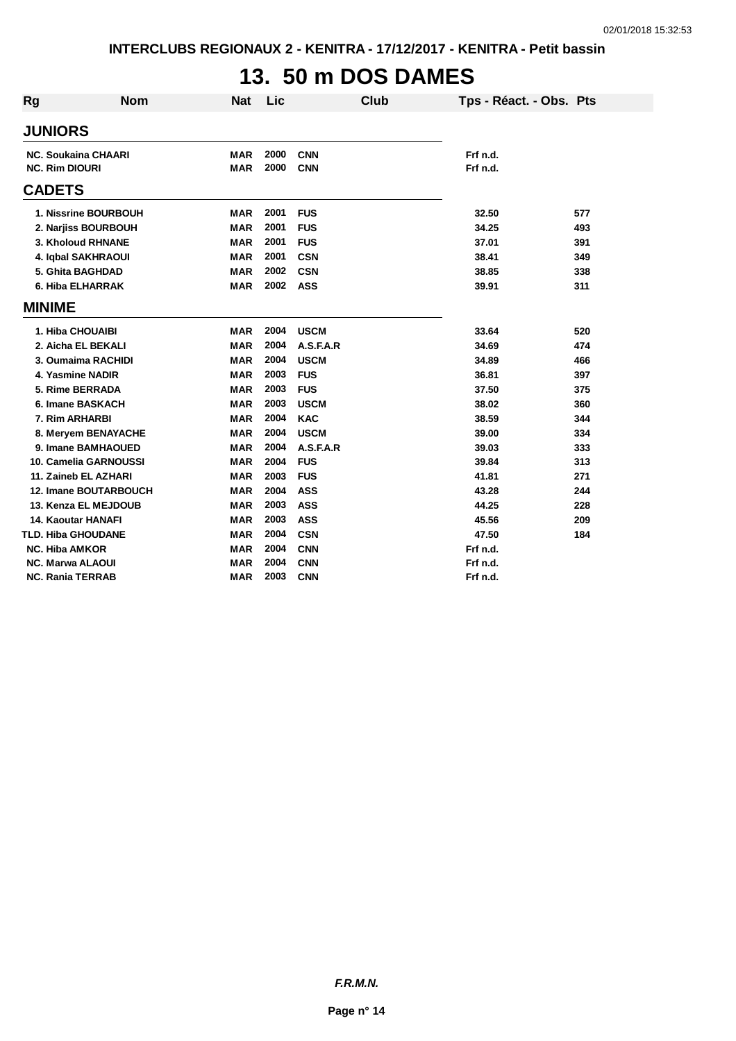# **13. 50 m DOS DAMES**

| <b>Rg</b> | <b>Nom</b>                                          | <b>Nat</b>        | Lic          |                          | Club | Tps - Réact. - Obs. Pts |     |
|-----------|-----------------------------------------------------|-------------------|--------------|--------------------------|------|-------------------------|-----|
|           | <b>JUNIORS</b>                                      |                   |              |                          |      |                         |     |
|           | <b>NC. Soukaina CHAARI</b><br><b>NC. Rim DIOURI</b> | MAR<br><b>MAR</b> | 2000<br>2000 | <b>CNN</b><br><b>CNN</b> |      | Frf n.d.<br>Frf n.d.    |     |
|           | <b>CADETS</b>                                       |                   |              |                          |      |                         |     |
|           | 1. Nissrine BOURBOUH                                | <b>MAR</b>        | 2001         | <b>FUS</b>               |      | 32.50                   | 577 |
|           | 2. Narjiss BOURBOUH                                 | <b>MAR</b>        | 2001         | <b>FUS</b>               |      | 34.25                   | 493 |
|           | 3. Kholoud RHNANE                                   | <b>MAR</b>        | 2001         | <b>FUS</b>               |      | 37.01                   | 391 |
|           | 4. Iqbal SAKHRAOUI                                  | <b>MAR</b>        | 2001         | <b>CSN</b>               |      | 38.41                   | 349 |
|           | 5. Ghita BAGHDAD                                    | <b>MAR</b>        | 2002         | <b>CSN</b>               |      | 38.85                   | 338 |
|           | 6. Hiba ELHARRAK                                    | <b>MAR</b>        | 2002         | <b>ASS</b>               |      | 39.91                   | 311 |
|           | <b>MINIME</b>                                       |                   |              |                          |      |                         |     |
|           | 1. Hiba CHOUAIBI                                    | <b>MAR</b>        | 2004         | <b>USCM</b>              |      | 33.64                   | 520 |
|           | 2. Aicha EL BEKALI                                  | <b>MAR</b>        | 2004         | A.S.F.A.R                |      | 34.69                   | 474 |
|           | 3. Oumaima RACHIDI                                  | <b>MAR</b>        | 2004         | <b>USCM</b>              |      | 34.89                   | 466 |
|           | 4. Yasmine NADIR                                    | <b>MAR</b>        | 2003         | <b>FUS</b>               |      | 36.81                   | 397 |
|           | 5. Rime BERRADA                                     | <b>MAR</b>        | 2003         | <b>FUS</b>               |      | 37.50                   | 375 |
|           | 6. Imane BASKACH                                    | <b>MAR</b>        | 2003         | <b>USCM</b>              |      | 38.02                   | 360 |
|           | 7. Rim ARHARBI                                      | <b>MAR</b>        | 2004         | <b>KAC</b>               |      | 38.59                   | 344 |
|           | 8. Meryem BENAYACHE                                 | <b>MAR</b>        | 2004         | <b>USCM</b>              |      | 39.00                   | 334 |
|           | 9. Imane BAMHAOUED                                  | <b>MAR</b>        | 2004         | A.S.F.A.R                |      | 39.03                   | 333 |
|           | 10. Camelia GARNOUSSI                               | <b>MAR</b>        | 2004         | <b>FUS</b>               |      | 39.84                   | 313 |
|           | 11. Zaineb EL AZHARI                                | <b>MAR</b>        | 2003         | <b>FUS</b>               |      | 41.81                   | 271 |
|           | <b>12. Imane BOUTARBOUCH</b>                        | <b>MAR</b>        | 2004         | <b>ASS</b>               |      | 43.28                   | 244 |
|           | 13. Kenza EL MEJDOUB                                | <b>MAR</b>        | 2003         | <b>ASS</b>               |      | 44.25                   | 228 |
|           | <b>14. Kaoutar HANAFI</b>                           | <b>MAR</b>        | 2003         | <b>ASS</b>               |      | 45.56                   | 209 |
|           | <b>TLD. Hiba GHOUDANE</b>                           | <b>MAR</b>        | 2004         | <b>CSN</b>               |      | 47.50                   | 184 |
|           | <b>NC. Hiba AMKOR</b>                               | <b>MAR</b>        | 2004         | <b>CNN</b>               |      | Frf n.d.                |     |
|           | <b>NC. Marwa ALAOUI</b>                             | <b>MAR</b>        | 2004         | <b>CNN</b>               |      | Frf n.d.                |     |
|           | <b>NC. Rania TERRAB</b>                             | <b>MAR</b>        | 2003         | <b>CNN</b>               |      | Frf n.d.                |     |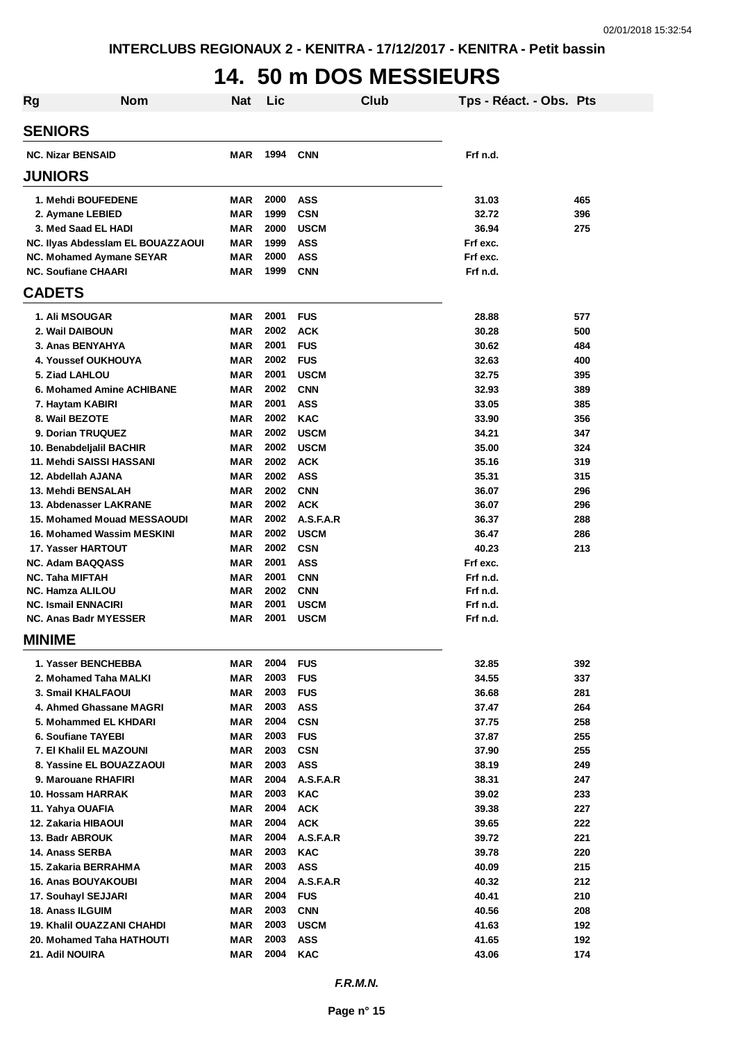## **14. 50 m DOS MESSIEURS**

| <b>Rg</b>                                                  | <b>Nom</b>                        | <b>Nat</b>        | Lic          |                            | Club | Tps - Réact. - Obs. Pts |            |
|------------------------------------------------------------|-----------------------------------|-------------------|--------------|----------------------------|------|-------------------------|------------|
| <b>SENIORS</b>                                             |                                   |                   |              |                            |      |                         |            |
| <b>NC. Nizar BENSAID</b>                                   |                                   | MAR               | 1994         | <b>CNN</b>                 |      | Frf n.d.                |            |
| <b>JUNIORS</b>                                             |                                   |                   |              |                            |      |                         |            |
| 1. Mehdi BOUFEDENE                                         |                                   | MAR               | 2000         | <b>ASS</b>                 |      | 31.03                   | 465        |
| 2. Aymane LEBIED                                           |                                   | <b>MAR</b>        | 1999         | <b>CSN</b>                 |      | 32.72                   | 396        |
| 3. Med Saad EL HADI                                        |                                   | <b>MAR</b>        | 2000         | <b>USCM</b>                |      | 36.94                   | 275        |
|                                                            | NC. Ilyas Abdessiam EL BOUAZZAOUI | <b>MAR</b>        | 1999         | <b>ASS</b>                 |      | Frf exc.                |            |
| NC. Mohamed Aymane SEYAR                                   |                                   | <b>MAR</b>        | 2000         | <b>ASS</b>                 |      | Frf exc.                |            |
| <b>NC. Soufiane CHAARI</b>                                 |                                   | <b>MAR</b>        | 1999         | <b>CNN</b>                 |      | Frf n.d.                |            |
| <b>CADETS</b>                                              |                                   |                   |              |                            |      |                         |            |
| <b>1. Ali MSOUGAR</b>                                      |                                   | MAR               | 2001         | <b>FUS</b>                 |      | 28.88                   | 577        |
| 2. Wail DAIBOUN                                            |                                   | <b>MAR</b>        | 2002         | <b>ACK</b>                 |      | 30.28                   | 500        |
| 3. Anas BENYAHYA                                           |                                   | <b>MAR</b>        | 2001         | <b>FUS</b>                 |      | 30.62                   | 484        |
| 4. Youssef OUKHOUYA                                        |                                   | <b>MAR</b>        | 2002         | <b>FUS</b>                 |      | 32.63                   | 400        |
| 5. Ziad LAHLOU                                             |                                   | MAR               | 2001         | <b>USCM</b>                |      | 32.75                   | 395        |
|                                                            | 6. Mohamed Amine ACHIBANE         | <b>MAR</b>        | 2002         | <b>CNN</b>                 |      | 32.93                   | 389        |
| 7. Haytam KABIRI                                           |                                   | <b>MAR</b>        | 2001         | <b>ASS</b>                 |      | 33.05                   | 385        |
| 8. Wail BEZOTE                                             |                                   | <b>MAR</b>        | 2002         | <b>KAC</b>                 |      | 33.90                   | 356        |
| 9. Dorian TRUQUEZ                                          |                                   | <b>MAR</b>        | 2002         | <b>USCM</b>                |      | 34.21                   | 347        |
| 10. Benabdeljalil BACHIR                                   |                                   | MAR               | 2002         | <b>USCM</b>                |      | 35.00                   | 324        |
| 11. Mehdi SAISSI HASSANI                                   |                                   | <b>MAR</b>        | 2002         | <b>ACK</b>                 |      | 35.16                   | 319        |
| 12. Abdellah AJANA                                         |                                   | MAR               | 2002         | <b>ASS</b>                 |      | 35.31                   | 315        |
| 13. Mehdi BENSALAH                                         |                                   | MAR               | 2002         | <b>CNN</b>                 |      | 36.07                   | 296        |
| 13. Abdenasser LAKRANE                                     |                                   | MAR               | 2002         | <b>ACK</b>                 |      | 36.07                   | 296        |
|                                                            | 15. Mohamed Mouad MESSAOUDI       | MAR               | 2002         | A.S.F.A.R                  |      | 36.37                   | 288        |
|                                                            | <b>16. Mohamed Wassim MESKINI</b> | MAR               | 2002         | <b>USCM</b>                |      | 36.47                   | 286        |
| 17. Yasser HARTOUT                                         |                                   | MAR               | 2002         | <b>CSN</b>                 |      | 40.23                   | 213        |
| <b>NC. Adam BAQQASS</b>                                    |                                   | <b>MAR</b>        | 2001         | ASS                        |      | Frf exc.                |            |
| <b>NC. Taha MIFTAH</b>                                     |                                   | <b>MAR</b>        | 2001         | <b>CNN</b>                 |      | Frf n.d.                |            |
| <b>NC. Hamza ALILOU</b>                                    |                                   | MAR<br><b>MAR</b> | 2002<br>2001 | <b>CNN</b>                 |      | Frf n.d.                |            |
| <b>NC. Ismail ENNACIRI</b><br><b>NC. Anas Badr MYESSER</b> |                                   | MAR               | 2001         | <b>USCM</b><br><b>USCM</b> |      | Frf n.d.<br>Frf n.d.    |            |
| MINIME                                                     |                                   |                   |              |                            |      |                         |            |
|                                                            |                                   |                   |              |                            |      |                         |            |
| 1. Yasser BENCHEBBA                                        |                                   | MAR               | 2004         | <b>FUS</b>                 |      | 32.85                   | 392        |
| 2. Mohamed Taha MALKI                                      |                                   | <b>MAR</b>        | 2003         | <b>FUS</b>                 |      | 34.55                   | 337        |
| 3. Smail KHALFAOUI                                         |                                   | <b>MAR</b>        | 2003         | <b>FUS</b>                 |      | 36.68                   | 281        |
| 4. Ahmed Ghassane MAGRI                                    |                                   | MAR               | 2003         | <b>ASS</b>                 |      | 37.47                   | 264        |
| 5. Mohammed EL KHDARI                                      |                                   | <b>MAR</b>        | 2004<br>2003 | <b>CSN</b><br><b>FUS</b>   |      | 37.75                   | 258<br>255 |
| 6. Soufiane TAYEBI                                         |                                   | MAR               | 2003         |                            |      | 37.87                   |            |
| 7. El Khalil EL MAZOUNI<br>8. Yassine EL BOUAZZAOUI        |                                   | MAR<br>MAR        | 2003         | <b>CSN</b><br><b>ASS</b>   |      | 37.90                   | 255<br>249 |
| 9. Marouane RHAFIRI                                        |                                   | <b>MAR</b>        | 2004         | A.S.F.A.R                  |      | 38.19<br>38.31          | 247        |
| 10. Hossam HARRAK                                          |                                   | <b>MAR</b>        | 2003         | <b>KAC</b>                 |      | 39.02                   | 233        |
| 11. Yahya OUAFIA                                           |                                   | MAR               | 2004         | <b>ACK</b>                 |      | 39.38                   | 227        |
| 12. Zakaria HIBAOUI                                        |                                   | MAR               | 2004         | <b>ACK</b>                 |      | 39.65                   | 222        |
| 13. Badr ABROUK                                            |                                   | MAR               | 2004         | A.S.F.A.R                  |      | 39.72                   | 221        |
| 14. Anass SERBA                                            |                                   | MAR               | 2003         | <b>KAC</b>                 |      | 39.78                   | 220        |
| 15. Zakaria BERRAHMA                                       |                                   | <b>MAR</b>        | 2003         | <b>ASS</b>                 |      | 40.09                   | 215        |
| <b>16. Anas BOUYAKOUBI</b>                                 |                                   | <b>MAR</b>        | 2004         | A.S.F.A.R                  |      | 40.32                   | 212        |
| 17. Souhayl SEJJARI                                        |                                   | MAR               | 2004         | <b>FUS</b>                 |      | 40.41                   | 210        |
| <b>18. Anass ILGUIM</b>                                    |                                   | <b>MAR</b>        | 2003         | <b>CNN</b>                 |      | 40.56                   | 208        |
| <b>19. Khalil OUAZZANI CHAHDI</b>                          |                                   | MAR               | 2003         | <b>USCM</b>                |      | 41.63                   | 192        |
| 20. Mohamed Taha HATHOUTI                                  |                                   | MAR               | 2003         | <b>ASS</b>                 |      | 41.65                   | 192        |
| 21. Adil NOUIRA                                            |                                   | <b>MAR</b>        | 2004         | <b>KAC</b>                 |      | 43.06                   | 174        |
|                                                            |                                   |                   |              |                            |      |                         |            |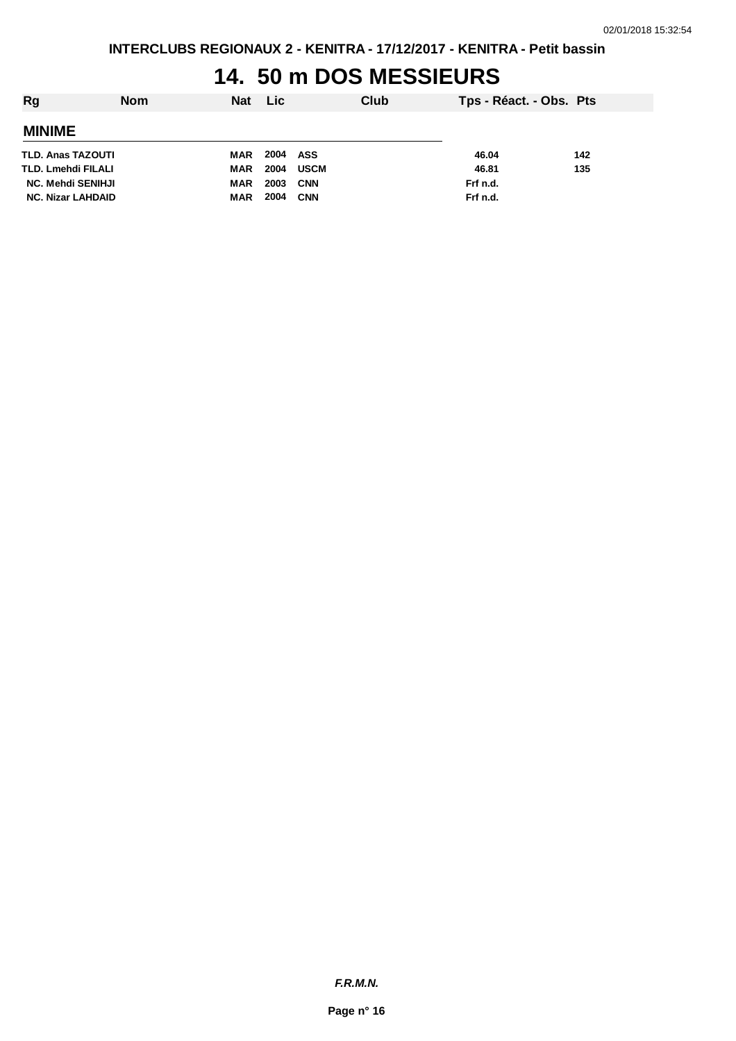#### **14. 50 m DOS MESSIEURS**

| Rg                       | <b>Nom</b> | <b>Nat</b> | Lic      |            | Club | Tps - Réact. - Obs. Pts |     |
|--------------------------|------------|------------|----------|------------|------|-------------------------|-----|
| <b>MINIME</b>            |            |            |          |            |      |                         |     |
| TLD. Anas TAZOUTI        |            | MAR        | 2004 ASS |            |      | 46.04                   | 142 |
| TLD. Lmehdi FILALI       |            | MAR        | 2004     | USCM       |      | 46.81                   | 135 |
| <b>NC. Mehdi SENIHJI</b> |            | MAR        | 2003     | CNN        |      | Frf n.d.                |     |
| <b>NC. Nizar LAHDAID</b> |            | MAR        | 2004     | <b>CNN</b> |      | Frf n.d.                |     |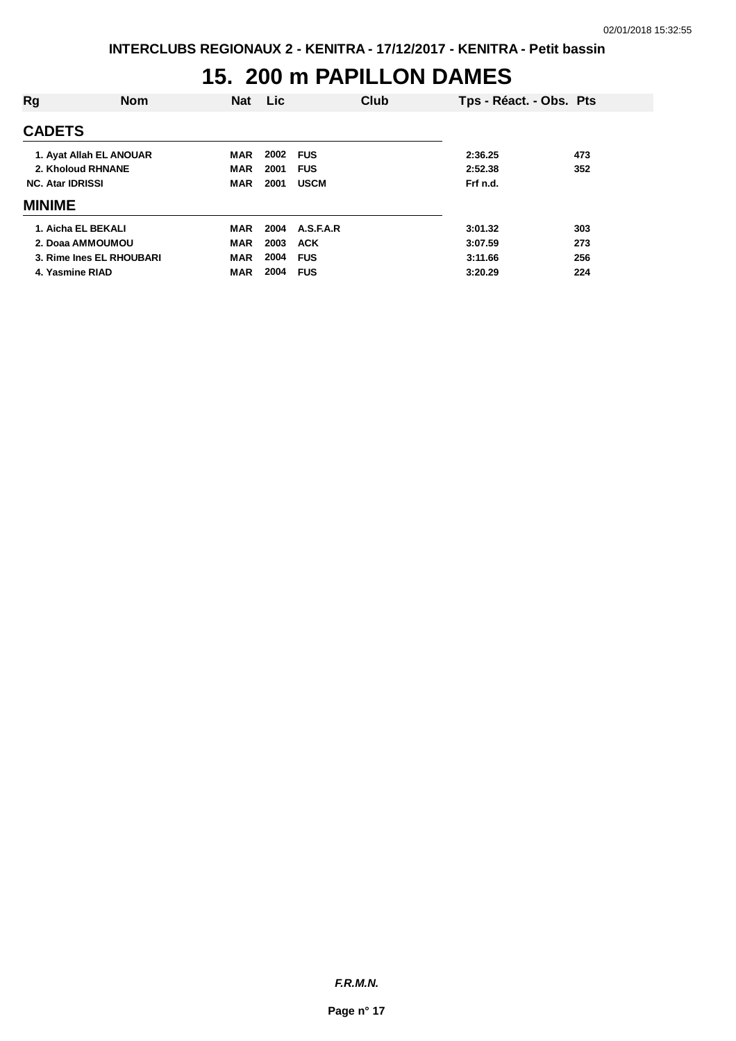#### **15. 200 m PAPILLON DAMES**

| Rg                       | <b>Nom</b> | <b>Nat</b> | <b>Lic</b> |             | Club | Tps - Réact. - Obs. Pts |     |
|--------------------------|------------|------------|------------|-------------|------|-------------------------|-----|
| <b>CADETS</b>            |            |            |            |             |      |                         |     |
| 1. Ayat Allah EL ANOUAR  |            | MAR        | 2002       | <b>FUS</b>  |      | 2:36.25                 | 473 |
| 2. Kholoud RHNANE        |            | <b>MAR</b> | 2001       | <b>FUS</b>  |      | 2:52.38                 | 352 |
| <b>NC. Atar IDRISSI</b>  |            | <b>MAR</b> | 2001       | <b>USCM</b> |      | Frf n.d.                |     |
| <b>MINIME</b>            |            |            |            |             |      |                         |     |
| 1. Aicha EL BEKALI       |            | <b>MAR</b> | 2004       | A.S.F.A.R   |      | 3:01.32                 | 303 |
| 2. Doaa AMMOUMOU         |            | <b>MAR</b> | 2003       | <b>ACK</b>  |      | 3:07.59                 | 273 |
| 3. Rime Ines EL RHOUBARI |            | <b>MAR</b> | 2004       | <b>FUS</b>  |      | 3:11.66                 | 256 |
| 4. Yasmine RIAD          |            | <b>MAR</b> | 2004       | <b>FUS</b>  |      | 3:20.29                 | 224 |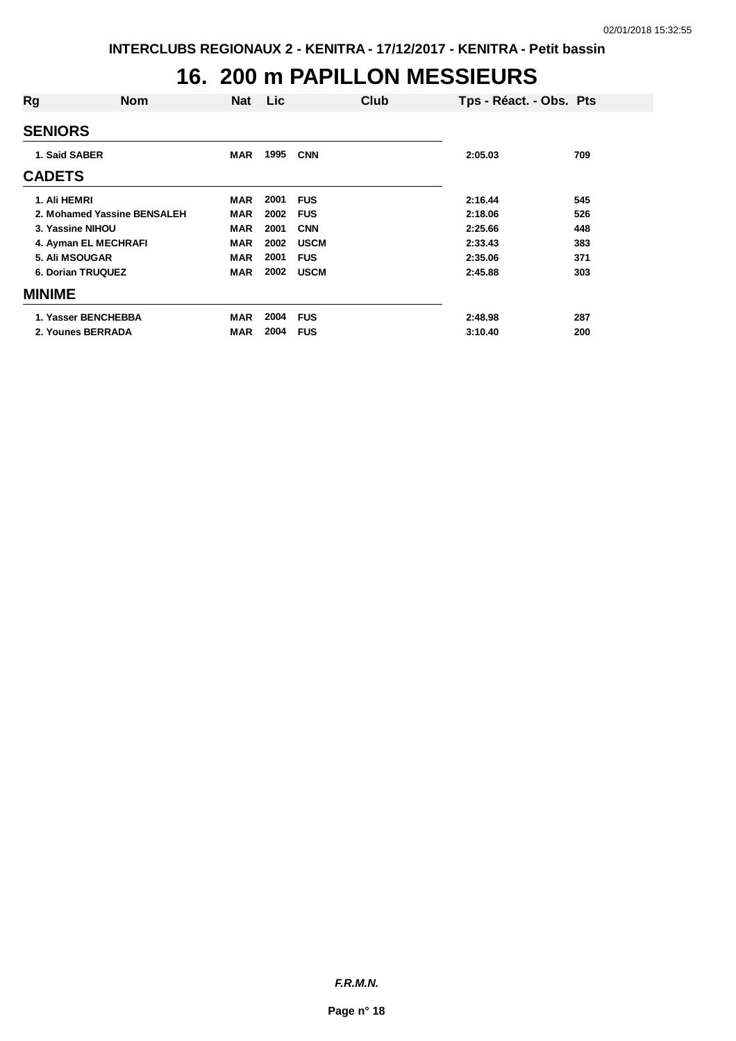#### **16. 200 m PAPILLON MESSIEURS**

| Rg                       | <b>Nom</b>                  | <b>Nat</b> | Lic  |             | Club | Tps - Réact. - Obs. Pts |     |
|--------------------------|-----------------------------|------------|------|-------------|------|-------------------------|-----|
| <b>SENIORS</b>           |                             |            |      |             |      |                         |     |
| 1. Said SABER            |                             | <b>MAR</b> | 1995 | <b>CNN</b>  |      | 2:05.03                 | 709 |
| <b>CADETS</b>            |                             |            |      |             |      |                         |     |
| 1. Ali HEMRI             |                             | <b>MAR</b> | 2001 | <b>FUS</b>  |      | 2:16.44                 | 545 |
|                          | 2. Mohamed Yassine BENSALEH | <b>MAR</b> | 2002 | <b>FUS</b>  |      | 2:18.06                 | 526 |
| 3. Yassine NIHOU         |                             | <b>MAR</b> | 2001 | <b>CNN</b>  |      | 2:25.66                 | 448 |
| 4. Ayman EL MECHRAFI     |                             | <b>MAR</b> | 2002 | <b>USCM</b> |      | 2:33.43                 | 383 |
| 5. Ali MSOUGAR           |                             | <b>MAR</b> | 2001 | <b>FUS</b>  |      | 2:35.06                 | 371 |
| <b>6. Dorian TRUQUEZ</b> |                             | <b>MAR</b> | 2002 | <b>USCM</b> |      | 2:45.88                 | 303 |
| <b>MINIME</b>            |                             |            |      |             |      |                         |     |
| 1. Yasser BENCHEBBA      |                             | <b>MAR</b> | 2004 | <b>FUS</b>  |      | 2:48.98                 | 287 |
| 2. Younes BERRADA        |                             | <b>MAR</b> | 2004 | <b>FUS</b>  |      | 3:10.40                 | 200 |
|                          |                             |            |      |             |      |                         |     |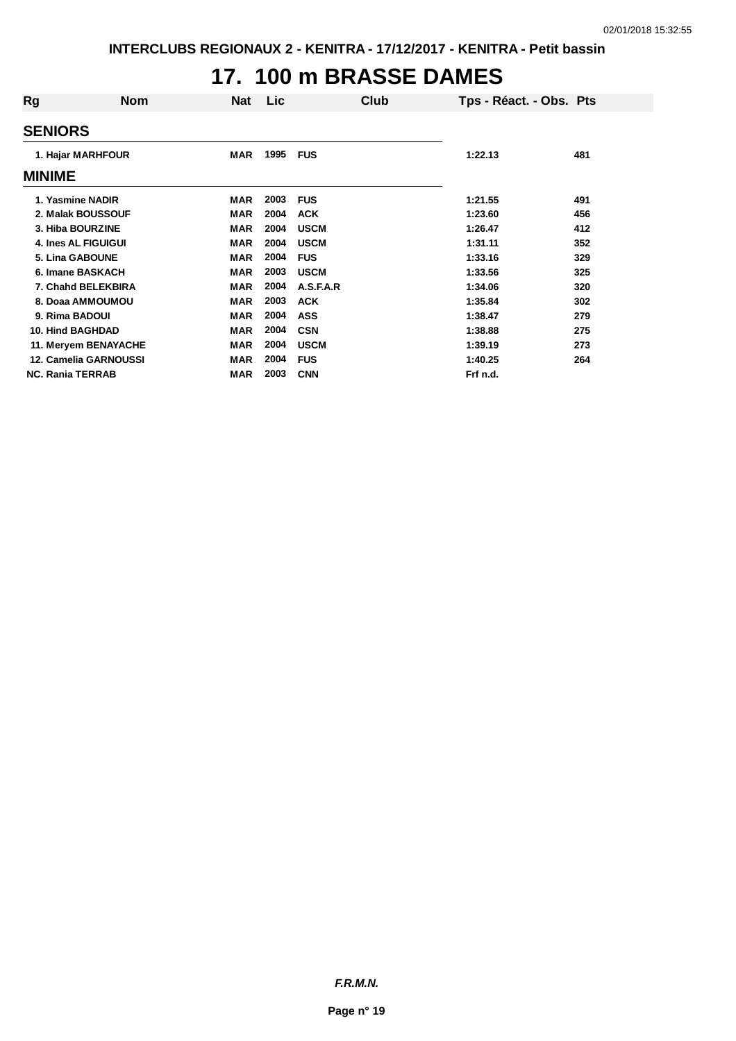## **17. 100 m BRASSE DAMES**

| Rg                      | <b>Nom</b>                 | <b>Nat</b> | Lic  | Club        | Tps - Réact. - Obs. Pts |     |
|-------------------------|----------------------------|------------|------|-------------|-------------------------|-----|
| <b>SENIORS</b>          |                            |            |      |             |                         |     |
|                         | 1. Hajar MARHFOUR          |            | 1995 | <b>FUS</b>  | 1:22.13                 | 481 |
| <b>MINIME</b>           |                            |            |      |             |                         |     |
|                         | 1. Yasmine NADIR           | <b>MAR</b> | 2003 | <b>FUS</b>  | 1:21.55                 | 491 |
|                         | 2. Malak BOUSSOUF          | <b>MAR</b> | 2004 | <b>ACK</b>  | 1:23.60                 | 456 |
|                         | 3. Hiba BOURZINE           | <b>MAR</b> | 2004 | <b>USCM</b> | 1:26.47                 | 412 |
|                         | <b>4. Ines AL FIGUIGUI</b> | <b>MAR</b> | 2004 | <b>USCM</b> | 1:31.11                 | 352 |
|                         | <b>5. Lina GABOUNE</b>     | <b>MAR</b> | 2004 | <b>FUS</b>  | 1:33.16                 | 329 |
|                         | 6. Imane BASKACH           | <b>MAR</b> | 2003 | <b>USCM</b> | 1:33.56                 | 325 |
|                         | 7. Chahd BELEKBIRA         | <b>MAR</b> | 2004 | A.S.F.A.R   | 1:34.06                 | 320 |
|                         | 8. Doaa AMMOUMOU           | <b>MAR</b> | 2003 | <b>ACK</b>  | 1:35.84                 | 302 |
|                         | 9. Rima BADOUI             | <b>MAR</b> | 2004 | <b>ASS</b>  | 1:38.47                 | 279 |
|                         | <b>10. Hind BAGHDAD</b>    | <b>MAR</b> | 2004 | <b>CSN</b>  | 1:38.88                 | 275 |
|                         | 11. Meryem BENAYACHE       | <b>MAR</b> | 2004 | <b>USCM</b> | 1:39.19                 | 273 |
|                         | 12. Camelia GARNOUSSI      | <b>MAR</b> | 2004 | <b>FUS</b>  | 1:40.25                 | 264 |
| <b>NC. Rania TERRAB</b> |                            | <b>MAR</b> | 2003 | <b>CNN</b>  | Frf n.d.                |     |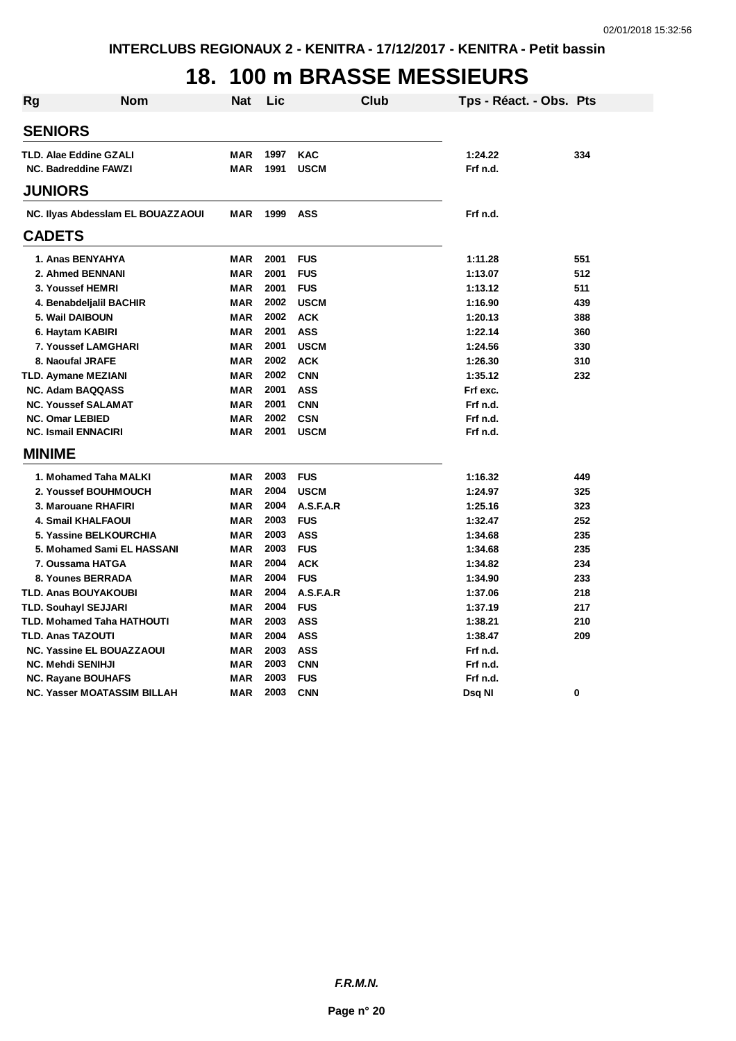## **18. 100 m BRASSE MESSIEURS**

| <b>Rg</b>                          | Nom                               | Nat        | Lic  | Club        | Tps - Réact. - Obs. Pts |     |
|------------------------------------|-----------------------------------|------------|------|-------------|-------------------------|-----|
| <b>SENIORS</b>                     |                                   |            |      |             |                         |     |
| <b>TLD. Alae Eddine GZALI</b>      |                                   | <b>MAR</b> | 1997 | <b>KAC</b>  | 1:24.22                 | 334 |
| <b>NC. Badreddine FAWZI</b>        |                                   | <b>MAR</b> | 1991 | <b>USCM</b> | Frf n.d.                |     |
|                                    |                                   |            |      |             |                         |     |
| <b>JUNIORS</b>                     |                                   |            |      |             |                         |     |
|                                    | NC. Ilyas Abdessiam EL BOUAZZAOUI | <b>MAR</b> | 1999 | <b>ASS</b>  | Frf n.d.                |     |
| <b>CADETS</b>                      |                                   |            |      |             |                         |     |
| 1. Anas BENYAHYA                   |                                   | <b>MAR</b> | 2001 | <b>FUS</b>  | 1:11.28                 | 551 |
| 2. Ahmed BENNANI                   |                                   | <b>MAR</b> | 2001 | <b>FUS</b>  | 1:13.07                 | 512 |
| 3. Youssef HEMRI                   |                                   | <b>MAR</b> | 2001 | <b>FUS</b>  | 1:13.12                 | 511 |
| 4. Benabdeljalil BACHIR            |                                   | <b>MAR</b> | 2002 | <b>USCM</b> | 1:16.90                 | 439 |
| 5. Wail DAIBOUN                    |                                   | <b>MAR</b> | 2002 | <b>ACK</b>  | 1:20.13                 | 388 |
| 6. Haytam KABIRI                   |                                   | <b>MAR</b> | 2001 | <b>ASS</b>  | 1:22.14                 | 360 |
| 7. Youssef LAMGHARI                |                                   | <b>MAR</b> | 2001 | <b>USCM</b> | 1:24.56                 | 330 |
| 8. Naoufal JRAFE                   |                                   | <b>MAR</b> | 2002 | <b>ACK</b>  | 1:26.30                 | 310 |
| <b>TLD. Aymane MEZIANI</b>         |                                   | <b>MAR</b> | 2002 | <b>CNN</b>  | 1:35.12                 | 232 |
| <b>NC. Adam BAQQASS</b>            |                                   | <b>MAR</b> | 2001 | <b>ASS</b>  | Frf exc.                |     |
| <b>NC. Youssef SALAMAT</b>         |                                   | <b>MAR</b> | 2001 | <b>CNN</b>  | Frf n.d.                |     |
| <b>NC. Omar LEBIED</b>             |                                   | <b>MAR</b> | 2002 | <b>CSN</b>  | Frf n.d.                |     |
| <b>NC. Ismail ENNACIRI</b>         |                                   | <b>MAR</b> | 2001 | <b>USCM</b> | Frf n.d.                |     |
| <b>MINIME</b>                      |                                   |            |      |             |                         |     |
| 1. Mohamed Taha MALKI              |                                   | <b>MAR</b> | 2003 | <b>FUS</b>  | 1:16.32                 | 449 |
| 2. Youssef BOUHMOUCH               |                                   | <b>MAR</b> | 2004 | <b>USCM</b> | 1:24.97                 | 325 |
| 3. Marouane RHAFIRI                |                                   | <b>MAR</b> | 2004 | A.S.F.A.R   | 1:25.16                 | 323 |
| <b>4. Smail KHALFAOUI</b>          |                                   | <b>MAR</b> | 2003 | <b>FUS</b>  | 1:32.47                 | 252 |
| 5. Yassine BELKOURCHIA             |                                   | <b>MAR</b> | 2003 | <b>ASS</b>  | 1:34.68                 | 235 |
|                                    | 5. Mohamed Sami EL HASSANI        | <b>MAR</b> | 2003 | <b>FUS</b>  | 1:34.68                 | 235 |
| 7. Oussama HATGA                   |                                   | <b>MAR</b> | 2004 | <b>ACK</b>  | 1:34.82                 | 234 |
| 8. Younes BERRADA                  |                                   | <b>MAR</b> | 2004 | <b>FUS</b>  | 1:34.90                 | 233 |
| <b>TLD. Anas BOUYAKOUBI</b>        |                                   | <b>MAR</b> | 2004 | A.S.F.A.R   | 1:37.06                 | 218 |
| <b>TLD. Souhayl SEJJARI</b>        |                                   | <b>MAR</b> | 2004 | <b>FUS</b>  | 1:37.19                 | 217 |
| <b>TLD. Mohamed Taha HATHOUTI</b>  |                                   | <b>MAR</b> | 2003 | <b>ASS</b>  | 1:38.21                 | 210 |
| <b>TLD. Anas TAZOUTI</b>           |                                   | <b>MAR</b> | 2004 | <b>ASS</b>  | 1:38.47                 | 209 |
| <b>NC. Yassine EL BOUAZZAOUI</b>   |                                   | <b>MAR</b> | 2003 | <b>ASS</b>  | Frf n.d.                |     |
| <b>NC. Mehdi SENIHJI</b>           |                                   | <b>MAR</b> | 2003 | <b>CNN</b>  | Frf n.d.                |     |
| <b>NC. Rayane BOUHAFS</b>          |                                   | <b>MAR</b> | 2003 | <b>FUS</b>  | Frf n.d.                |     |
| <b>NC. Yasser MOATASSIM BILLAH</b> |                                   | <b>MAR</b> | 2003 | <b>CNN</b>  | Dsq NI                  | 0   |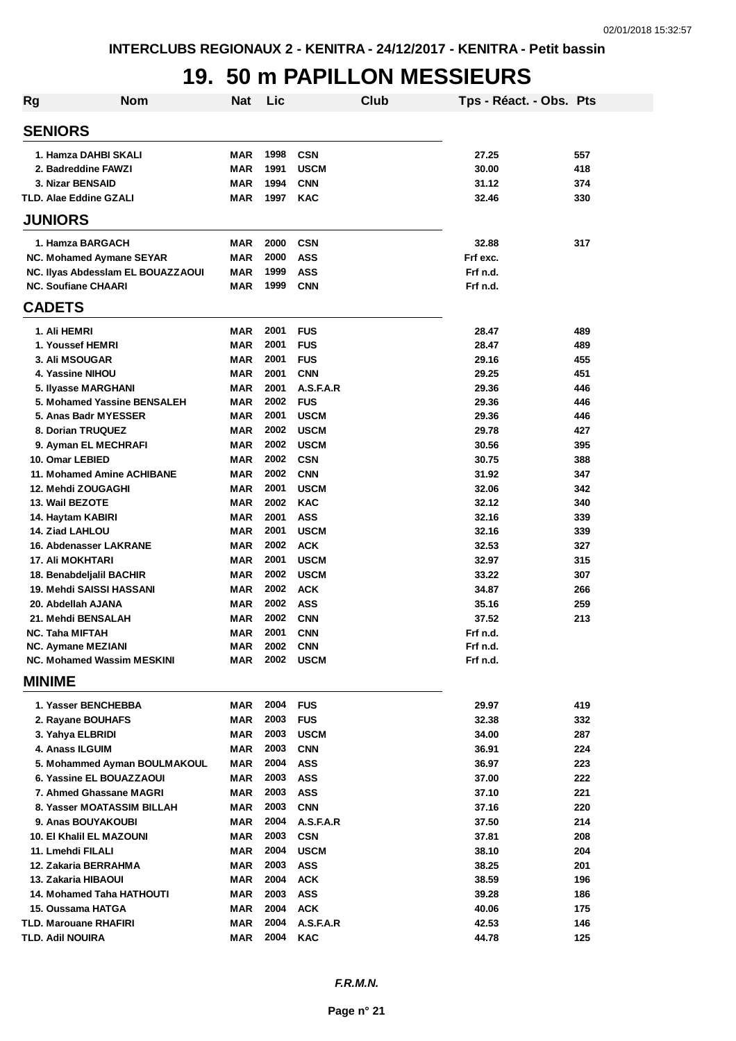#### **19. 50 m PAPILLON MESSIEURS**

| Rg | <b>Nom</b>                                | <b>Nat</b>        | Lic          |                            | <b>Club</b> | Tps - Réact. - Obs. Pts |            |
|----|-------------------------------------------|-------------------|--------------|----------------------------|-------------|-------------------------|------------|
|    | <b>SENIORS</b>                            |                   |              |                            |             |                         |            |
|    | 1. Hamza DAHBI SKALI                      | MAR               | 1998         | <b>CSN</b>                 |             | 27.25                   | 557        |
|    | 2. Badreddine FAWZI                       | <b>MAR</b>        | 1991         | <b>USCM</b>                |             | 30.00                   | 418        |
|    | 3. Nizar BENSAID                          | MAR               | 1994         | <b>CNN</b>                 |             | 31.12                   | 374        |
|    | <b>TLD. Alae Eddine GZALI</b>             | MAR               | 1997         | <b>KAC</b>                 |             | 32.46                   | 330        |
|    | <b>JUNIORS</b>                            |                   |              |                            |             |                         |            |
|    | 1. Hamza BARGACH                          | MAR               | 2000         | <b>CSN</b>                 |             | 32.88                   | 317        |
|    | NC. Mohamed Aymane SEYAR                  | MAR               | 2000         | <b>ASS</b>                 |             | Frf exc.                |            |
|    | NC. Ilyas Abdesslam EL BOUAZZAOUI         | MAR               | 1999         | <b>ASS</b>                 |             | Frf n.d.                |            |
|    | <b>NC. Soufiane CHAARI</b>                | MAR               | 1999         | <b>CNN</b>                 |             | Frf n.d.                |            |
|    | <b>CADETS</b>                             |                   |              |                            |             |                         |            |
|    | 1. Ali HEMRI                              | MAR               | 2001         | <b>FUS</b>                 |             | 28.47                   | 489        |
|    | 1. Youssef HEMRI                          | MAR               | 2001         | <b>FUS</b>                 |             | 28.47                   | 489        |
|    | 3. Ali MSOUGAR                            | <b>MAR</b>        | 2001         | <b>FUS</b>                 |             | 29.16                   | 455        |
|    | 4. Yassine NIHOU                          | <b>MAR</b>        | 2001         | <b>CNN</b>                 |             | 29.25                   | 451        |
|    | 5. Ilyasse MARGHANI                       | <b>MAR</b>        | 2001         | A.S.F.A.R                  |             | 29.36                   | 446        |
|    | 5. Mohamed Yassine BENSALEH               | <b>MAR</b>        | 2002         | <b>FUS</b>                 |             | 29.36                   | 446        |
|    | 5. Anas Badr MYESSER<br>8. Dorian TRUQUEZ | MAR<br><b>MAR</b> | 2001<br>2002 | <b>USCM</b><br><b>USCM</b> |             | 29.36<br>29.78          | 446        |
|    | 9. Ayman EL MECHRAFI                      | <b>MAR</b>        | 2002         | <b>USCM</b>                |             | 30.56                   | 427<br>395 |
|    | 10. Omar LEBIED                           | <b>MAR</b>        | 2002         | <b>CSN</b>                 |             | 30.75                   | 388        |
|    | 11. Mohamed Amine ACHIBANE                | <b>MAR</b>        | 2002         | <b>CNN</b>                 |             | 31.92                   | 347        |
|    | 12. Mehdi ZOUGAGHI                        | <b>MAR</b>        | 2001         | <b>USCM</b>                |             | 32.06                   | 342        |
|    | 13. Wail BEZOTE                           | <b>MAR</b>        | 2002         | <b>KAC</b>                 |             | 32.12                   | 340        |
|    | 14. Haytam KABIRI                         | <b>MAR</b>        | 2001         | <b>ASS</b>                 |             | 32.16                   | 339        |
|    | 14. Ziad LAHLOU                           | <b>MAR</b>        | 2001         | <b>USCM</b>                |             | 32.16                   | 339        |
|    | <b>16. Abdenasser LAKRANE</b>             | MAR               | 2002         | <b>ACK</b>                 |             | 32.53                   | 327        |
|    | 17. Ali MOKHTARI                          | <b>MAR</b>        | 2001         | <b>USCM</b>                |             | 32.97                   | 315        |
|    | 18. Benabdeljalil BACHIR                  | <b>MAR</b>        | 2002         | <b>USCM</b>                |             | 33.22                   | 307        |
|    | 19. Mehdi SAISSI HASSANI                  | <b>MAR</b>        | 2002         | <b>ACK</b>                 |             | 34.87                   | 266        |
|    | 20. Abdellah AJANA                        | <b>MAR</b>        | 2002         | <b>ASS</b>                 |             | 35.16                   | 259        |
|    | 21. Mehdi BENSALAH                        | <b>MAR</b>        | 2002         | <b>CNN</b>                 |             | 37.52                   | 213        |
|    | NC. Taha MIFTAH                           | <b>MAR</b>        | 2001         | <b>CNN</b>                 |             | Frf n.d.                |            |
|    | <b>NC. Aymane MEZIANI</b>                 | MAR               | 2002         | CNN                        |             | Frf n.d.                |            |
|    | NC. Mohamed Wassim MESKINI                | MAR               |              | 2002 USCM                  |             | Frf n.d.                |            |
|    | <b>MINIME</b>                             |                   |              |                            |             |                         |            |
|    | 1. Yasser BENCHEBBA                       | MAR               | 2004         | <b>FUS</b>                 |             | 29.97                   | 419        |
|    | 2. Rayane BOUHAFS                         | MAR               | 2003         | <b>FUS</b>                 |             | 32.38                   | 332        |
|    | 3. Yahya ELBRIDI                          | MAR               | 2003         | <b>USCM</b>                |             | 34.00                   | 287        |
|    | 4. Anass ILGUIM                           | MAR               | 2003         | <b>CNN</b>                 |             | 36.91                   | 224        |
|    | 5. Mohammed Ayman BOULMAKOUL              | MAR               | 2004         | <b>ASS</b>                 |             | 36.97                   | 223        |
|    | 6. Yassine EL BOUAZZAOUI                  | MAR               | 2003         | ASS                        |             | 37.00                   | 222        |
|    | 7. Ahmed Ghassane MAGRI                   | MAR               | 2003         | <b>ASS</b>                 |             | 37.10                   | 221        |
|    | 8. Yasser MOATASSIM BILLAH                | MAR               | 2003         | <b>CNN</b>                 |             | 37.16                   | 220        |
|    | 9. Anas BOUYAKOUBI                        | MAR               | 2004         | A.S.F.A.R                  |             | 37.50                   | 214        |
|    | 10. El Khalil EL MAZOUNI                  | MAR<br><b>MAR</b> | 2003<br>2004 | <b>CSN</b>                 |             | 37.81                   | 208<br>204 |
|    | 11. Lmehdi FILALI<br>12. Zakaria BERRAHMA | <b>MAR</b>        | 2003         | <b>USCM</b><br><b>ASS</b>  |             | 38.10<br>38.25          | 201        |
|    | 13. Zakaria HIBAOUI                       | MAR               | 2004         | <b>ACK</b>                 |             | 38.59                   | 196        |
|    | <b>14. Mohamed Taha HATHOUTI</b>          | MAR               | 2003         | <b>ASS</b>                 |             | 39.28                   | 186        |
|    | 15. Oussama HATGA                         | MAR               | 2004         | <b>ACK</b>                 |             | 40.06                   | 175        |
|    | TLD. Marouane RHAFIRI                     | MAR               | 2004         | A.S.F.A.R                  |             | 42.53                   | 146        |
|    | <b>TLD. Adil NOUIRA</b>                   | MAR               | 2004         | <b>KAC</b>                 |             | 44.78                   | 125        |
|    |                                           |                   |              |                            |             |                         |            |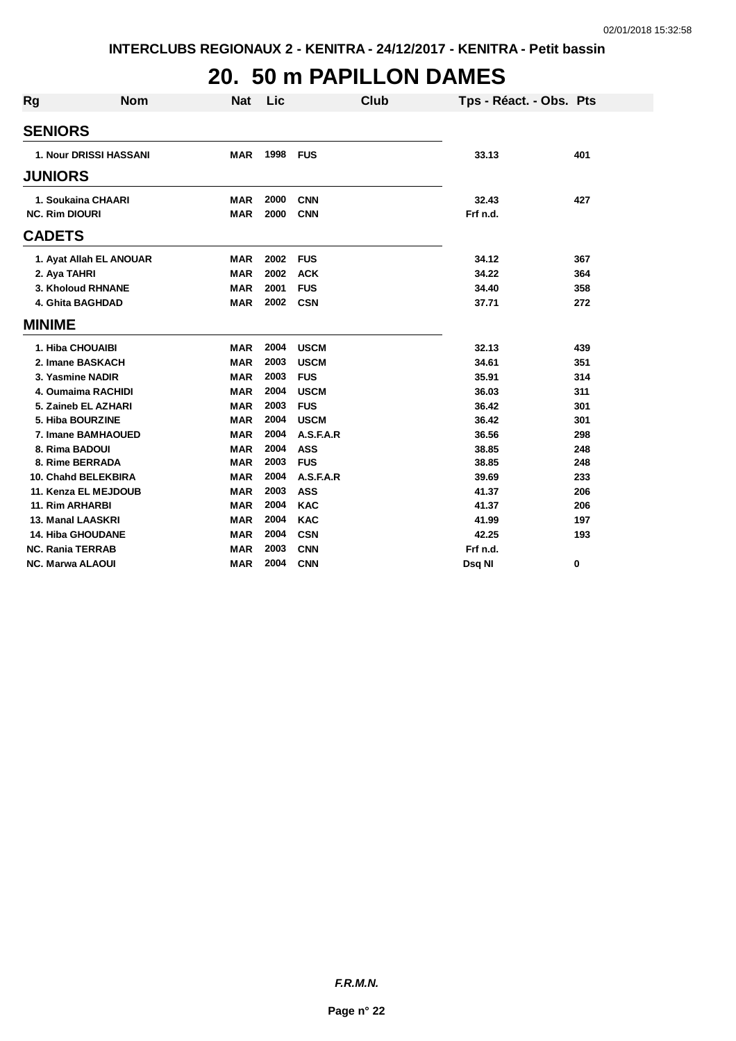#### **20. 50 m PAPILLON DAMES**

| <b>Rg</b>     | <b>Nom</b>                    | <b>Nat</b> | Lic  | <b>Club</b> | Tps - Réact. - Obs. Pts |     |
|---------------|-------------------------------|------------|------|-------------|-------------------------|-----|
|               | <b>SENIORS</b>                |            |      |             |                         |     |
|               | <b>1. Nour DRISSI HASSANI</b> | <b>MAR</b> | 1998 | <b>FUS</b>  | 33.13                   | 401 |
|               |                               |            |      |             |                         |     |
|               | <b>JUNIORS</b>                |            |      |             |                         |     |
|               | 1. Soukaina CHAARI            | <b>MAR</b> | 2000 | <b>CNN</b>  | 32.43                   | 427 |
|               | <b>NC. Rim DIOURI</b>         | <b>MAR</b> | 2000 | <b>CNN</b>  | Frf n.d.                |     |
|               | <b>CADETS</b>                 |            |      |             |                         |     |
|               | 1. Ayat Allah EL ANOUAR       | <b>MAR</b> | 2002 | <b>FUS</b>  | 34.12                   | 367 |
|               | 2. Aya TAHRI                  | <b>MAR</b> | 2002 | <b>ACK</b>  | 34.22                   | 364 |
|               | 3. Kholoud RHNANE             | <b>MAR</b> | 2001 | <b>FUS</b>  | 34.40                   | 358 |
|               | 4. Ghita BAGHDAD              | <b>MAR</b> | 2002 | <b>CSN</b>  | 37.71                   | 272 |
| <b>MINIME</b> |                               |            |      |             |                         |     |
|               | 1. Hiba CHOUAIBI              | <b>MAR</b> | 2004 | <b>USCM</b> | 32.13                   | 439 |
|               | 2. Imane BASKACH              | <b>MAR</b> | 2003 | <b>USCM</b> | 34.61                   | 351 |
|               | 3. Yasmine NADIR              | <b>MAR</b> | 2003 | <b>FUS</b>  | 35.91                   | 314 |
|               | 4. Oumaima RACHIDI            | <b>MAR</b> | 2004 | <b>USCM</b> | 36.03                   | 311 |
|               | 5. Zaineb EL AZHARI           | <b>MAR</b> | 2003 | <b>FUS</b>  | 36.42                   | 301 |
|               | 5. Hiba BOURZINE              | <b>MAR</b> | 2004 | <b>USCM</b> | 36.42                   | 301 |
|               | 7. Imane BAMHAOUED            | MAR        | 2004 | A.S.F.A.R   | 36.56                   | 298 |
|               | 8. Rima BADOUI                | <b>MAR</b> | 2004 | <b>ASS</b>  | 38.85                   | 248 |
|               | 8. Rime BERRADA               | <b>MAR</b> | 2003 | <b>FUS</b>  | 38.85                   | 248 |
|               | 10. Chahd BELEKBIRA           | <b>MAR</b> | 2004 | A.S.F.A.R   | 39.69                   | 233 |
|               | 11. Kenza EL MEJDOUB          | <b>MAR</b> | 2003 | <b>ASS</b>  | 41.37                   | 206 |
|               | <b>11. Rim ARHARBI</b>        | <b>MAR</b> | 2004 | <b>KAC</b>  | 41.37                   | 206 |
|               | 13. Manal LAASKRI             | <b>MAR</b> | 2004 | <b>KAC</b>  | 41.99                   | 197 |
|               | <b>14. Hiba GHOUDANE</b>      | <b>MAR</b> | 2004 | <b>CSN</b>  | 42.25                   | 193 |
|               | <b>NC. Rania TERRAB</b>       | <b>MAR</b> | 2003 | <b>CNN</b>  | Frf n.d.                |     |
|               | <b>NC. Marwa ALAOUI</b>       | <b>MAR</b> | 2004 | <b>CNN</b>  | Dsg NI                  | 0   |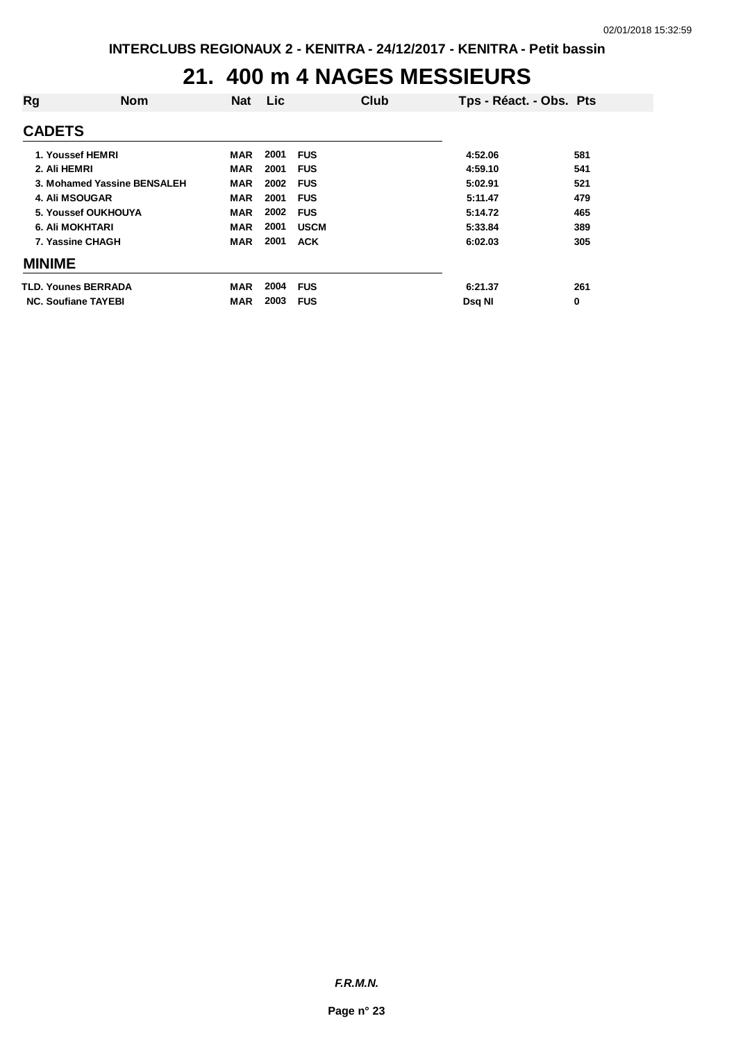## **21. 400 m 4 NAGES MESSIEURS**

| Rg                         | <b>Nom</b>                  | <b>Nat</b> | Lic  |             | Club | Tps - Réact. - Obs. Pts |     |
|----------------------------|-----------------------------|------------|------|-------------|------|-------------------------|-----|
| <b>CADETS</b>              |                             |            |      |             |      |                         |     |
|                            | 1. Youssef HEMRI            | MAR        | 2001 | <b>FUS</b>  |      | 4:52.06                 | 581 |
| 2. Ali HEMRI               |                             | MAR        | 2001 | <b>FUS</b>  |      | 4:59.10                 | 541 |
|                            | 3. Mohamed Yassine BENSALEH | <b>MAR</b> | 2002 | <b>FUS</b>  |      | 5:02.91                 | 521 |
| <b>4. Ali MSOUGAR</b>      |                             | <b>MAR</b> | 2001 | <b>FUS</b>  |      | 5:11.47                 | 479 |
|                            | 5. Youssef OUKHOUYA         | <b>MAR</b> | 2002 | <b>FUS</b>  |      | 5:14.72                 | 465 |
| <b>6. Ali MOKHTARI</b>     |                             | <b>MAR</b> | 2001 | <b>USCM</b> |      | 5:33.84                 | 389 |
|                            | 7. Yassine CHAGH            | <b>MAR</b> | 2001 | <b>ACK</b>  |      | 6:02.03                 | 305 |
| <b>MINIME</b>              |                             |            |      |             |      |                         |     |
|                            | TLD. Younes BERRADA         | <b>MAR</b> | 2004 | <b>FUS</b>  |      | 6:21.37                 | 261 |
| <b>NC. Soufiane TAYEBI</b> |                             | MAR        | 2003 | <b>FUS</b>  |      | Dsq NI                  | 0   |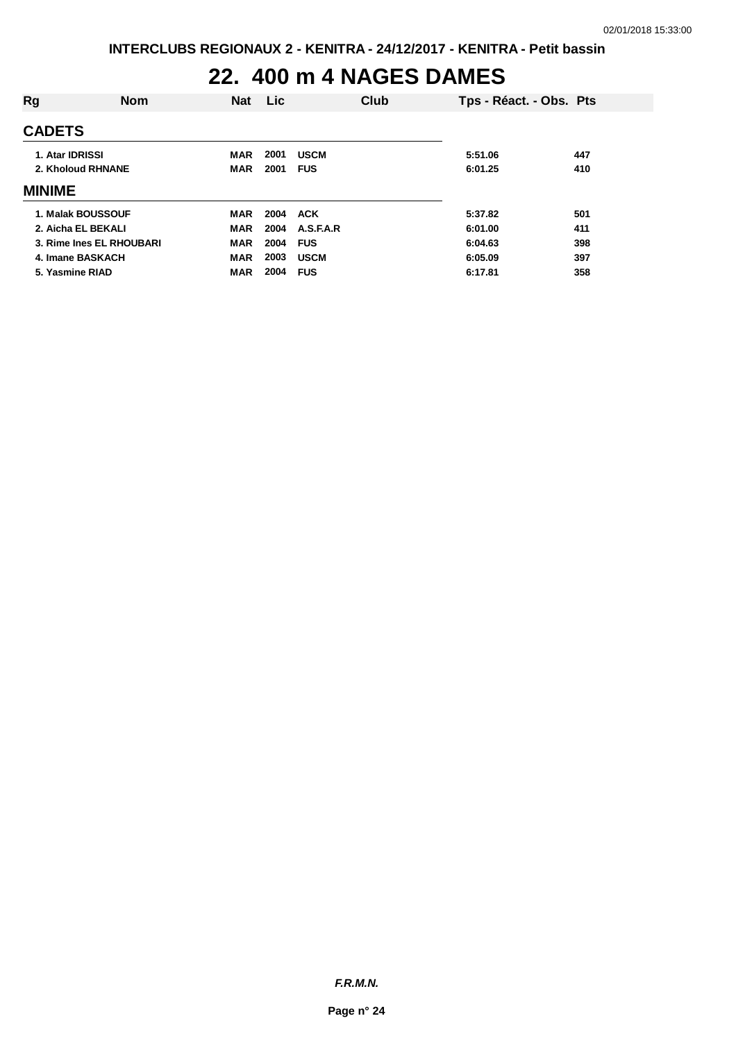#### **22. 400 m 4 NAGES DAMES**

| Rg                | <b>Nom</b>               | <b>Nat</b> | <b>Lic</b> | Club        | Tps - Réact. - Obs. Pts |     |
|-------------------|--------------------------|------------|------------|-------------|-------------------------|-----|
| <b>CADETS</b>     |                          |            |            |             |                         |     |
| 1. Atar IDRISSI   |                          | MAR        | 2001       | <b>USCM</b> | 5:51.06                 | 447 |
| 2. Kholoud RHNANE |                          | <b>MAR</b> | 2001       | <b>FUS</b>  | 6:01.25                 | 410 |
| <b>MINIME</b>     |                          |            |            |             |                         |     |
|                   | 1. Malak BOUSSOUF        | <b>MAR</b> | 2004       | <b>ACK</b>  | 5:37.82                 | 501 |
|                   | 2. Aicha EL BEKALI       | <b>MAR</b> | 2004       | A.S.F.A.R   | 6:01.00                 | 411 |
|                   | 3. Rime Ines EL RHOUBARI | <b>MAR</b> | 2004       | <b>FUS</b>  | 6:04.63                 | 398 |
|                   | 4. Imane BASKACH         | <b>MAR</b> | 2003       | <b>USCM</b> | 6:05.09                 | 397 |
|                   | 5. Yasmine RIAD          | <b>MAR</b> | 2004       | <b>FUS</b>  | 6:17.81                 | 358 |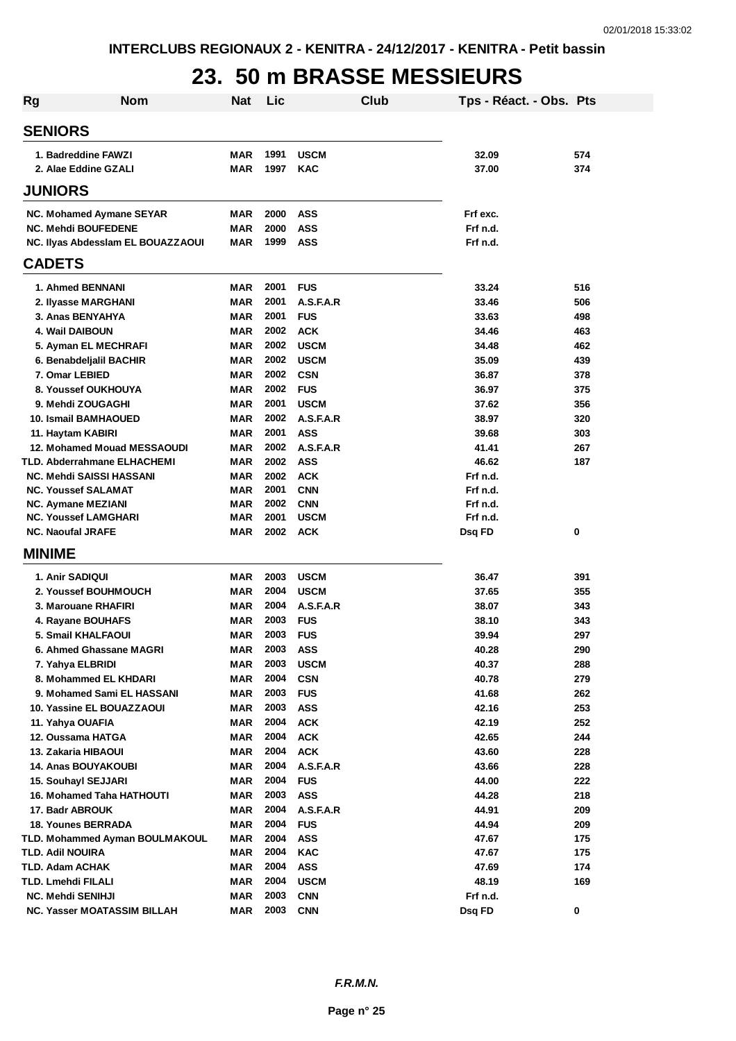### **23. 50 m BRASSE MESSIEURS**

| <b>Rg</b> | <b>Nom</b>                                               | <b>Nat</b>               | Lic          |                           | Club | Tps - Réact. - Obs. Pts |            |
|-----------|----------------------------------------------------------|--------------------------|--------------|---------------------------|------|-------------------------|------------|
|           | <b>SENIORS</b>                                           |                          |              |                           |      |                         |            |
|           | 1. Badreddine FAWZI                                      | MAR                      | 1991         | <b>USCM</b>               |      | 32.09                   | 574        |
|           | 2. Alae Eddine GZALI                                     | <b>MAR</b>               | 1997         | <b>KAC</b>                |      | 37.00                   | 374        |
|           | <b>JUNIORS</b>                                           |                          |              |                           |      |                         |            |
|           | NC. Mohamed Aymane SEYAR                                 | MAR                      | 2000         | <b>ASS</b>                |      | Frf exc.                |            |
|           | <b>NC. Mehdi BOUFEDENE</b>                               | <b>MAR</b>               | 2000         | <b>ASS</b>                |      | Frf n.d.                |            |
|           | NC. Ilyas Abdessiam EL BOUAZZAOUI                        | <b>MAR</b>               | 1999         | <b>ASS</b>                |      | Frf n.d.                |            |
|           | <b>CADETS</b>                                            |                          |              |                           |      |                         |            |
|           | 1. Ahmed BENNANI                                         | <b>MAR</b>               | 2001         | <b>FUS</b>                |      | 33.24                   | 516        |
|           | 2. Ilyasse MARGHANI                                      | <b>MAR</b>               | 2001         | A.S.F.A.R                 |      | 33.46                   | 506        |
|           | 3. Anas BENYAHYA                                         | <b>MAR</b>               | 2001         | <b>FUS</b>                |      | 33.63                   | 498        |
|           | 4. Wail DAIBOUN                                          | <b>MAR</b>               | 2002         | <b>ACK</b>                |      | 34.46                   | 463        |
|           | 5. Ayman EL MECHRAFI                                     | <b>MAR</b>               | 2002         | <b>USCM</b>               |      | 34.48                   | 462        |
|           | 6. Benabdeljalil BACHIR                                  | <b>MAR</b>               | 2002         | <b>USCM</b>               |      | 35.09                   | 439        |
|           | 7. Omar LEBIED                                           | <b>MAR</b>               | 2002         | <b>CSN</b>                |      | 36.87                   | 378        |
|           | 8. Youssef OUKHOUYA                                      | <b>MAR</b>               | 2002         | <b>FUS</b>                |      | 36.97                   | 375        |
|           | 9. Mehdi ZOUGAGHI                                        | <b>MAR</b>               | 2001         | <b>USCM</b>               |      | 37.62                   | 356        |
|           | <b>10. Ismail BAMHAOUED</b>                              | <b>MAR</b>               | 2002         | A.S.F.A.R                 |      | 38.97                   | 320        |
|           | 11. Haytam KABIRI                                        | <b>MAR</b>               | 2001         | <b>ASS</b>                |      | 39.68                   | 303        |
|           | 12. Mohamed Mouad MESSAOUDI                              | <b>MAR</b>               | 2002         | A.S.F.A.R                 |      | 41.41                   | 267        |
|           | TLD. Abderrahmane ELHACHEMI                              | <b>MAR</b>               | 2002         | <b>ASS</b>                |      | 46.62                   | 187        |
|           | <b>NC. Mehdi SAISSI HASSANI</b>                          | <b>MAR</b>               | 2002         | <b>ACK</b>                |      | Frf n.d.                |            |
|           | <b>NC. Youssef SALAMAT</b>                               | <b>MAR</b>               | 2001         | <b>CNN</b>                |      | Frf n.d.                |            |
|           | <b>NC. Aymane MEZIANI</b><br><b>NC. Youssef LAMGHARI</b> | <b>MAR</b><br><b>MAR</b> | 2002<br>2001 | <b>CNN</b><br><b>USCM</b> |      | Frf n.d.<br>Frf n.d.    |            |
|           | <b>NC. Naoufal JRAFE</b>                                 | <b>MAR</b>               | 2002         | <b>ACK</b>                |      | Dsq FD                  | 0          |
|           | <b>MINIME</b>                                            |                          |              |                           |      |                         |            |
|           |                                                          |                          |              |                           |      |                         |            |
|           | 1. Anir SADIQUI                                          | <b>MAR</b>               | 2003         | <b>USCM</b>               |      | 36.47                   | 391        |
|           | 2. Youssef BOUHMOUCH                                     | <b>MAR</b>               | 2004         | <b>USCM</b>               |      | 37.65                   | 355        |
|           | 3. Marouane RHAFIRI                                      | <b>MAR</b>               | 2004         | A.S.F.A.R                 |      | 38.07                   | 343        |
|           | 4. Rayane BOUHAFS                                        | MAR                      | 2003         | <b>FUS</b>                |      | 38.10                   | 343        |
|           | 5. Smail KHALFAOUI                                       | <b>MAR</b>               | 2003         | <b>FUS</b>                |      | 39.94                   | 297        |
|           | 6. Ahmed Ghassane MAGRI                                  | MAR<br><b>MAR</b>        | 2003<br>2003 | ASS<br><b>USCM</b>        |      | 40.28<br>40.37          | 290<br>288 |
|           | 7. Yahya ELBRIDI<br>8. Mohammed EL KHDARI                | <b>MAR</b>               | 2004         | <b>CSN</b>                |      | 40.78                   | 279        |
|           | 9. Mohamed Sami EL HASSANI                               | <b>MAR</b>               | 2003         | <b>FUS</b>                |      | 41.68                   | 262        |
|           | 10. Yassine EL BOUAZZAOUI                                | <b>MAR</b>               | 2003         | <b>ASS</b>                |      | 42.16                   | 253        |
|           | 11. Yahya OUAFIA                                         | <b>MAR</b>               | 2004         | <b>ACK</b>                |      | 42.19                   | 252        |
|           | 12. Oussama HATGA                                        | MAR                      | 2004         | <b>ACK</b>                |      | 42.65                   | 244        |
|           | 13. Zakaria HIBAOUI                                      | <b>MAR</b>               | 2004         | <b>ACK</b>                |      | 43.60                   | 228        |
|           | <b>14. Anas BOUYAKOUBI</b>                               | <b>MAR</b>               | 2004         | A.S.F.A.R                 |      | 43.66                   | 228        |
|           | 15. Souhayl SEJJARI                                      | <b>MAR</b>               | 2004         | <b>FUS</b>                |      | 44.00                   | 222        |
|           | <b>16. Mohamed Taha HATHOUTI</b>                         | <b>MAR</b>               | 2003         | <b>ASS</b>                |      | 44.28                   | 218        |
|           | 17. Badr ABROUK                                          | <b>MAR</b>               | 2004         | A.S.F.A.R                 |      | 44.91                   | 209        |
|           | <b>18. Younes BERRADA</b>                                | <b>MAR</b>               | 2004         | <b>FUS</b>                |      | 44.94                   | 209        |
|           | TLD. Mohammed Ayman BOULMAKOUL                           | <b>MAR</b>               | 2004         | <b>ASS</b>                |      | 47.67                   | 175        |
|           | TLD. Adil NOUIRA                                         | <b>MAR</b>               | 2004         | <b>KAC</b>                |      | 47.67                   | 175        |
|           | TLD. Adam ACHAK                                          | <b>MAR</b>               | 2004         | <b>ASS</b>                |      | 47.69                   | 174        |
|           | TLD. Lmehdi FILALI                                       | <b>MAR</b>               | 2004         | <b>USCM</b>               |      | 48.19                   | 169        |
|           | <b>NC. Mehdi SENIHJI</b>                                 | <b>MAR</b>               | 2003         | <b>CNN</b>                |      | Frf n.d.                |            |
|           | NC. Yasser MOATASSIM BILLAH                              | <b>MAR</b>               | 2003         | <b>CNN</b>                |      | Dsq FD                  | 0          |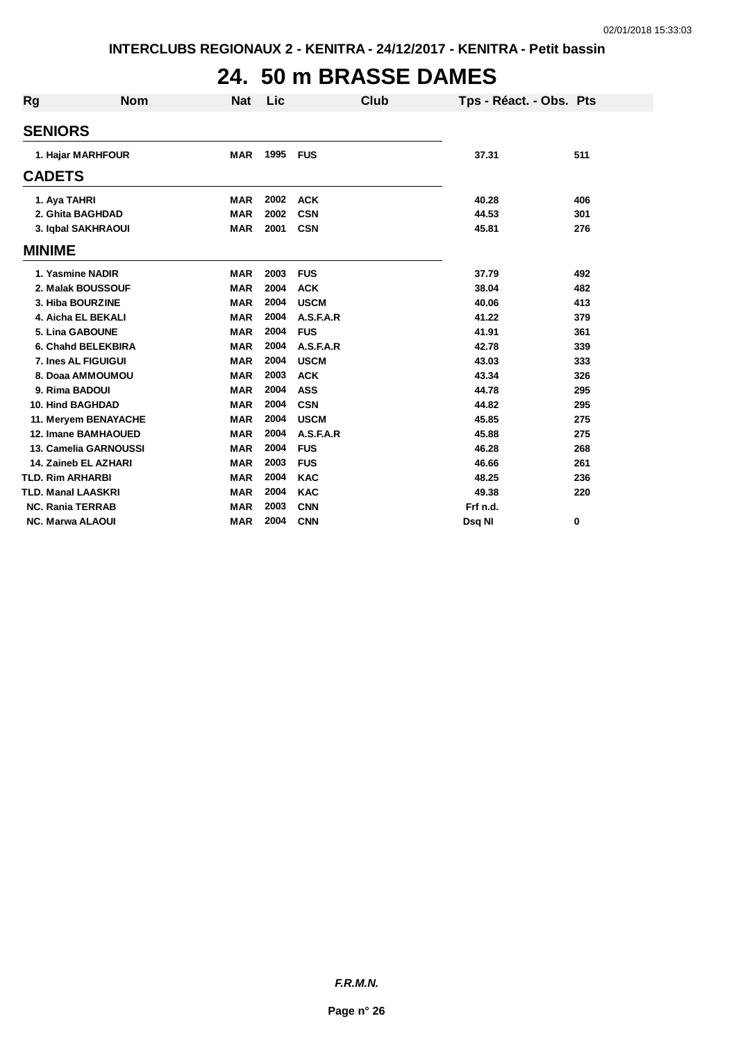## **24. 50 m BRASSE DAMES**

| Rg                        | <b>Nom</b>                 | <b>Nat</b> | Lic  | Club        | Tps - Réact. - Obs. Pts |     |
|---------------------------|----------------------------|------------|------|-------------|-------------------------|-----|
| <b>SENIORS</b>            |                            |            |      |             |                         |     |
|                           | 1. Hajar MARHFOUR          | <b>MAR</b> | 1995 | <b>FUS</b>  | 37.31                   | 511 |
| <b>CADETS</b>             |                            |            |      |             |                         |     |
| 1. Aya TAHRI              |                            | <b>MAR</b> | 2002 | <b>ACK</b>  | 40.28                   | 406 |
|                           | 2. Ghita BAGHDAD           | <b>MAR</b> | 2002 | <b>CSN</b>  | 44.53                   | 301 |
|                           | 3. Iqbal SAKHRAOUI         | <b>MAR</b> | 2001 | <b>CSN</b>  | 45.81                   | 276 |
| <b>MINIME</b>             |                            |            |      |             |                         |     |
|                           | 1. Yasmine NADIR           | <b>MAR</b> | 2003 | <b>FUS</b>  | 37.79                   | 492 |
|                           | 2. Malak BOUSSOUF          | <b>MAR</b> | 2004 | <b>ACK</b>  | 38.04                   | 482 |
|                           | 3. Hiba BOURZINE           | <b>MAR</b> | 2004 | <b>USCM</b> | 40.06                   | 413 |
|                           | 4. Aicha EL BEKALI         | <b>MAR</b> | 2004 | A.S.F.A.R   | 41.22                   | 379 |
|                           | 5. Lina GABOUNE            | <b>MAR</b> | 2004 | <b>FUS</b>  | 41.91                   | 361 |
|                           | 6. Chahd BELEKBIRA         | <b>MAR</b> | 2004 | A.S.F.A.R   | 42.78                   | 339 |
|                           | 7. Ines AL FIGUIGUI        | <b>MAR</b> | 2004 | <b>USCM</b> | 43.03                   | 333 |
|                           | 8. Doaa AMMOUMOU           | <b>MAR</b> | 2003 | <b>ACK</b>  | 43.34                   | 326 |
| 9. Rima BADOUI            |                            | <b>MAR</b> | 2004 | <b>ASS</b>  | 44.78                   | 295 |
| <b>10. Hind BAGHDAD</b>   |                            | <b>MAR</b> | 2004 | <b>CSN</b>  | 44.82                   | 295 |
|                           | 11. Meryem BENAYACHE       | <b>MAR</b> | 2004 | <b>USCM</b> | 45.85                   | 275 |
|                           | <b>12. Imane BAMHAOUED</b> | <b>MAR</b> | 2004 | A.S.F.A.R   | 45.88                   | 275 |
|                           | 13. Camelia GARNOUSSI      | <b>MAR</b> | 2004 | <b>FUS</b>  | 46.28                   | 268 |
|                           | 14. Zaineb EL AZHARI       | <b>MAR</b> | 2003 | <b>FUS</b>  | 46.66                   | 261 |
| <b>TLD. Rim ARHARBI</b>   |                            | <b>MAR</b> | 2004 | <b>KAC</b>  | 48.25                   | 236 |
| <b>TLD. Manal LAASKRI</b> |                            | <b>MAR</b> | 2004 | <b>KAC</b>  | 49.38                   | 220 |
| <b>NC. Rania TERRAB</b>   |                            | <b>MAR</b> | 2003 | <b>CNN</b>  | Frf n.d.                |     |
| <b>NC. Marwa ALAOUI</b>   |                            | <b>MAR</b> | 2004 | <b>CNN</b>  | Dsg NI                  | 0   |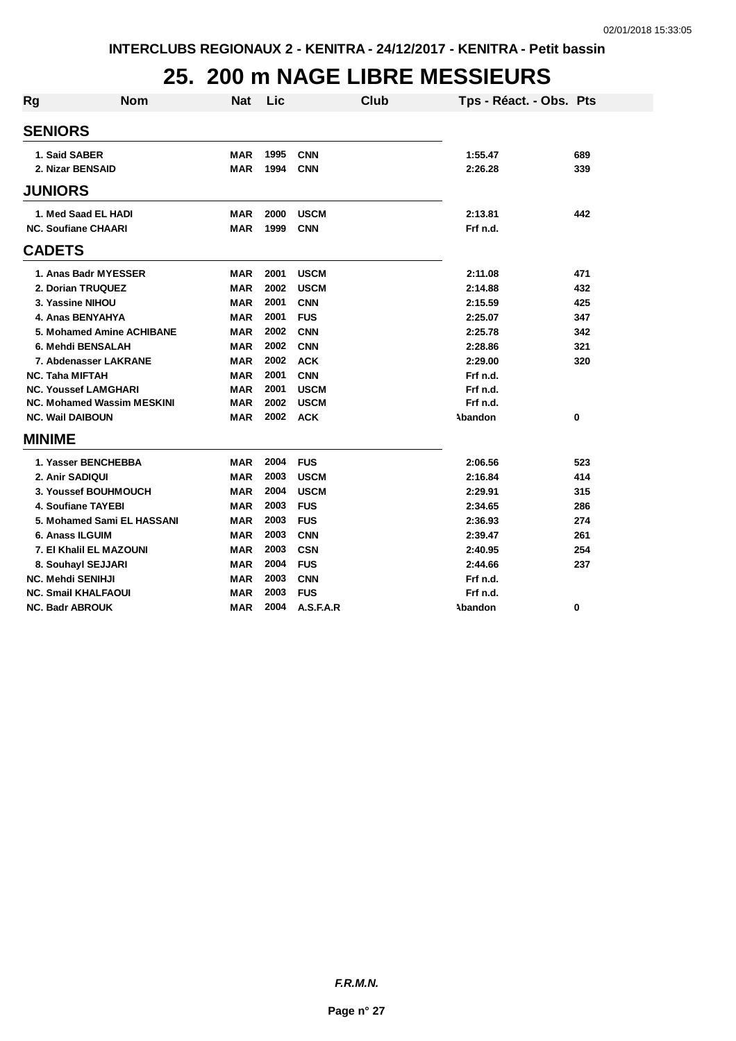## **25. 200 m NAGE LIBRE MESSIEURS**

| Rg            | <b>Nom</b>                        | <b>Nat</b> | Lic  |             | <b>Club</b> | Tps - Réact. - Obs. Pts |     |
|---------------|-----------------------------------|------------|------|-------------|-------------|-------------------------|-----|
|               | <b>SENIORS</b>                    |            |      |             |             |                         |     |
|               | 1. Said SABER                     | MAR        | 1995 | <b>CNN</b>  |             | 1:55.47                 | 689 |
|               | 2. Nizar BENSAID                  | <b>MAR</b> | 1994 | <b>CNN</b>  |             | 2:26.28                 | 339 |
|               |                                   |            |      |             |             |                         |     |
|               | <b>JUNIORS</b>                    |            |      |             |             |                         |     |
|               | 1. Med Saad EL HADI               | <b>MAR</b> | 2000 | <b>USCM</b> |             | 2:13.81                 | 442 |
|               | <b>NC. Soufiane CHAARI</b>        | <b>MAR</b> | 1999 | <b>CNN</b>  |             | Frf n.d.                |     |
| <b>CADETS</b> |                                   |            |      |             |             |                         |     |
|               | 1. Anas Badr MYESSER              | <b>MAR</b> | 2001 | <b>USCM</b> |             | 2:11.08                 | 471 |
|               | 2. Dorian TRUQUEZ                 | <b>MAR</b> | 2002 | <b>USCM</b> |             | 2:14.88                 | 432 |
|               | 3. Yassine NIHOU                  | <b>MAR</b> | 2001 | <b>CNN</b>  |             | 2:15.59                 | 425 |
|               | 4. Anas BENYAHYA                  | <b>MAR</b> | 2001 | <b>FUS</b>  |             | 2:25.07                 | 347 |
|               | 5. Mohamed Amine ACHIBANE         | <b>MAR</b> | 2002 | <b>CNN</b>  |             | 2:25.78                 | 342 |
|               | 6. Mehdi BENSALAH                 | <b>MAR</b> | 2002 | <b>CNN</b>  |             | 2:28.86                 | 321 |
|               | 7. Abdenasser LAKRANE             | <b>MAR</b> | 2002 | <b>ACK</b>  |             | 2:29.00                 | 320 |
|               | <b>NC. Taha MIFTAH</b>            | <b>MAR</b> | 2001 | <b>CNN</b>  |             | Frf n.d.                |     |
|               | <b>NC. Youssef LAMGHARI</b>       | <b>MAR</b> | 2001 | <b>USCM</b> |             | Frf n.d.                |     |
|               | <b>NC. Mohamed Wassim MESKINI</b> | MAR        | 2002 | <b>USCM</b> |             | Frf n.d.                |     |
|               | <b>NC. Wail DAIBOUN</b>           | <b>MAR</b> | 2002 | <b>ACK</b>  |             | Abandon                 | 0   |
| <b>MINIME</b> |                                   |            |      |             |             |                         |     |
|               | 1. Yasser BENCHEBBA               | <b>MAR</b> | 2004 | <b>FUS</b>  |             | 2:06.56                 | 523 |
|               | 2. Anir SADIQUI                   | <b>MAR</b> | 2003 | <b>USCM</b> |             | 2:16.84                 | 414 |
|               | 3. Youssef BOUHMOUCH              | <b>MAR</b> | 2004 | <b>USCM</b> |             | 2:29.91                 | 315 |
|               | 4. Soufiane TAYEBI                | <b>MAR</b> | 2003 | <b>FUS</b>  |             | 2:34.65                 | 286 |
|               | 5. Mohamed Sami EL HASSANI        | <b>MAR</b> | 2003 | <b>FUS</b>  |             | 2:36.93                 | 274 |
|               | 6. Anass ILGUIM                   | <b>MAR</b> | 2003 | <b>CNN</b>  |             | 2:39.47                 | 261 |
|               | 7. El Khalil EL MAZOUNI           | <b>MAR</b> | 2003 | <b>CSN</b>  |             | 2:40.95                 | 254 |
|               | 8. Souhayl SEJJARI                | <b>MAR</b> | 2004 | <b>FUS</b>  |             | 2:44.66                 | 237 |
|               | <b>NC. Mehdi SENIHJI</b>          | <b>MAR</b> | 2003 | <b>CNN</b>  |             | Frf n.d.                |     |
|               | <b>NC. Smail KHALFAOUI</b>        | MAR        | 2003 | <b>FUS</b>  |             | Frf n.d.                |     |
|               | <b>NC. Badr ABROUK</b>            | <b>MAR</b> | 2004 | A.S.F.A.R   |             | Abandon                 | 0   |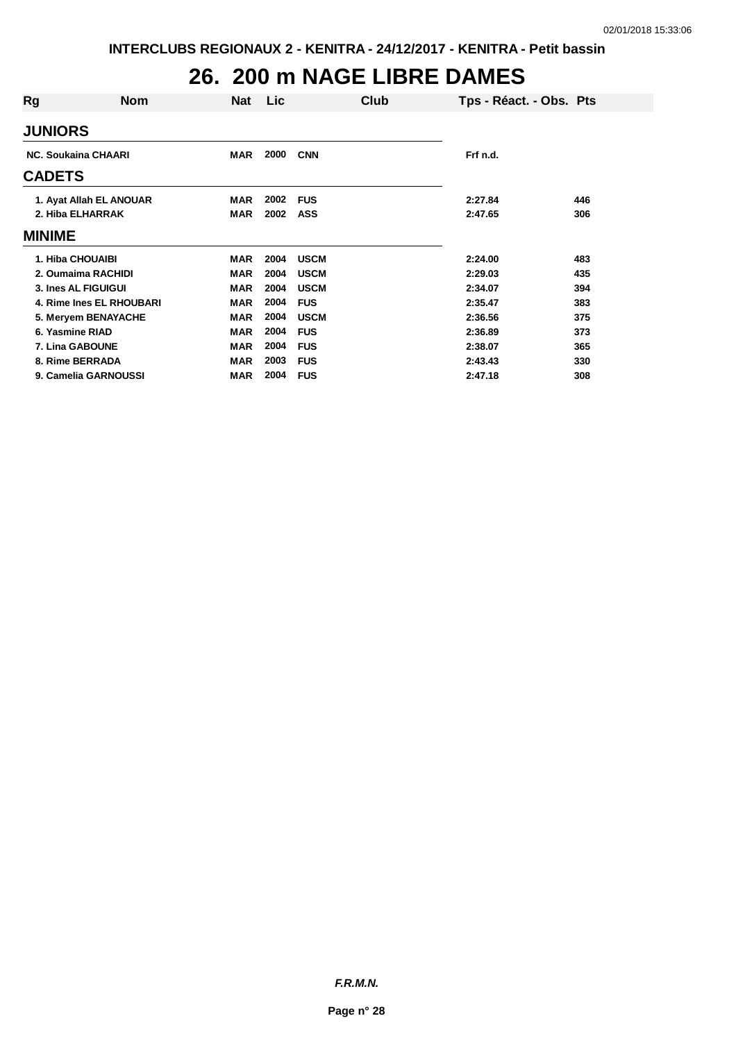## **26. 200 m NAGE LIBRE DAMES**

| Rg              | <b>Nom</b>                 | Nat        | <b>Lic</b> | Club        |          | Tps - Réact. - Obs. Pts |
|-----------------|----------------------------|------------|------------|-------------|----------|-------------------------|
| <b>JUNIORS</b>  |                            |            |            |             |          |                         |
|                 | <b>NC. Soukaina CHAARI</b> | <b>MAR</b> | 2000       | <b>CNN</b>  | Frf n.d. |                         |
| <b>CADETS</b>   |                            |            |            |             |          |                         |
|                 | 1. Ayat Allah EL ANOUAR    | <b>MAR</b> | 2002       | <b>FUS</b>  | 2:27.84  | 446                     |
|                 | 2. Hiba ELHARRAK           | <b>MAR</b> | 2002       | <b>ASS</b>  | 2:47.65  | 306                     |
| <b>MINIME</b>   |                            |            |            |             |          |                         |
|                 | 1. Hiba CHOUAIBI           | <b>MAR</b> | 2004       | <b>USCM</b> | 2:24.00  | 483                     |
|                 | 2. Oumaima RACHIDI         | <b>MAR</b> | 2004       | <b>USCM</b> | 2:29.03  | 435                     |
|                 | 3. Ines AL FIGUIGUI        | <b>MAR</b> | 2004       | <b>USCM</b> | 2:34.07  | 394                     |
|                 | 4. Rime Ines EL RHOUBARI   | <b>MAR</b> | 2004       | <b>FUS</b>  | 2:35.47  | 383                     |
|                 | 5. Meryem BENAYACHE        | <b>MAR</b> | 2004       | <b>USCM</b> | 2:36.56  | 375                     |
| 6. Yasmine RIAD |                            | <b>MAR</b> | 2004       | <b>FUS</b>  | 2:36.89  | 373                     |
|                 | 7. Lina GABOUNE            | <b>MAR</b> | 2004       | <b>FUS</b>  | 2:38.07  | 365                     |
|                 | 8. Rime BERRADA            | <b>MAR</b> | 2003       | <b>FUS</b>  | 2:43.43  | 330                     |
|                 | 9. Camelia GARNOUSSI       | <b>MAR</b> | 2004       | <b>FUS</b>  | 2:47.18  | 308                     |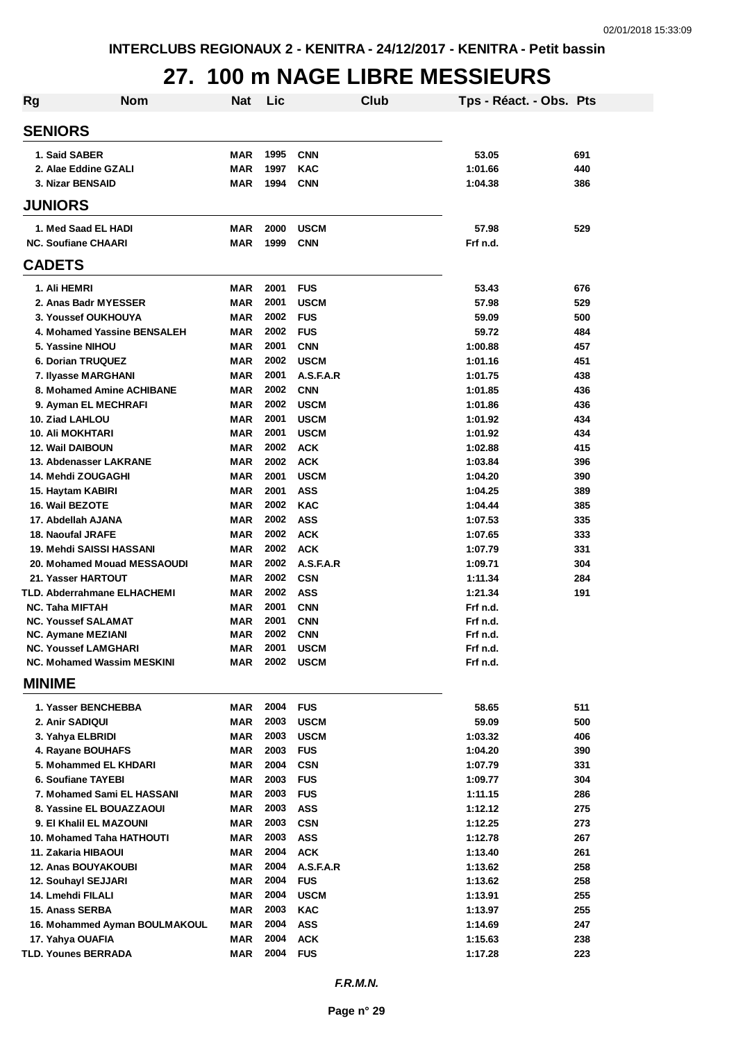## **27. 100 m NAGE LIBRE MESSIEURS**

| Rg | <b>Nom</b>                                        | <b>Nat</b>               | Lic          | Club                    | Tps - Réact. - Obs. Pts |            |
|----|---------------------------------------------------|--------------------------|--------------|-------------------------|-------------------------|------------|
|    | <b>SENIORS</b>                                    |                          |              |                         |                         |            |
|    | 1. Said SABER                                     | <b>MAR</b>               | 1995         | <b>CNN</b>              | 53.05                   | 691        |
|    | 2. Alae Eddine GZALI                              | <b>MAR</b>               | 1997         | <b>KAC</b>              | 1:01.66                 | 440        |
|    | 3. Nizar BENSAID                                  | <b>MAR</b>               | 1994         | <b>CNN</b>              | 1:04.38                 | 386        |
|    | <b>JUNIORS</b>                                    |                          |              |                         |                         |            |
|    | 1. Med Saad EL HADI                               | <b>MAR</b>               | 2000         | <b>USCM</b>             | 57.98                   | 529        |
|    | <b>NC. Soufiane CHAARI</b>                        | <b>MAR</b>               | 1999         | <b>CNN</b>              | Frf n.d.                |            |
|    | <b>CADETS</b>                                     |                          |              |                         |                         |            |
|    | 1. Ali HEMRI                                      | <b>MAR</b>               | 2001         | <b>FUS</b>              | 53.43                   | 676        |
|    | 2. Anas Badr MYESSER                              | <b>MAR</b>               | 2001         | <b>USCM</b>             | 57.98                   | 529        |
|    | 3. Youssef OUKHOUYA                               | <b>MAR</b>               | 2002         | <b>FUS</b>              | 59.09                   | 500        |
|    | 4. Mohamed Yassine BENSALEH                       | MAR                      | 2002         | <b>FUS</b>              | 59.72                   | 484        |
|    | 5. Yassine NIHOU                                  | <b>MAR</b>               | 2001         | <b>CNN</b>              | 1:00.88                 | 457        |
|    | <b>6. Dorian TRUQUEZ</b>                          | MAR                      | 2002         | <b>USCM</b>             | 1:01.16                 | 451        |
|    | 7. Ilyasse MARGHANI                               | MAR                      | 2001         | A.S.F.A.R               | 1:01.75                 | 438        |
|    | 8. Mohamed Amine ACHIBANE                         | <b>MAR</b>               | 2002         | <b>CNN</b>              | 1:01.85                 | 436        |
|    | 9. Ayman EL MECHRAFI                              | <b>MAR</b>               | 2002         | <b>USCM</b>             | 1:01.86                 | 436        |
|    | 10. Ziad LAHLOU                                   | <b>MAR</b>               | 2001         | <b>USCM</b>             | 1:01.92                 | 434        |
|    | <b>10. Ali MOKHTARI</b>                           | <b>MAR</b>               | 2001         | <b>USCM</b>             | 1:01.92                 | 434        |
|    | <b>12. Wail DAIBOUN</b>                           | <b>MAR</b>               | 2002         | <b>ACK</b>              | 1:02.88                 | 415        |
|    | 13. Abdenasser LAKRANE                            | <b>MAR</b>               | 2002         | <b>ACK</b>              | 1:03.84                 | 396        |
|    | 14. Mehdi ZOUGAGHI                                | <b>MAR</b>               | 2001         | <b>USCM</b>             | 1:04.20                 | 390        |
|    | 15. Haytam KABIRI                                 | MAR                      | 2001         | <b>ASS</b>              | 1:04.25                 | 389        |
|    | 16. Wail BEZOTE                                   | <b>MAR</b>               | 2002         | <b>KAC</b>              | 1:04.44                 | 385        |
|    | 17. Abdellah AJANA                                | <b>MAR</b>               | 2002         | <b>ASS</b>              | 1:07.53                 | 335        |
|    | 18. Naoufal JRAFE                                 | <b>MAR</b>               | 2002<br>2002 | <b>ACK</b>              | 1:07.65                 | 333        |
|    | 19. Mehdi SAISSI HASSANI                          | <b>MAR</b><br><b>MAR</b> | 2002         | <b>ACK</b><br>A.S.F.A.R | 1:07.79                 | 331        |
|    | 20. Mohamed Mouad MESSAOUDI<br>21. Yasser HARTOUT | <b>MAR</b>               | 2002         | <b>CSN</b>              | 1:09.71<br>1:11.34      | 304        |
|    | TLD. Abderrahmane ELHACHEMI                       | MAR                      | 2002         | <b>ASS</b>              | 1:21.34                 | 284<br>191 |
|    | <b>NC. Taha MIFTAH</b>                            | <b>MAR</b>               | 2001         | <b>CNN</b>              | Frf n.d.                |            |
|    | <b>NC. Youssef SALAMAT</b>                        | <b>MAR</b>               | 2001         | <b>CNN</b>              | Frf n.d.                |            |
|    | <b>NC. Aymane MEZIANI</b>                         | MAR                      | 2002         | <b>CNN</b>              | Frf n.d.                |            |
|    | <b>NC. Youssef LAMGHARI</b>                       | <b>MAR</b>               | 2001         | <b>USCM</b>             | Frf n.d.                |            |
|    | <b>NC. Mohamed Wassim MESKINI</b>                 |                          |              | MAR 2002 USCM           | Frf n.d.                |            |
|    | <b>MINIME</b>                                     |                          |              |                         |                         |            |
|    | 1. Yasser BENCHEBBA                               | <b>MAR</b>               | 2004         | <b>FUS</b>              | 58.65                   | 511        |
|    | 2. Anir SADIQUI                                   | <b>MAR</b>               | 2003         | <b>USCM</b>             | 59.09                   | 500        |
|    | 3. Yahya ELBRIDI                                  | <b>MAR</b>               | 2003         | <b>USCM</b>             | 1:03.32                 | 406        |
|    | 4. Rayane BOUHAFS                                 | <b>MAR</b>               | 2003         | <b>FUS</b>              | 1:04.20                 | 390        |
|    | 5. Mohammed EL KHDARI                             | <b>MAR</b>               | 2004         | <b>CSN</b>              | 1:07.79                 | 331        |
|    | 6. Soufiane TAYEBI                                | MAR                      | 2003         | <b>FUS</b>              | 1:09.77                 | 304        |
|    | 7. Mohamed Sami EL HASSANI                        | MAR                      | 2003         | <b>FUS</b>              | 1:11.15                 | 286        |
|    | 8. Yassine EL BOUAZZAOUI                          | MAR                      | 2003         | <b>ASS</b>              | 1:12.12                 | 275        |
|    | 9. El Khalil EL MAZOUNI                           | MAR                      | 2003         | <b>CSN</b>              | 1:12.25                 | 273        |
|    | 10. Mohamed Taha HATHOUTI                         | MAR                      | 2003<br>2004 | <b>ASS</b>              | 1:12.78                 | 267        |
|    | 11. Zakaria HIBAOUI                               | MAR                      | 2004         | <b>ACK</b>              | 1:13.40                 | 261        |
|    | <b>12. Anas BOUYAKOUBI</b><br>12. Souhayl SEJJARI | <b>MAR</b><br>MAR        | 2004         | A.S.F.A.R<br><b>FUS</b> | 1:13.62<br>1:13.62      | 258<br>258 |
|    | 14. Lmehdi FILALI                                 | MAR                      | 2004         | <b>USCM</b>             | 1:13.91                 | 255        |
|    | 15. Anass SERBA                                   | <b>MAR</b>               | 2003         | <b>KAC</b>              | 1:13.97                 | 255        |
|    | 16. Mohammed Ayman BOULMAKOUL                     | <b>MAR</b>               | 2004         | <b>ASS</b>              | 1:14.69                 | 247        |
|    | 17. Yahya OUAFIA                                  | <b>MAR</b>               | 2004         | <b>ACK</b>              | 1:15.63                 | 238        |
|    | TLD. Younes BERRADA                               | MAR                      | 2004         | <b>FUS</b>              | 1:17.28                 | 223        |
|    |                                                   |                          |              |                         |                         |            |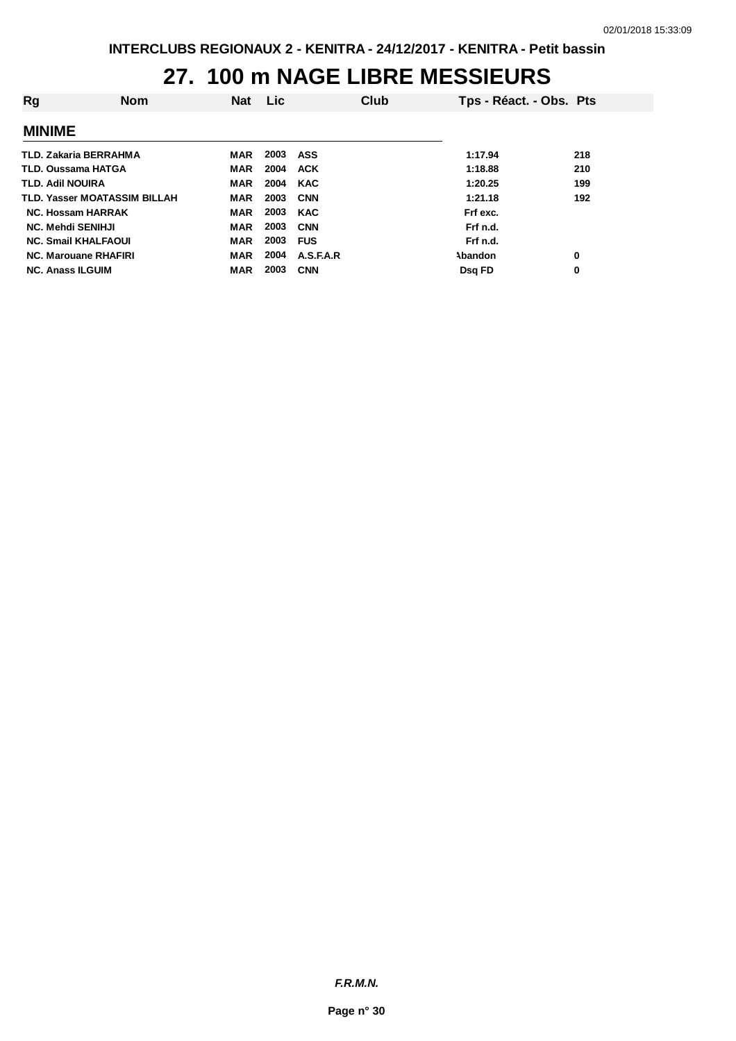#### **27. 100 m NAGE LIBRE MESSIEURS**

| Rg                       | <b>Nom</b>                          | <b>Nat</b> | Lic. | <b>Club</b> | Tps - Réact. - Obs. Pts |     |
|--------------------------|-------------------------------------|------------|------|-------------|-------------------------|-----|
| <b>MINIME</b>            |                                     |            |      |             |                         |     |
|                          | TLD. Zakaria BERRAHMA               | MAR        | 2003 | ASS         | 1:17.94                 | 218 |
| TLD. Oussama HATGA       |                                     | MAR        | 2004 | <b>ACK</b>  | 1:18.88                 | 210 |
| TLD. Adil NOUIRA         |                                     | <b>MAR</b> | 2004 | <b>KAC</b>  | 1:20.25                 | 199 |
|                          | <b>TLD. Yasser MOATASSIM BILLAH</b> | <b>MAR</b> | 2003 | <b>CNN</b>  | 1:21.18                 | 192 |
|                          | <b>NC. Hossam HARRAK</b>            | MAR        | 2003 | <b>KAC</b>  | Frf exc.                |     |
| <b>NC. Mehdi SENIHJI</b> |                                     | MAR        | 2003 | <b>CNN</b>  | Frf n.d.                |     |
|                          | <b>NC. Smail KHALFAOUI</b>          | <b>MAR</b> | 2003 | <b>FUS</b>  | Frf n.d.                |     |
|                          | <b>NC. Marouane RHAFIRI</b>         | <b>MAR</b> | 2004 | A.S.F.A.R   | Abandon                 | 0   |
| <b>NC. Anass ILGUIM</b>  |                                     | <b>MAR</b> | 2003 | <b>CNN</b>  | Dsg FD                  | 0   |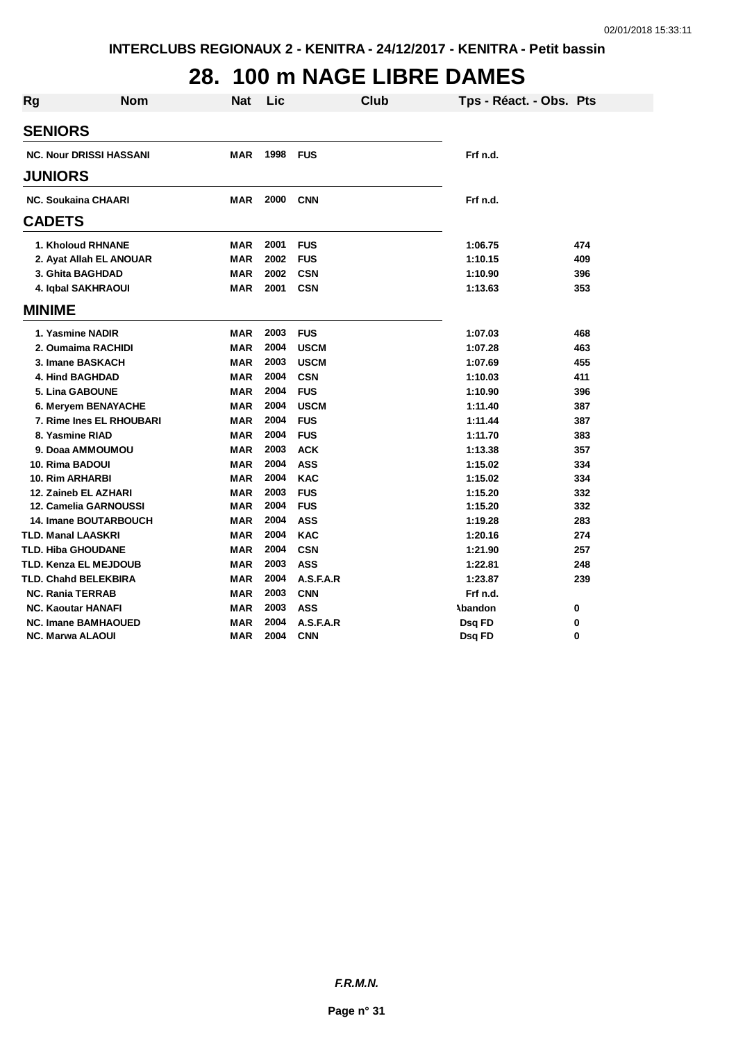## **28. 100 m NAGE LIBRE DAMES**

| <b>Rg</b> | <b>Nom</b>                     | <b>Nat</b> | Lic  | Club        | Tps - Réact. - Obs. Pts |     |
|-----------|--------------------------------|------------|------|-------------|-------------------------|-----|
|           | <b>SENIORS</b>                 |            |      |             |                         |     |
|           | <b>NC. Nour DRISSI HASSANI</b> | MAR        | 1998 | <b>FUS</b>  | Frf n.d.                |     |
|           | <b>JUNIORS</b>                 |            |      |             |                         |     |
|           | <b>NC. Soukaina CHAARI</b>     | <b>MAR</b> | 2000 | <b>CNN</b>  | Frf n.d.                |     |
|           | <b>CADETS</b>                  |            |      |             |                         |     |
|           | 1. Kholoud RHNANE              | MAR        | 2001 | <b>FUS</b>  | 1:06.75                 | 474 |
|           | 2. Ayat Allah EL ANOUAR        | <b>MAR</b> | 2002 | <b>FUS</b>  | 1:10.15                 | 409 |
|           | 3. Ghita BAGHDAD               | <b>MAR</b> | 2002 | <b>CSN</b>  | 1:10.90                 | 396 |
|           | 4. Iqbal SAKHRAOUI             | MAR        | 2001 | <b>CSN</b>  | 1:13.63                 | 353 |
|           | <b>MINIME</b>                  |            |      |             |                         |     |
|           | 1. Yasmine NADIR               | MAR        | 2003 | <b>FUS</b>  | 1:07.03                 | 468 |
|           | 2. Oumaima RACHIDI             | <b>MAR</b> | 2004 | <b>USCM</b> | 1:07.28                 | 463 |
|           | 3. Imane BASKACH               | <b>MAR</b> | 2003 | <b>USCM</b> | 1:07.69                 | 455 |
|           | <b>4. Hind BAGHDAD</b>         | <b>MAR</b> | 2004 | <b>CSN</b>  | 1:10.03                 | 411 |
|           | <b>5. Lina GABOUNE</b>         | MAR        | 2004 | <b>FUS</b>  | 1:10.90                 | 396 |
|           | 6. Meryem BENAYACHE            | MAR        | 2004 | <b>USCM</b> | 1:11.40                 | 387 |
|           | 7. Rime Ines EL RHOUBARI       | MAR        | 2004 | <b>FUS</b>  | 1:11.44                 | 387 |
|           | 8. Yasmine RIAD                | <b>MAR</b> | 2004 | <b>FUS</b>  | 1:11.70                 | 383 |
|           | 9. Doaa AMMOUMOU               | <b>MAR</b> | 2003 | <b>ACK</b>  | 1:13.38                 | 357 |
|           | 10. Rima BADOUI                | <b>MAR</b> | 2004 | <b>ASS</b>  | 1:15.02                 | 334 |
|           | <b>10. Rim ARHARBI</b>         | <b>MAR</b> | 2004 | <b>KAC</b>  | 1:15.02                 | 334 |
|           | 12. Zaineb EL AZHARI           | <b>MAR</b> | 2003 | <b>FUS</b>  | 1:15.20                 | 332 |
|           | 12. Camelia GARNOUSSI          | MAR        | 2004 | <b>FUS</b>  | 1:15.20                 | 332 |
|           | <b>14. Imane BOUTARBOUCH</b>   | <b>MAR</b> | 2004 | <b>ASS</b>  | 1:19.28                 | 283 |
|           | <b>TLD. Manal LAASKRI</b>      | <b>MAR</b> | 2004 | <b>KAC</b>  | 1:20.16                 | 274 |
|           | <b>TLD. Hiba GHOUDANE</b>      | <b>MAR</b> | 2004 | <b>CSN</b>  | 1:21.90                 | 257 |
|           | TLD. Kenza EL MEJDOUB          | <b>MAR</b> | 2003 | <b>ASS</b>  | 1:22.81                 | 248 |
|           | <b>TLD. Chahd BELEKBIRA</b>    | MAR        | 2004 | A.S.F.A.R   | 1:23.87                 | 239 |
|           | <b>NC. Rania TERRAB</b>        | MAR        | 2003 | <b>CNN</b>  | Frf n.d.                |     |
|           | <b>NC. Kaoutar HANAFI</b>      | MAR        | 2003 | <b>ASS</b>  | Abandon                 | 0   |
|           | <b>NC. Imane BAMHAOUED</b>     | <b>MAR</b> | 2004 | A.S.F.A.R   | Dsq FD                  | 0   |
|           | <b>NC. Marwa ALAOUI</b>        | MAR        | 2004 | <b>CNN</b>  | Dsq FD                  | 0   |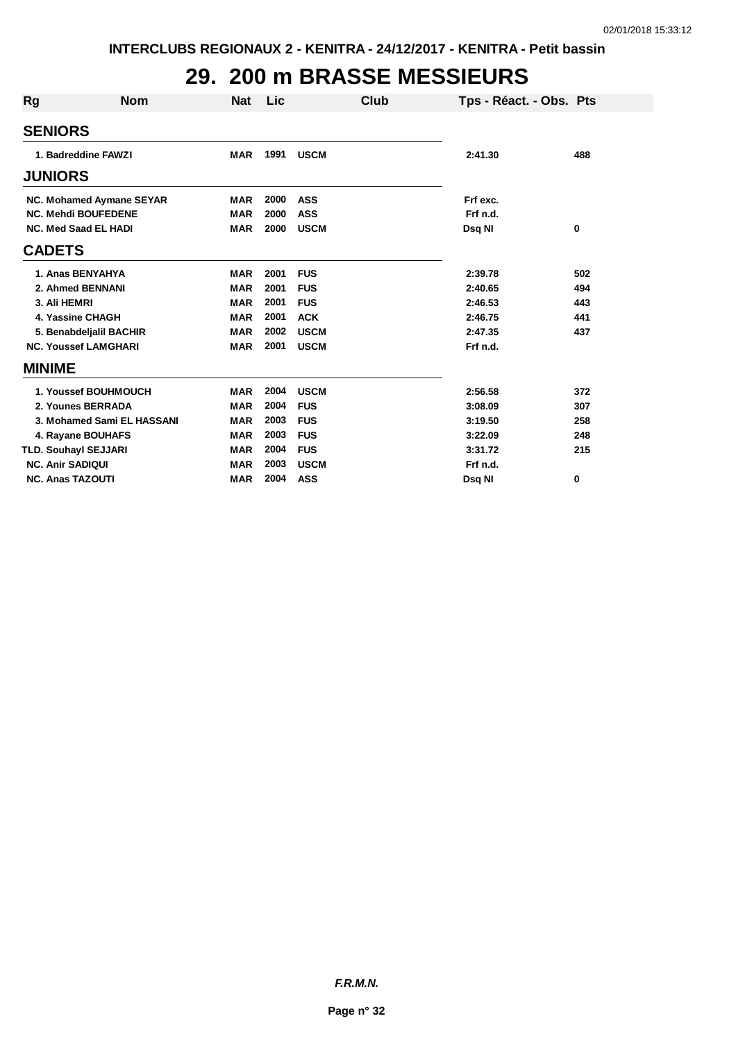## **29. 200 m BRASSE MESSIEURS**

| <b>Rg</b>     | <b>Nom</b>                  | <b>Nat</b> | Lic  | Club        | Tps - Réact. - Obs. Pts |     |
|---------------|-----------------------------|------------|------|-------------|-------------------------|-----|
|               | <b>SENIORS</b>              |            |      |             |                         |     |
|               | 1. Badreddine FAWZI         | <b>MAR</b> | 1991 | <b>USCM</b> | 2:41.30                 | 488 |
|               | <b>JUNIORS</b>              |            |      |             |                         |     |
|               | NC. Mohamed Aymane SEYAR    | <b>MAR</b> | 2000 | <b>ASS</b>  | Frf exc.                |     |
|               | <b>NC. Mehdi BOUFEDENE</b>  | <b>MAR</b> | 2000 | <b>ASS</b>  | Frf n.d.                |     |
|               | <b>NC. Med Saad EL HADI</b> | <b>MAR</b> | 2000 | <b>USCM</b> | Dsq NI                  | 0   |
|               | <b>CADETS</b>               |            |      |             |                         |     |
|               | 1. Anas BENYAHYA            | <b>MAR</b> | 2001 | <b>FUS</b>  | 2:39.78                 | 502 |
|               | 2. Ahmed BENNANI            | <b>MAR</b> | 2001 | <b>FUS</b>  | 2:40.65                 | 494 |
|               | 3. Ali HEMRI                | <b>MAR</b> | 2001 | <b>FUS</b>  | 2:46.53                 | 443 |
|               | 4. Yassine CHAGH            | <b>MAR</b> | 2001 | <b>ACK</b>  | 2:46.75                 | 441 |
|               | 5. Benabdeljalil BACHIR     | <b>MAR</b> | 2002 | <b>USCM</b> | 2:47.35                 | 437 |
|               | <b>NC. Youssef LAMGHARI</b> | <b>MAR</b> | 2001 | <b>USCM</b> | Frf n.d.                |     |
| <b>MINIME</b> |                             |            |      |             |                         |     |
|               | 1. Youssef BOUHMOUCH        | <b>MAR</b> | 2004 | <b>USCM</b> | 2:56.58                 | 372 |
|               | 2. Younes BERRADA           | <b>MAR</b> | 2004 | <b>FUS</b>  | 3:08.09                 | 307 |
|               | 3. Mohamed Sami EL HASSANI  | <b>MAR</b> | 2003 | <b>FUS</b>  | 3:19.50                 | 258 |
|               | 4. Rayane BOUHAFS           | <b>MAR</b> | 2003 | <b>FUS</b>  | 3:22.09                 | 248 |
|               | TLD. Souhayl SEJJARI        | <b>MAR</b> | 2004 | <b>FUS</b>  | 3:31.72                 | 215 |
|               | <b>NC. Anir SADIQUI</b>     | <b>MAR</b> | 2003 | <b>USCM</b> | Frf n.d.                |     |
|               | <b>NC. Anas TAZOUTI</b>     | <b>MAR</b> | 2004 | <b>ASS</b>  | Dsq NI                  | 0   |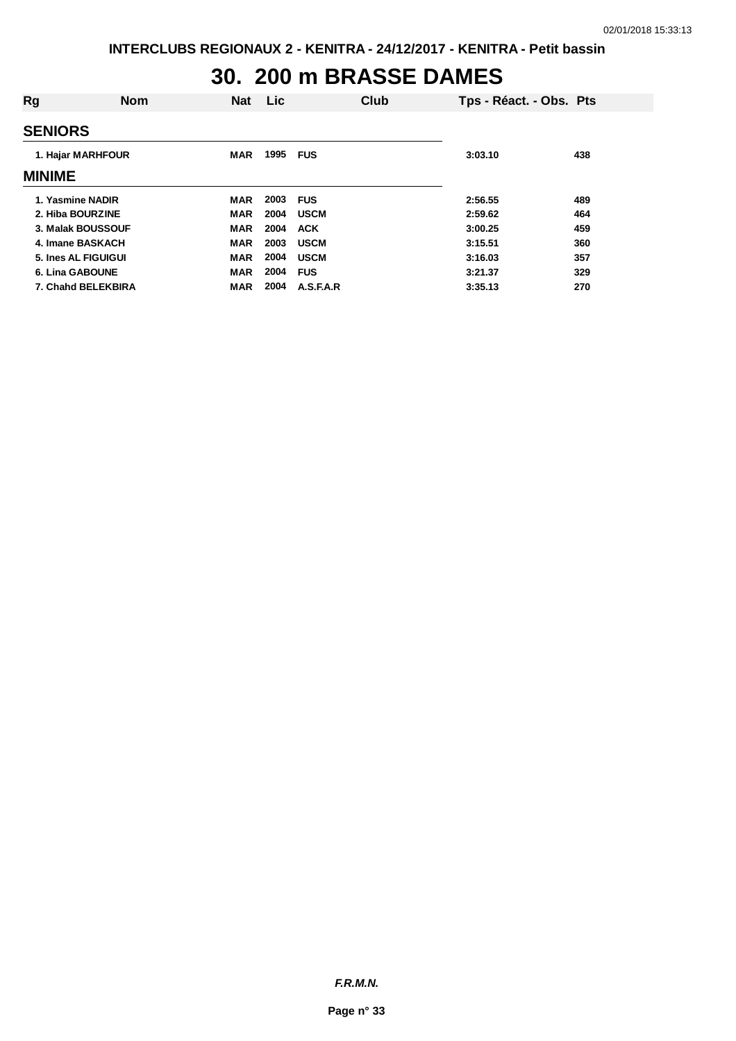#### **30. 200 m BRASSE DAMES**

| <b>SENIORS</b>                                                                           |  |
|------------------------------------------------------------------------------------------|--|
| 1995<br>1. Hajar MARHFOUR<br><b>FUS</b><br><b>MAR</b><br>438<br>3:03.10<br><b>MINIME</b> |  |
| 2003<br>1. Yasmine NADIR<br><b>FUS</b><br><b>MAR</b><br>2:56.55<br>489                   |  |
| 2004<br><b>USCM</b><br><b>MAR</b><br>2:59.62<br>2. Hiba BOURZINE<br>464                  |  |
| 2004<br><b>MAR</b><br><b>ACK</b><br>459<br>3. Malak BOUSSOUF<br>3:00.25                  |  |
| 2003<br><b>MAR</b><br><b>USCM</b><br>4. Imane BASKACH<br>3:15.51<br>360                  |  |
| 2004<br><b>USCM</b><br>357<br>5. Ines AL FIGUIGUI<br><b>MAR</b><br>3:16.03               |  |
| 2004<br><b>MAR</b><br><b>FUS</b><br>6. Lina GABOUNE<br>3:21.37<br>329                    |  |
| 2004<br>A.S.F.A.R<br>7. Chahd BELEKBIRA<br>MAR<br>3:35.13<br>270                         |  |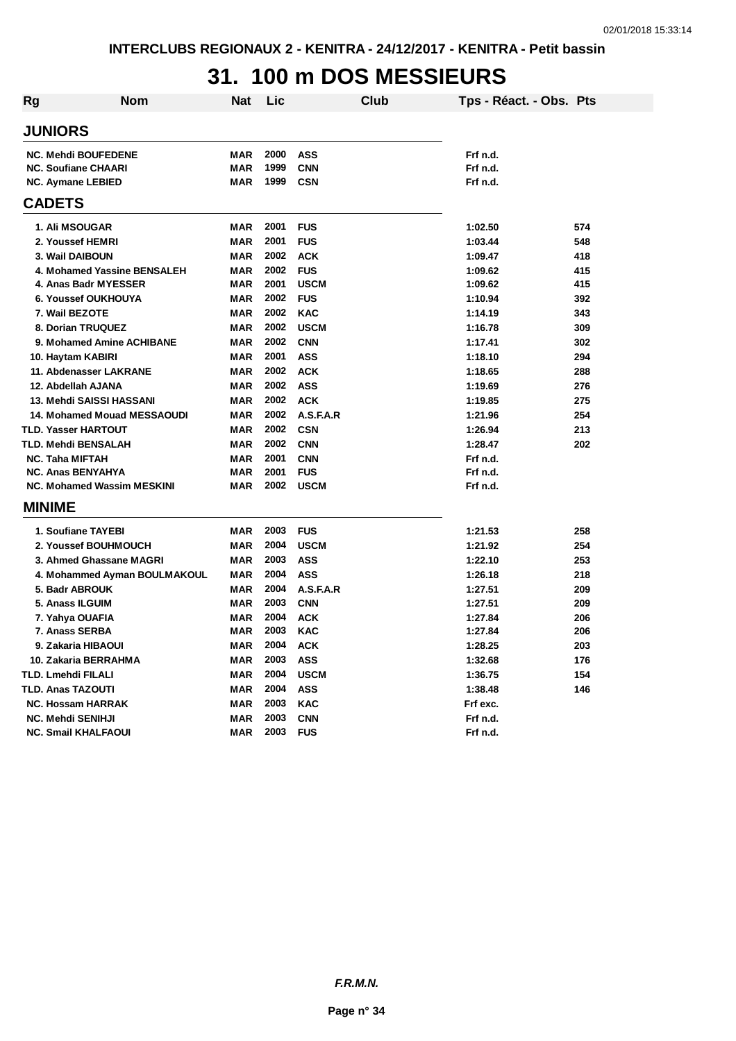## **31. 100 m DOS MESSIEURS**

| <b>Rg</b>      | <b>Nom</b>                        | Nat        | Lic  | Club        | Tps - Réact. - Obs. Pts |     |
|----------------|-----------------------------------|------------|------|-------------|-------------------------|-----|
| <b>JUNIORS</b> |                                   |            |      |             |                         |     |
|                | <b>NC. Mehdi BOUFEDENE</b>        | MAR        | 2000 | <b>ASS</b>  | Frf n.d.                |     |
|                | <b>NC. Soufiane CHAARI</b>        | <b>MAR</b> | 1999 | <b>CNN</b>  | Frf n.d.                |     |
|                | <b>NC. Aymane LEBIED</b>          | <b>MAR</b> | 1999 | <b>CSN</b>  | Frf n.d.                |     |
| <b>CADETS</b>  |                                   |            |      |             |                         |     |
|                | <b>1. Ali MSOUGAR</b>             | <b>MAR</b> | 2001 | <b>FUS</b>  | 1:02.50                 | 574 |
|                | 2. Youssef HEMRI                  | <b>MAR</b> | 2001 | <b>FUS</b>  | 1:03.44                 | 548 |
|                | 3. Wail DAIBOUN                   | <b>MAR</b> | 2002 | <b>ACK</b>  | 1:09.47                 | 418 |
|                | 4. Mohamed Yassine BENSALEH       | <b>MAR</b> | 2002 | <b>FUS</b>  | 1:09.62                 | 415 |
|                | 4. Anas Badr MYESSER              | <b>MAR</b> | 2001 | <b>USCM</b> | 1:09.62                 | 415 |
|                | 6. Youssef OUKHOUYA               | <b>MAR</b> | 2002 | <b>FUS</b>  | 1:10.94                 | 392 |
|                | 7. Wail BEZOTE                    | MAR        | 2002 | <b>KAC</b>  | 1:14.19                 | 343 |
|                | 8. Dorian TRUQUEZ                 | <b>MAR</b> | 2002 | <b>USCM</b> | 1:16.78                 | 309 |
|                | 9. Mohamed Amine ACHIBANE         | <b>MAR</b> | 2002 | <b>CNN</b>  | 1:17.41                 | 302 |
|                | 10. Haytam KABIRI                 | <b>MAR</b> | 2001 | <b>ASS</b>  | 1:18.10                 | 294 |
|                | 11. Abdenasser LAKRANE            | <b>MAR</b> | 2002 | <b>ACK</b>  | 1:18.65                 | 288 |
|                | 12. Abdellah AJANA                | <b>MAR</b> | 2002 | <b>ASS</b>  | 1:19.69                 | 276 |
|                | 13. Mehdi SAISSI HASSANI          | MAR        | 2002 | <b>ACK</b>  | 1:19.85                 | 275 |
|                | 14. Mohamed Mouad MESSAOUDI       | <b>MAR</b> | 2002 | A.S.F.A.R   | 1:21.96                 | 254 |
|                | <b>TLD. Yasser HARTOUT</b>        | <b>MAR</b> | 2002 | <b>CSN</b>  | 1:26.94                 | 213 |
|                | TLD. Mehdi BENSALAH               | <b>MAR</b> | 2002 | <b>CNN</b>  | 1:28.47                 | 202 |
|                | <b>NC. Taha MIFTAH</b>            | <b>MAR</b> | 2001 | <b>CNN</b>  | Frf n.d.                |     |
|                | <b>NC. Anas BENYAHYA</b>          | MAR        | 2001 | <b>FUS</b>  | Frf n.d.                |     |
|                | <b>NC. Mohamed Wassim MESKINI</b> | <b>MAR</b> | 2002 | <b>USCM</b> | Frf n.d.                |     |
| <b>MINIME</b>  |                                   |            |      |             |                         |     |
|                | 1. Soufiane TAYEBI                | <b>MAR</b> | 2003 | <b>FUS</b>  | 1:21.53                 | 258 |
|                | 2. Youssef BOUHMOUCH              | <b>MAR</b> | 2004 | <b>USCM</b> | 1:21.92                 | 254 |
|                | 3. Ahmed Ghassane MAGRI           | <b>MAR</b> | 2003 | <b>ASS</b>  | 1:22.10                 | 253 |
|                | 4. Mohammed Ayman BOULMAKOUL      | <b>MAR</b> | 2004 | <b>ASS</b>  | 1:26.18                 | 218 |
|                | 5. Badr ABROUK                    | <b>MAR</b> | 2004 | A.S.F.A.R   | 1:27.51                 | 209 |
|                | 5. Anass ILGUIM                   | <b>MAR</b> | 2003 | <b>CNN</b>  | 1:27.51                 | 209 |
|                | 7. Yahya OUAFIA                   | <b>MAR</b> | 2004 | <b>ACK</b>  | 1:27.84                 | 206 |
|                | 7. Anass SERBA                    | <b>MAR</b> | 2003 | <b>KAC</b>  | 1:27.84                 | 206 |
|                | 9. Zakaria HIBAOUI                | <b>MAR</b> | 2004 | <b>ACK</b>  | 1:28.25                 | 203 |
|                | 10. Zakaria BERRAHMA              | MAR        | 2003 | <b>ASS</b>  | 1:32.68                 | 176 |
|                | TLD. Lmehdi FILALI                | <b>MAR</b> | 2004 | <b>USCM</b> | 1:36.75                 | 154 |
|                | TLD. Anas TAZOUTI                 | <b>MAR</b> | 2004 | <b>ASS</b>  | 1:38.48                 | 146 |
|                | <b>NC. Hossam HARRAK</b>          | <b>MAR</b> | 2003 | <b>KAC</b>  | Frf exc.                |     |
|                | <b>NC. Mehdi SENIHJI</b>          | <b>MAR</b> | 2003 | <b>CNN</b>  | Frf n.d.                |     |
|                | <b>NC. Smail KHALFAOUI</b>        | <b>MAR</b> | 2003 | <b>FUS</b>  | Frf n.d.                |     |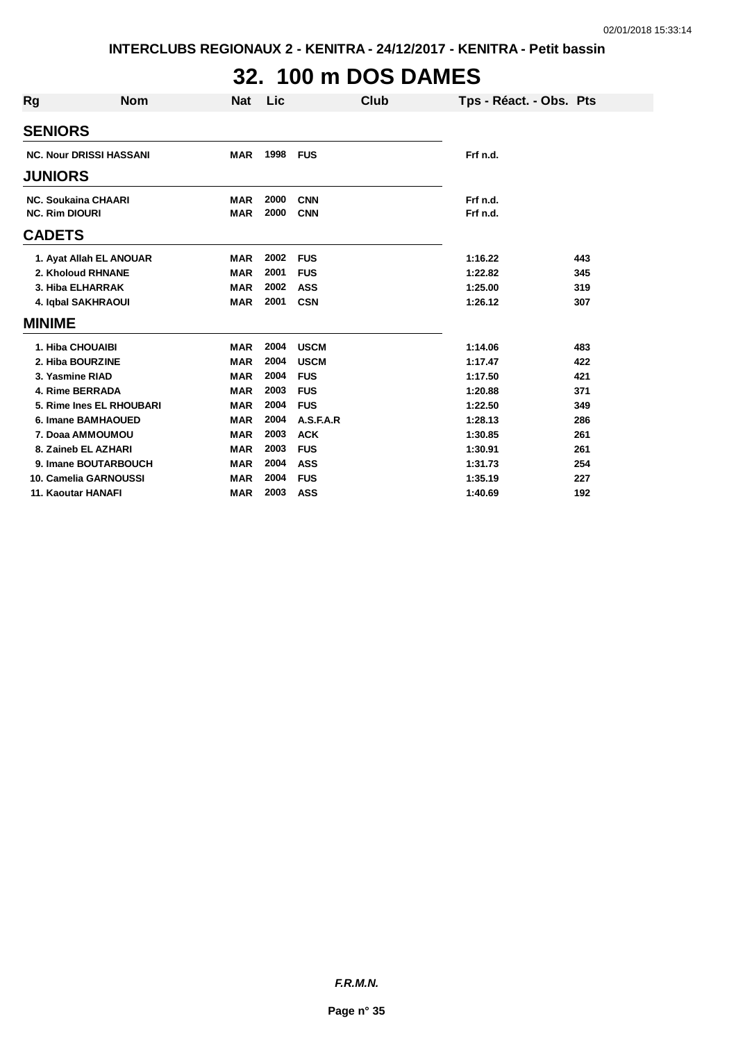# **32. 100 m DOS DAMES**

| <b>Rg</b>     | <b>Nom</b>                     | <b>Nat</b> | Lic  | Club        | Tps - Réact. - Obs. Pts |     |
|---------------|--------------------------------|------------|------|-------------|-------------------------|-----|
|               | <b>SENIORS</b>                 |            |      |             |                         |     |
|               | <b>NC. Nour DRISSI HASSANI</b> | <b>MAR</b> | 1998 | <b>FUS</b>  | Frf n.d.                |     |
|               | <b>JUNIORS</b>                 |            |      |             |                         |     |
|               | <b>NC. Soukaina CHAARI</b>     | <b>MAR</b> | 2000 | <b>CNN</b>  | Frf n.d.                |     |
|               | <b>NC. Rim DIOURI</b>          | <b>MAR</b> | 2000 | <b>CNN</b>  | Frf n.d.                |     |
| <b>CADETS</b> |                                |            |      |             |                         |     |
|               | 1. Ayat Allah EL ANOUAR        | <b>MAR</b> | 2002 | <b>FUS</b>  | 1:16.22                 | 443 |
|               | 2. Kholoud RHNANE              | <b>MAR</b> | 2001 | <b>FUS</b>  | 1:22.82                 | 345 |
|               | 3. Hiba ELHARRAK               | <b>MAR</b> | 2002 | <b>ASS</b>  | 1:25.00                 | 319 |
|               | 4. Iqbal SAKHRAOUI             | <b>MAR</b> | 2001 | <b>CSN</b>  | 1:26.12                 | 307 |
| <b>MINIME</b> |                                |            |      |             |                         |     |
|               | 1. Hiba CHOUAIBI               | <b>MAR</b> | 2004 | <b>USCM</b> | 1:14.06                 | 483 |
|               | 2. Hiba BOURZINE               | <b>MAR</b> | 2004 | <b>USCM</b> | 1:17.47                 | 422 |
|               | 3. Yasmine RIAD                | <b>MAR</b> | 2004 | <b>FUS</b>  | 1:17.50                 | 421 |
|               | 4. Rime BERRADA                | <b>MAR</b> | 2003 | <b>FUS</b>  | 1:20.88                 | 371 |
|               | 5. Rime Ines EL RHOUBARI       | <b>MAR</b> | 2004 | <b>FUS</b>  | 1:22.50                 | 349 |
|               | 6. Imane BAMHAOUED             | <b>MAR</b> | 2004 | A.S.F.A.R   | 1:28.13                 | 286 |
|               | 7. Doaa AMMOUMOU               | <b>MAR</b> | 2003 | <b>ACK</b>  | 1:30.85                 | 261 |
|               | 8. Zaineb EL AZHARI            | <b>MAR</b> | 2003 | <b>FUS</b>  | 1:30.91                 | 261 |
|               | 9. Imane BOUTARBOUCH           | <b>MAR</b> | 2004 | <b>ASS</b>  | 1:31.73                 | 254 |
|               | 10. Camelia GARNOUSSI          | <b>MAR</b> | 2004 | <b>FUS</b>  | 1:35.19                 | 227 |
|               | <b>11. Kaoutar HANAFI</b>      | <b>MAR</b> | 2003 | <b>ASS</b>  | 1:40.69                 | 192 |

*F.R.M.N.*

**Page n° 35**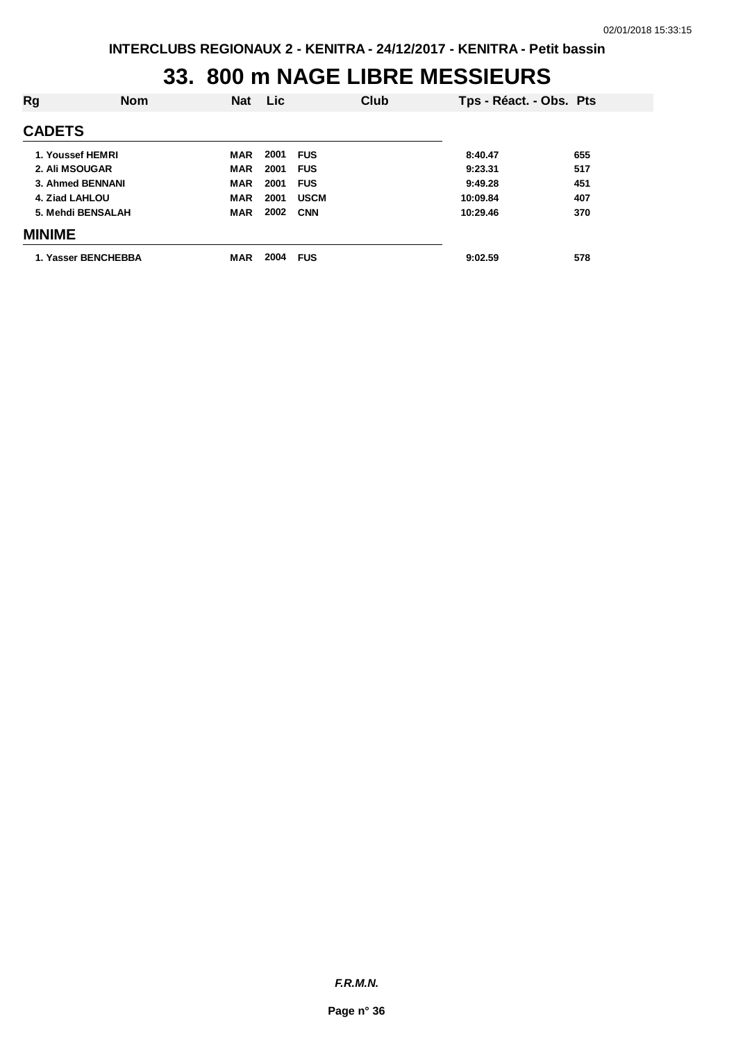#### **33. 800 m NAGE LIBRE MESSIEURS**

| Rg                  | <b>Nom</b> | <b>Nat</b> | <b>Lic</b> |             | Club | Tps - Réact. - Obs. Pts |     |
|---------------------|------------|------------|------------|-------------|------|-------------------------|-----|
| <b>CADETS</b>       |            |            |            |             |      |                         |     |
| 1. Youssef HEMRI    |            | MAR        | 2001       | <b>FUS</b>  |      | 8:40.47                 | 655 |
| 2. Ali MSOUGAR      |            | <b>MAR</b> | 2001       | <b>FUS</b>  |      | 9:23.31                 | 517 |
| 3. Ahmed BENNANI    |            | <b>MAR</b> | 2001       | <b>FUS</b>  |      | 9:49.28                 | 451 |
| 4. Ziad LAHLOU      |            | <b>MAR</b> | 2001       | <b>USCM</b> |      | 10:09.84                | 407 |
| 5. Mehdi BENSALAH   |            | <b>MAR</b> | 2002       | <b>CNN</b>  |      | 10:29.46                | 370 |
| <b>MINIME</b>       |            |            |            |             |      |                         |     |
| 1. Yasser BENCHEBBA |            | <b>MAR</b> | 2004       | <b>FUS</b>  |      | 9:02.59                 | 578 |